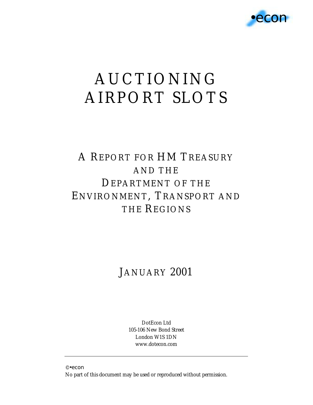

# AUCTIONING AIRPORT SLOTS

### A REPORT FOR HM TREASURY AND THE DEPARTMENT OF THE ENVIRONMENT, TRANSPORT AND THE REGIONS

### JANUARY 2001

DotEcon Ltd 105-106 New Bond Street London W1S 1DN www.dotecon.com

© •econ

No part of this document may be used or reproduced without permission.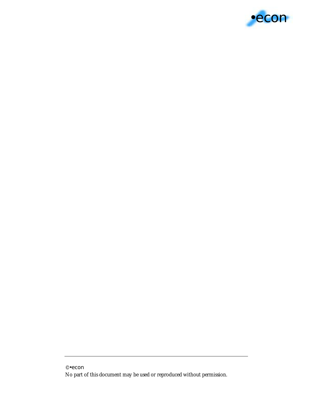

<sup>©</sup> •econ

No part of this document may be used or reproduced without permission.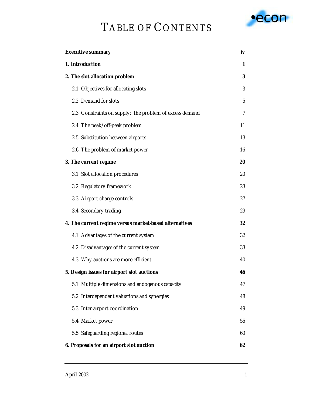## TABLE OF CONTENTS



| <b>Executive summary</b>                                 | iv |
|----------------------------------------------------------|----|
| 1. Introduction                                          | 1  |
| 2. The slot allocation problem                           | 3  |
| 2.1. Objectives for allocating slots                     | 3  |
| 2.2. Demand for slots                                    | 5  |
| 2.3. Constraints on supply: the problem of excess demand | 7  |
| 2.4. The peak/off-peak problem                           | 11 |
| 2.5. Substitution between airports                       | 13 |
| 2.6. The problem of market power                         | 16 |
| 3. The current regime                                    | 20 |
| 3.1. Slot allocation procedures                          | 20 |
| 3.2. Regulatory framework                                | 23 |
| 3.3. Airport charge controls                             | 27 |
| 3.4. Secondary trading                                   | 29 |
| 4. The current regime versus market-based alternatives   | 32 |
| 4.1. Advantages of the current system                    | 32 |
| 4.2. Disadvantages of the current system                 | 33 |
| 4.3. Why auctions are more efficient                     | 40 |
| 5. Design issues for airport slot auctions               | 46 |
| 5.1. Multiple dimensions and endogenous capacity         | 47 |
| 5.2. Interdependent valuations and synergies             | 48 |
| 5.3. Inter-airport coordination                          | 49 |
| 5.4. Market power                                        | 55 |
| 5.5. Safeguarding regional routes                        | 60 |
| 6. Proposals for an airport slot auction                 | 62 |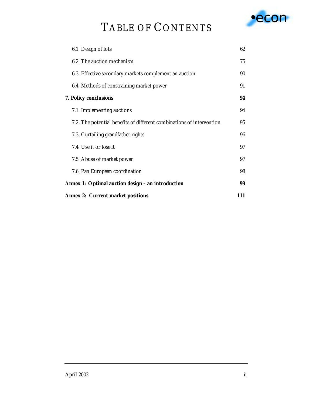## TABLE OF CONTENTS



| <b>Annex 2: Current market positions</b>                              | 111 |
|-----------------------------------------------------------------------|-----|
| Annex 1: Optimal auction design – an introduction                     | 99  |
| 7.6. Pan European coordination                                        | 98  |
| 7.5. Abuse of market power                                            | 97  |
| 7.4. Use it or lose it                                                | 97  |
| 7.3. Curtailing grandfather rights                                    | 96  |
| 7.2. The potential benefits of different combinations of intervention | 95  |
| 7.1. Implementing auctions                                            | 94  |
| 7. Policy conclusions                                                 | 94  |
| 6.4. Methods of constraining market power                             | 91  |
| 6.3. Effective secondary markets complement an auction                | 90  |
| 6.2. The auction mechanism                                            | 75  |
| 6.1. Design of lots                                                   | 62  |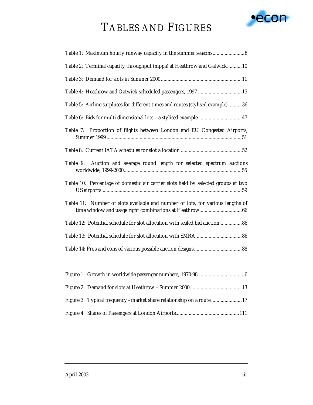# •econ

### TABLES AND FIGURES

| Table 2: Terminal capacity throughput (mppa) at Heathrow and Gatwick10            |
|-----------------------------------------------------------------------------------|
|                                                                                   |
| Table 4: Heathrow and Gatwick scheduled passengers, 1997 15                       |
| Table 5: Airline surpluses for different times and routes (stylised example) 36   |
| Table 6: Bids for multi-dimensional lots - a stylised example47                   |
| Table 7: Proportion of flights between London and EU Congested Airports,          |
|                                                                                   |
| Table 9: Auction and average round length for selected spectrum auctions          |
| Table 10: Percentage of domestic air carrier slots held by selected groups at two |
| Table 11: Number of slots available and number of lots, for various lengths of    |
| Table 12: Potential schedule for slot allocation with sealed bid auction86        |
|                                                                                   |
|                                                                                   |
|                                                                                   |

| Figure 3: Typical frequency - market share relationship on a route 17 |
|-----------------------------------------------------------------------|
|                                                                       |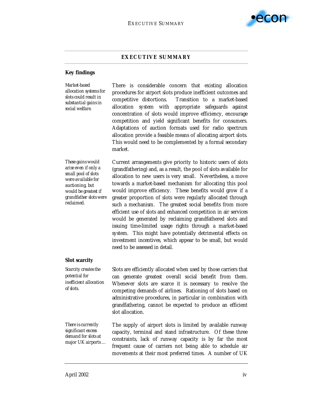

#### **EXECUTIVE SUMMARY**

#### **Key findings**

*Market-based allocation systems for slots could result in substantial gains in social welfare.* 

There is considerable concern that existing allocation procedures for airport slots produce inefficient outcomes and competitive distortions. Transition to a market-based allocation system with appropriate safeguards against concentration of slots would improve efficiency, encourage competition and yield significant benefits for consumers. Adaptations of auction formats used for radio spectrum allocation provide a feasible means of allocating airport slots. This would need to be complemented by a formal secondary market.

*These gains would arise even if only a small pool of slots were available for auctioning, but would be greatest if grandfather slots were reclaimed.* 

Current arrangements give priority to historic users of slots (grandfathering) and, as a result, the pool of slots available for allocation to new users is very small. Nevertheless, a move towards a market-based mechanism for allocating this pool would improve efficiency. These benefits would grow if a greater proportion of slots were regularly allocated through such a mechanism. The greatest social benefits from more efficient use of slots and enhanced competition in air services would be generated by reclaiming grandfathered slots and issuing time-limited usage rights through a market-based system. This might have potentially detrimental effects on investment incentives, which appear to be small, but would need to be assessed in detail.

movements at their most preferred times. A number of UK

#### **Slot scarcity**

*Scarcity creates the potential for inefficient allocation of slots.* Slots are efficiently allocated when used by those carriers that can generate greatest overall social benefit from them. Whenever slots are scarce it is necessary to resolve the competing demands of airlines. Rationing of slots based on administrative procedures, in particular in combination with grandfathering, cannot be expected to produce an efficient slot allocation. *There is currently significant excess demand for slots at major UK airports …*  The supply of airport slots is limited by available runway capacity, terminal and stand infrastructure. Of these three constraints, lack of runway capacity is by far the most frequent cause of carriers not being able to schedule air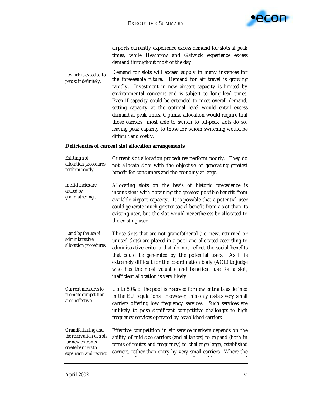

airports currently experience excess demand for slots at peak times, while Heathrow and Gatwick experience excess demand throughout most of the day.

*…which is expected to persist indefinitely.*  Demand for slots will exceed supply in many instances for the foreseeable future. Demand for air travel is growing rapidly. Investment in new airport capacity is limited by environmental concerns and is subject to long lead times. Even if capacity could be extended to meet overall demand, setting capacity at the optimal level would entail excess demand at peak times. Optimal allocation would require that those carriers most able to switch to off-peak slots do so, leaving peak capacity to those for whom switching would be difficult and costly.

#### **Deficiencies of current slot allocation arrangements**

| <i>Existing slot</i>  | Current slot allocation procedures perform poorly. They do   |  |  |  |  |
|-----------------------|--------------------------------------------------------------|--|--|--|--|
| allocation procedures | not allocate slots with the objective of generating greatest |  |  |  |  |
| perform poorly.       | benefit for consumers and the economy at large.              |  |  |  |  |

- *Inefficiencies are caused by grandfathering…*  Allocating slots on the basis of historic precedence is inconsistent with obtaining the greatest possible benefit from available airport capacity. It is possible that a potential user could generate much greater social benefit from a slot than its existing user, but the slot would nevertheless be allocated to the existing user.
- *…and by the use of administrative allocation procedures.*  Those slots that are not grandfathered (i.e. new, returned or unused slots) are placed in a pool and allocated according to administrative criteria that do not reflect the social benefits that could be generated by the potential users. As it is extremely difficult for the co-ordination body (ACL) to judge who has the most valuable and beneficial use for a slot, inefficient allocation is very likely.
- *Current measures to promote competition are ineffective.*  Up to 50% of the pool is reserved for new entrants as defined in the EU regulations. However, this only assists very small carriers offering low frequency services. Such services are unlikely to pose significant competitive challenges to high frequency services operated by established carriers.

*Grandfathering and the reservation of slots for new entrants create barriers to expansion and restrict*  Effective competition in air service markets depends on the ability of mid-size carriers (and alliances) to expand (both in terms of routes and frequency) to challenge large, established carriers, rather than entry by very small carriers. Where the

b f l db latin an de latin an de latin an de latin an de latin an de latin an de latin an de latin an de latin<br>De la traduction de la traduction de la traduction de la traduction de la traduction de la traduction de la tr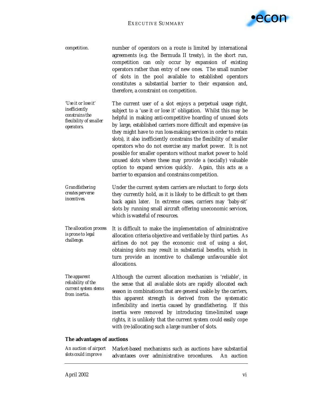

*competition.* number of operators on a route is limited by international agreements (e.g. the Bermuda II treaty), in the short run, competition can *only* occur by expansion of existing operators rather than entry of new ones. The small number of slots in the pool available to established operators constitutes a substantial barrier to their expansion and, therefore, a constraint on competition.

*'Use it or lose it' inefficiently constrains the flexibility of smaller operators.*  The current user of a slot enjoys a perpetual usage right, subject to a 'use it or lose it' obligation. Whilst this may be helpful in making anti-competitive hoarding of unused slots by large, established carriers more difficult and expensive (as they might have to run loss-making services in order to retain slots), it also inefficiently constrains the flexibility of smaller operators who do not exercise any market power. It is not possible for smaller operators without market power to hold unused slots where these may provide a (socially) valuable option to expand services quickly. Again, this acts as a barrier to expansion and constrains competition.

- *Grandfathering creates perverse incentives.*  Under the current system carriers are reluctant to forgo slots they currently hold, as it is likely to be difficult to get them back again later. In extreme cases, carriers may 'baby-sit' slots by running small aircraft offering uneconomic services, which is wasteful of resources.
- *The allocation process is prone to legal challenge.*  It is difficult to make the implementation of administrative allocation criteria objective and verifiable by third parties. As airlines do not pay the economic cost of using a slot, obtaining slots may result in substantial benefits, which in turn provide an incentive to challenge unfavourable slot allocations.

*The apparent reliability of the current system stems from inertia.*  Although the current allocation mechanism is 'reliable', in the sense that all available slots are rapidly allocated each season in combinations that are general usable by the carriers, this apparent strength is derived from the systematic inflexibility and inertia caused by grandfathering. If this inertia were removed by introducing time-limited usage rights, it is unlikely that the current system could easily cope with (re-)allocating such a large number of slots.

#### **The advantages of auctions**

| An auction of airport Market-based mechanisms such as auctions have substantial |  |                                                       |  |  |
|---------------------------------------------------------------------------------|--|-------------------------------------------------------|--|--|
| slots could improve                                                             |  | advantages over administrative procedures. An auction |  |  |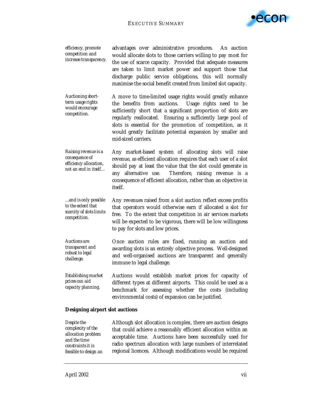

| efficiency, promote<br>competition and<br>increase transparency.                         | advantages over administrative procedures. An auction<br>would allocate slots to those carriers willing to pay most for<br>the use of scarce capacity. Provided that adequate measures<br>are taken to limit market power and support those that<br>discharge public service obligations, this will normally<br>maximise the social benefit created from limited slot capacity.                       |
|------------------------------------------------------------------------------------------|-------------------------------------------------------------------------------------------------------------------------------------------------------------------------------------------------------------------------------------------------------------------------------------------------------------------------------------------------------------------------------------------------------|
| <b>Auctioning short-</b><br>term usage rights<br>would encourage<br>competition.         | A move to time-limited usage rights would greatly enhance<br>the benefits from auctions. Usage rights need to be<br>sufficiently short that a significant proportion of slots are<br>regularly reallocated. Ensuring a sufficiently large pool of<br>slots is essential for the promotion of competition, as it<br>would greatly facilitate potential expansion by smaller and<br>mid-sized carriers. |
| Raising revenue is a<br>consequence of<br>efficiency allocation,<br>not an end in itself | Any market-based system of allocating slots will raise<br>revenue, as efficient allocation requires that each user of a slot<br>should pay at least the value that the slot could generate in<br>any alternative use. Therefore, raising revenue is a<br>consequence of efficient allocation, rather than an objective in<br>itself.                                                                  |

*…and is only possible to the extent that scarcity of slots limits competition.*  Any revenues raised from a slot auction reflect excess profits that operators would otherwise earn if allocated a slot for free. To the extent that competition in air services markets will be expected to be vigorous, there will be low willingness to pay for slots and low prices.

*Auctions are transparent and robust to legal challenge.*  Once auction rules are fixed, running an auction and awarding slots is an entirely objective process. Well-designed and well-organised auctions are transparent and generally immune to legal challenge.

*Establishing market prices can aid capacity planning.*  Auctions would establish market prices for capacity of different types at different airports. This could be used as a benchmark for assessing whether the costs (including environmental costs) of expansion can be justified.

#### **Designing airport slot auctions**

*Despite the complexity of the allocation problem and the time constraints it is feasible to design an*  Although slot allocation is complex, there are auction designs that could achieve a reasonably efficient allocation within an acceptable time. Auctions have been successfully used for radio spectrum allocation with large numbers of interrelated regional licences. Although modifications would be required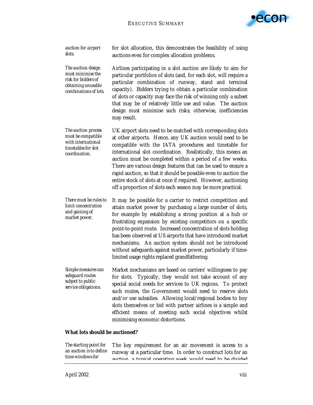

*auction for airport slots.* 

for slot allocation, this demonstrates the feasibility of using auctions even for complex allocation problems.

*The auction design must minimise the risk for bidders of obtaining unusable combinations of lots.*  Airlines participating in a slot auction are likely to aim for particular portfolios of slots (and, for each slot, will require a particular combination of runway, stand and terminal capacity). Bidders trying to obtain a particular combination of slots or capacity may face the risk of winning only a subset that may be of relatively little use and value. The auction design must minimise such risks; otherwise, inefficiencies may result.

*The auction process must be compatible with international timetables for slot coordination.*  UK airport slots need to be matched with corresponding slots at other airports. Hence, any UK auction would need to be compatible with the IATA procedures and timetable for international slot coordination. Realistically, this means an auction must be completed within a period of a few weeks. There are various design features that can be used to ensure a rapid auction, so that it should be possible even to auction the entire stock of slots at once if required. However, auctioning off a proportion of slots each season may be more practical.

*There must be rules to limit concentration and gaining of market power.*  It may be possible for a carrier to restrict competition and attain market power by purchasing a large number of slots, for example by establishing a strong position at a hub or frustrating expansion by existing competitors on a specific point-to-point route. Increased concentration of slots holding has been observed at US airports that have introduced market mechanisms. An auction system should not be introduced without safeguards against market power, particularly if timelimited usage rights replaced grandfathering.

*Simple measures can safeguard routes subject to public service obligations.*  Market mechanisms are based on carriers' willingness to pay for slots. Typically, they would not take account of any special social needs for services to UK regions. To protect such routes, the Government would need to reserve slots and/or use subsidies. Allowing local/regional bodies to buy slots themselves or bid with partner airlines is a simple and efficient means of meeting such social objectives whilst minimising economic distortions.

#### **What lots should be auctioned?**

*The starting point for an auction is to define time windows for*  The key requirement for an air movement is access to a runway at a particular time. In order to construct lots for an auction a typical operating week would need to be divided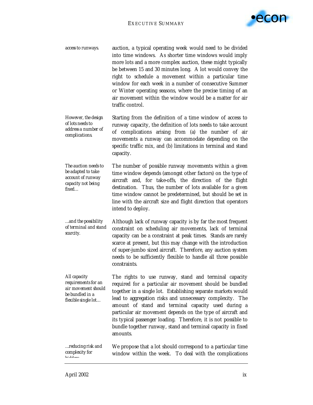

*access to runways.* auction, a typical operating week would need to be divided into time windows. As shorter time windows would imply more lots and a more complex auction, these might typically be between 15 and 30 minutes long. A lot would convey the right to schedule a movement within a particular time window for each week in a number of consecutive Summer or Winter operating seasons, where the precise timing of an air movement within the window would be a matter for air traffic control.

*However, the design of lots needs to address a number of complications.*  Starting from the definition of a time window of access to runway capacity, the definition of lots needs to take account of complications arising from (a) the number of air movements a runway can accommodate depending on the specific traffic mix, and (b) limitations in terminal and stand capacity.

*The auction needs to be adapted to take account of runway capacity not being fixed…*  The number of possible runway movements within a given time window depends (amongst other factors) on the type of aircraft and, for take-offs, the direction of the flight destination. Thus, the number of lots available for a given time window cannot be predetermined, but should be set in line with the aircraft size and flight direction that operators intend to deploy.

*…and the possibility of terminal and stand scarcity.*  Although lack of runway capacity is by far the most frequent constraint on scheduling air movements, lack of terminal capacity can be a constraint at peak times. Stands are rarely scarce at present, but this may change with the introduction of super-jumbo sized aircraft. Therefore, any auction system needs to be sufficiently flexible to handle all three possible constraints.

*All capacity requirements for an air movement should be bundled in a flexible single lot…*  The rights to use runway, stand and terminal capacity required for a particular air movement should be bundled together in a single lot. Establishing separate markets would lead to aggregation risks and unnecessary complexity. The amount of stand and terminal capacity used during a particular air movement depends on the type of aircraft and its typical passenger loading. Therefore, it is not possible to bundle together runway, stand and terminal capacity in fixed amounts.

*…reducing risk and complexity for bidders* We propose that a lot should correspond to a particular time window within the week. To deal with the complications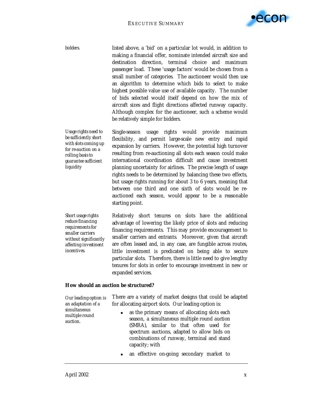

*bidders.* listed above, a 'bid' on a particular lot would, in addition to making a financial offer, nominate intended aircraft size and destination direction, terminal choice and maximum passenger load. These 'usage factors' would be chosen from a small number of categories. The auctioneer would then use an algorithm to determine which bids to select to make highest possible value use of available capacity. The number of bids selected would itself depend on how the mix of aircraft sizes and flight directions affected runway capacity. Although complex for the auctioneer, such a scheme would be relatively simple for bidders.

*Usage rights need to be sufficiently short with slots coming up for re-auction on a rolling basis to guarantee sufficient liquidity*  Single-season usage rights would provide maximum flexibility, and permit large-scale new entry and rapid expansion by carriers. However, the potential high turnover resulting from re-auctioning all slots each season could make international coordination difficult and cause investment planning uncertainty for airlines. The precise length of usage rights needs to be determined by balancing these two effects, but usage rights running for about 3 to 6 years, meaning that between one third and one sixth of slots would be reauctioned each season, would appear to be a reasonable starting point.

*Short usage rights reduce financing requirements for smaller carriers without significantly affecting investment incentives.*  Relatively short tenures on slots have the additional advantage of lowering the likely price of slots and reducing financing requirements. This may provide encouragement to smaller carriers and entrants. Moreover, given that aircraft are often leased and, in any case, are fungible across routes, little investment is predicated on being able to secure particular slots. Therefore, there is little need to give lengthy tenures for slots in order to encourage investment in new or expanded services.

#### **How should an auction be structured?**

| Our leading option is<br>an adaptation of a<br>simultaneous<br>multiple round<br>auction. | There are a variety of market designs that could be adapted<br>for allocating airport slots. Our leading option is:                                                                                                                                                       |
|-------------------------------------------------------------------------------------------|---------------------------------------------------------------------------------------------------------------------------------------------------------------------------------------------------------------------------------------------------------------------------|
|                                                                                           | as the primary means of allocating slots each<br>$\blacksquare$<br>season, a simultaneous multiple round auction<br>(SMRA), similar to that often used for<br>spectrum auctions, adapted to allow bids on<br>combinations of runway, terminal and stand<br>capacity; with |
|                                                                                           | · an effective on-going secondary market to                                                                                                                                                                                                                               |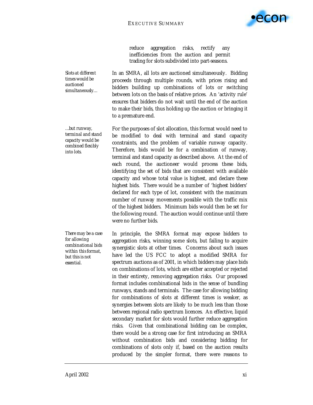

reduce aggregation risks, rectify any inefficiencies from the auction and permit trading for slots subdivided into part-seasons.

*Slots at different times would be auctioned simultaneously…* 

*…but runway, terminal and stand capacity would be combined flexibly into lots.* 

*There may be a case for allowing combinational bids within this format, but this is not essential.* 

In an SMRA, all lots are auctioned simultaneously. Bidding proceeds through multiple rounds, with prices rising and bidders building up combinations of lots or switching between lots on the basis of relative prices. An 'activity rule' ensures that bidders do not wait until the end of the auction to make their bids, thus holding up the auction or bringing it to a premature end.

For the purposes of slot allocation, this format would need to be modified to deal with terminal and stand capacity constraints, and the problem of variable runway capacity. Therefore, bids would be for a *combination* of runway, terminal and stand capacity as described above. At the end of each round, the auctioneer would process these bids, identifying the set of bids that are consistent with available capacity and whose total value is highest, and declare these highest bids. There would be a number of 'highest bidders' declared for each type of lot, consistent with the maximum number of runway movements possible with the traffic mix of the highest bidders. Minimum bids would then be set for the following round. The auction would continue until there were no further bids.

In principle, the SMRA format may expose bidders to aggregation risks, winning some slots, but failing to acquire synergistic slots at other times. Concerns about such issues have led the US FCC to adopt a modified SMRA for spectrum auctions as of 2001, in which bidders may place bids on combinations of lots, which are either accepted or rejected in their entirety, removing aggregation risks. Our proposed format includes combinational bids in the sense of bundling runways, stands and terminals. The case for allowing bidding for combinations of slots at different times is weaker, as synergies between slots are likely to be much less than those between regional radio spectrum licences. An effective, liquid secondary market for slots would further reduce aggregation risks. Given that combinational bidding can be complex, there would be a strong case for first introducing an SMRA without combination bids and considering bidding for combinations of slots only if, based on the auction results produced by the simpler format, there were reasons to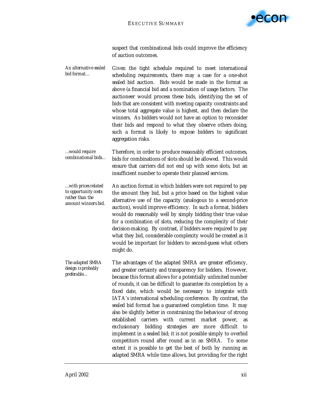

suspect that combinational bids could improve the efficiency of auction outcomes.

- *An alternative sealed bid format…*  Given the tight schedule required to meet international scheduling requirements, there may a case for a one-shot sealed bid auction. Bids would be made in the format as above (a financial bid and a nomination of usage factors. The auctioneer would process these bids, identifying the set of bids that are consistent with meeting capacity constraints and whose total aggregate value is highest, and then declare the winners. As bidders would not have an option to reconsider their bids and respond to what they observe others doing, such a format is likely to expose bidders to significant aggregation risks.
- *…would require combinational bids…*  Therefore, in order to produce reasonably efficient outcomes, bids for combinations of slots should be allowed. This would ensure that carriers did not end up with some slots, but an insufficient number to operate their planned services.
- *…with prices related to opportunity costs rather than the amount winners bid.*  An auction format in which bidders were not required to pay the amount they bid, but a price based on the highest value alternative use of the capacity (analogous to a second-price auction), would improve efficiency. In such a format, bidders would do reasonably well by simply bidding their true value for a combination of slots, reducing the complexity of their decision-making. By contrast, if bidders were required to pay what they bid, considerable complexity would be created as it would be important for bidders to second-guess what others might do.

*The adapted SMRA design is probably preferable…*  The advantages of the adapted SMRA are greater efficiency, and greater certainty and transparency for bidders. However, because this format allows for a potentially unlimited number of rounds, it can be difficult to guarantee its completion by a fixed date, which would be necessary to integrate with IATA's international scheduling conference. By contrast, the sealed bid format has a guaranteed completion time. It may also be slightly better in constraining the behaviour of strong established carriers with current market power, exclusionary bidding strategies are more difficult to implement in a sealed bid; it is not possible simply to overbid competitors round after round as in an SMRA. To some extent it is possible to get the best of both by running an adapted SMRA while time allows, but providing for the right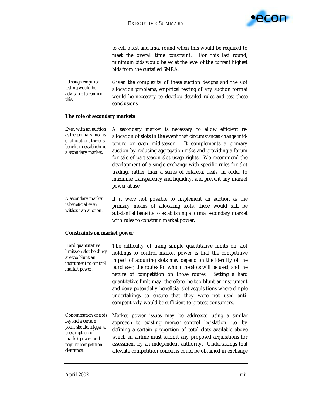

to call a last and final round when this would be required to meet the overall time constraint. For this last round, minimum bids would be set at the level of the current highest bids from the curtailed SMRA.

*…though empirical testing would be advisable to confirm this.*  Given the complexity of these auction designs and the slot allocation problems, empirical testing of any auction format would be necessary to develop detailed rules and test these conclusions.

#### **The role of secondary markets**

*Even with an auction as the primary means of allocation, there is benefit in establishing a secondary market.*  A secondary market is necessary to allow efficient reallocation of slots in the event that circumstances change midtenure or even mid-season. It complements a primary auction by reducing aggregation risks and providing a forum for sale of part-season slot usage rights. We recommend the development of a single exchange with specific rules for slot trading, rather than a series of bilateral deals, in order to maximise transparency and liquidity, and prevent any market power abuse.

*A secondary market is beneficial even without an auction.*  If it were not possible to implement an auction as the primary means of allocating slots, there would still be substantial benefits to establishing a formal secondary market with rules to constrain market power.

#### **Constraints on market power**

| Hard quantitative<br>limits on slot holdings<br>are too blunt an<br>instrument to control<br>market power. | The difficulty of using simple quantitative limits on slot<br>holdings to control market power is that the competitive<br>impact of acquiring slots may depend on the identity of the<br>purchaser, the routes for which the slots will be used, and the<br>nature of competition on those routes. Setting a hard<br>quantitative limit may, therefore, be too blunt an instrument<br>and deny potentially beneficial slot acquisitions where simple<br>undertakings to ensure that they were not used anti-<br>competitively would be sufficient to protect consumers. |
|------------------------------------------------------------------------------------------------------------|-------------------------------------------------------------------------------------------------------------------------------------------------------------------------------------------------------------------------------------------------------------------------------------------------------------------------------------------------------------------------------------------------------------------------------------------------------------------------------------------------------------------------------------------------------------------------|
|                                                                                                            | Concentration of slots Market nower issues may be addressed using a similar                                                                                                                                                                                                                                                                                                                                                                                                                                                                                             |

*Concentration of slots beyond a certain point should trigger a presumption of market power and require competition clearance.*  Market power issues may be addressed using a similar approach to existing merger control legislation, i.e. by defining a certain proportion of total slots available above which an airline must submit any proposed acquisitions for assessment by an independent authority. Undertakings that alleviate competition concerns could be obtained in exchange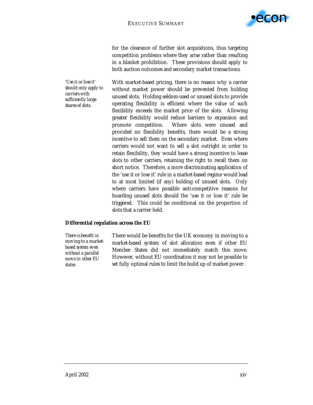

for the clearance of further slot acquisitions, thus targeting competition problems where they arise rather than resulting in a blanket prohibition. These provisions should apply to both auction outcomes and secondary market transactions.

*'Use it or lose it' should only apply to carriers with sufficiently large shares of slots.* 

With market-based pricing, there is no reason why a carrier without market power should be prevented from holding unused slots. Holding seldom-used or unused slots to provide operating flexibility is efficient where the value of such flexibility exceeds the market price of the slots. Allowing greater flexibility would reduce barriers to expansion and promote competition. Where slots were unused and provided no flexibility benefits, there would be a strong incentive to sell them on the secondary market. Even where carriers would not want to sell a slot outright in order to retain flexibility, they would have a strong incentive to lease slots to other carriers, retaining the right to recall them on short notice. Therefore, a more discriminating application of the 'use it or lose it' rule in a market-based regime would lead to at most limited (if any) holding of unused slots. Only where carriers have possible anti-competitive reasons for hoarding unused slots should the 'use it or lose it' rule be triggered. This could be conditional on the proportion of slots that a carrier held.

#### **Differential regulation across the EU**

*There is benefit in moving to a marketbased system even without a parallel move in other EU states* 

There would be benefits for the UK economy in moving to a market-based system of slot allocation even if other EU Member States did not immediately match this move. However, without EU coordination it may not be possible to set fully optimal rules to limit the build up of market power.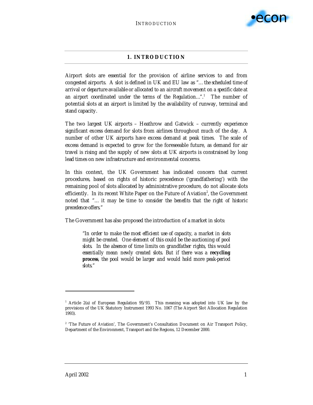

#### **1. INTRODUCTION**

Airport slots are essential for the provision of airline services to and from congested airports. A slot is defined in UK and EU law as "*… the scheduled time of arrival or departure available or allocated to an aircraft movement on a specific date at*  an airport coordinated under the terms of the Regulation...".<sup>1</sup> The number of potential slots at an airport is limited by the availability of runway, terminal and stand capacity.

The two largest UK airports – Heathrow and Gatwick – currently experience significant excess demand for slots from airlines throughout much of the day. A number of other UK airports have excess demand at peak times. The scale of excess demand is expected to grow for the foreseeable future, as demand for air travel is rising and the supply of new slots at UK airports is constrained by long lead times on new infrastructure and environmental concerns.

In this context, the UK Government has indicated concern that current procedures, based on rights of historic precedence ('grandfathering') with the remaining pool of slots allocated by administrative procedure, do not allocate slots efficiently. In its recent White Paper on the Future of Aviation<sup>2</sup>, the Government noted that "*… it may be time to consider the benefits that the right of historic precedence offers.*"

The Government has also proposed the introduction of a market in slots:

*"In order to make the most efficient use of capacity, a market in slots might be created. One element of this could be the auctioning of pool slots. In the absence of time limits on grandfather rights, this would essentially mean newly created slots. But if there was a recycling process, the pool would be larger and would hold more peak-period slots."* 

 $\overline{a}$ 

<sup>1</sup> Article 2(a) of European Regulation 95/93. This meaning was adopted into UK law by the provisions of the UK Statutory Instrument 1993 No. 1067 (The Airport Slot Allocation Regulation 1993).

<sup>&</sup>lt;sup>2</sup> 'The Future of Aviation', The Government's Consultation Document on Air Transport Policy, Department of the Environment, Transport and the Regions, 12 December 2000.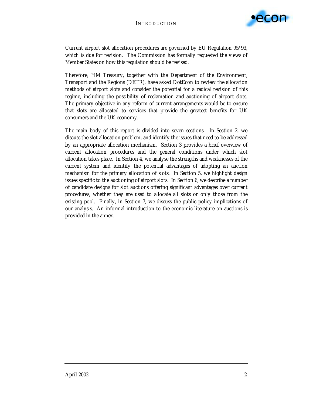

Current airport slot allocation procedures are governed by EU Regulation 95/93, which is due for revision. The Commission has formally requested the views of Member States on how this regulation should be revised.

Therefore, HM Treasury, together with the Department of the Environment, Transport and the Regions (DETR), have asked DotEcon to review the allocation methods of airport slots and consider the potential for a radical revision of this regime, including the possibility of reclamation and auctioning of airport slots. The primary objective in any reform of current arrangements would be to ensure that slots are allocated to services that provide the greatest benefits for UK consumers and the UK economy.

The main body of this report is divided into seven sections. In Section 2, we discuss the slot allocation problem, and identify the issues that need to be addressed by an appropriate allocation mechanism. Section 3 provides a brief overview of current allocation procedures and the general conditions under which slot allocation takes place. In Section 4, we analyse the strengths and weaknesses of the current system and identify the potential advantages of adopting an auction mechanism for the primary allocation of slots. In Section 5, we highlight design issues specific to the auctioning of airport slots. In Section 6, we describe a number of candidate designs for slot auctions offering significant advantages over current procedures, whether they are used to allocate all slots or only those from the existing pool. Finally, in Section 7, we discuss the public policy implications of our analysis. An informal introduction to the economic literature on auctions is provided in the annex.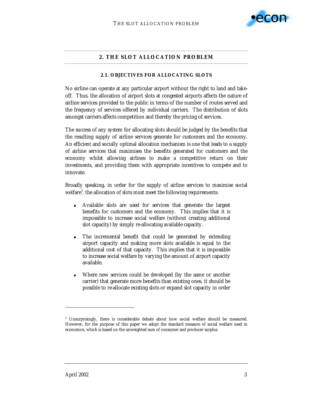

#### **2. THE SLOT ALLOCATION PROBLEM**

#### **2.1. OBJECTIVES FOR ALLOCATING SLOTS**

No airline can operate at any particular airport without the right to land and takeoff. Thus, the allocation of airport slots at congested airports affects the nature of airline services provided to the public in terms of the number of routes served and the frequency of services offered by individual carriers. The distribution of slots amongst carriers affects competition and thereby the pricing of services.

The success of any system for allocating slots should be judged by the benefits that the resulting supply of airline services generate for customers and the economy. An efficient and socially optimal allocation mechanism is one that leads to a supply of airline services that maximises the benefits generated for customers and the economy whilst allowing airlines to make a competitive return on their investments, and providing them with appropriate incentives to compete and to innovate.

Broadly speaking, in order for the supply of airline services to maximise social welfare<sup>3</sup>, the allocation of slots must meet the following requirements:

- ! Available slots are used for services that generate the largest benefits for customers and the economy. This implies that it is impossible to increase social welfare (without creating additional slot capacity) by simply re-allocating available capacity.
- The incremental benefit that could be generated by extending airport capacity and making more slots available is equal to the additional cost of that capacity. This implies that it is impossible to increase social welfare by varying the amount of airport capacity available.
- Where new services could be developed (by the same or another carrier) that generate more benefits than existing ones, it should be possible to re-allocate existing slots or expand slot capacity in order

 $\overline{a}$ 

<sup>3</sup> Unsurprisingly, there is considerable debate about how social welfare should be measured. However, for the purpose of this paper we adopt the standard measure of social welfare used in economics, which is based on the unweighted sum of consumer and producer surplus.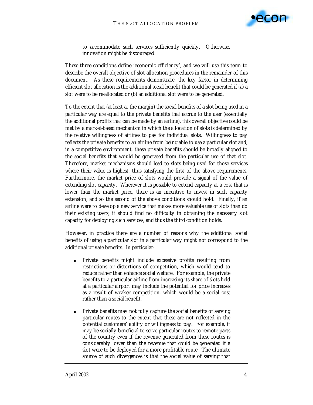

to accommodate such services sufficiently quickly. Otherwise, innovation might be discouraged.

These three conditions define 'economic efficiency', and we will use this term to describe the overall objective of slot allocation procedures in the remainder of this document. As these requirements demonstrate, the key factor in determining efficient slot allocation is the additional *social* benefit that could be generated if (a) a slot were to be re-allocated or (b) an additional slot were to be generated.

To the extent that (at least at the margin) the social benefits of a slot being used in a particular way are equal to the private benefits that accrue to the user (essentially the additional profits that can be made by an airline), this overall objective could be met by a market-based mechanism in which the allocation of slots is determined by the relative willingness of airlines to pay for individual slots. Willingness to pay reflects the private benefits to an airline from being able to use a particular slot and, in a competitive environment, these private benefits should be broadly aligned to the social benefits that would be generated from the particular use of that slot. Therefore, market mechanisms should lead to slots being used for those services where their value is highest, thus satisfying the first of the above requirements. Furthermore, the market price of slots would provide a signal of the value of extending slot capacity. Wherever it is possible to extend capacity at a cost that is lower than the market price, there is an incentive to invest in such capacity extension, and so the second of the above conditions should hold. Finally, if an airline were to develop a new service that makes more valuable use of slots than do their existing users, it should find no difficulty in obtaining the necessary slot capacity for deploying such services, and thus the third condition holds.

However, in practice there are a number of reasons why the additional social benefits of using a particular slot in a particular way might not correspond to the additional private benefits. In particular:

- ! Private benefits might include excessive profits resulting from restrictions or distortions of competition, which would tend to reduce rather than enhance social welfare. For example, the private benefits to a particular airline from increasing its share of slots held at a particular airport may include the potential for price increases as a result of weaker competition, which would be a social cost rather than a social benefit.
- ! Private benefits may not fully capture the social benefits of serving particular routes to the extent that these are not reflected in the potential customers' ability or willingness to pay. For example, it may be socially beneficial to serve particular routes to remote parts of the country even if the revenue generated from these routes is considerably lower than the revenue that could be generated if a slot were to be deployed for a more profitable route. The ultimate source of such divergences is that the social value of serving that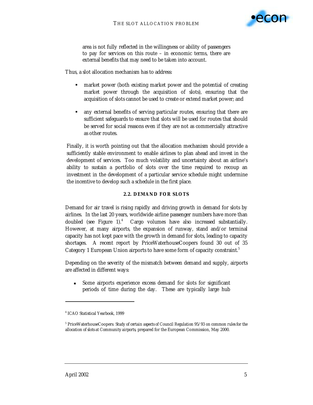

area is not fully reflected in the willingness or ability of passengers to pay for services on this route – in economic terms, there are external benefits that may need to be taken into account.

Thus, a slot allocation mechanism has to address:

- market power (both existing market power and the potential of creating market power through the acquisition of slots), ensuring that the acquisition of slots cannot be used to create or extend market power; and
- any external benefits of serving particular routes, ensuring that there are sufficient safeguards to ensure that slots will be used for routes that should be served for social reasons even if they are not as commercially attractive as other routes.

Finally, it is worth pointing out that the allocation mechanism should provide a sufficiently stable environment to enable airlines to plan ahead and invest in the development of services. Too much volatility and uncertainty about an airline's ability to sustain a portfolio of slots over the time required to recoup an investment in the development of a particular service schedule might undermine the incentive to develop such a schedule in the first place.

#### **2.2. DEMAND FOR SLOTS**

Demand for air travel is rising rapidly and driving growth in demand for slots by airlines. In the last 20 years, worldwide airline passenger numbers have more than doubled (see Figure 1).<sup>4</sup> Cargo volumes have also increased substantially. However, at many airports, the expansion of runway, stand and/or terminal capacity has not kept pace with the growth in demand for slots, leading to capacity shortages. A recent report by PriceWaterhouseCoopers found 30 out of 35 Category 1 European Union airports to have some form of capacity constraint.<sup>5</sup>

Depending on the severity of the mismatch between demand and supply, airports are affected in different ways:

Some airports experience excess demand for slots for significant periods of time during the day. These are typically large hub

 $\overline{a}$ 

<sup>4</sup> *ICAO Statistical Yearbook*, 1999

<sup>5</sup> PriceWaterhouseCoopers: *Study of certain aspects of Council Regulation 95/93 on common rules for the allocation of slots at Community airports*, prepared for the European Commission, May 2000.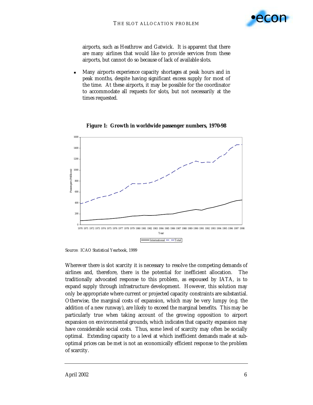

airports, such as Heathrow and Gatwick. It is apparent that there are many airlines that would like to provide services from these airports, but cannot do so because of lack of available slots.

! Many airports experience capacity shortages at peak hours and in peak months, despite having significant excess supply for most of the time. At these airports, it may be possible for the coordinator to accommodate all requests for slots, but not necessarily at the times requested.



**Figure 1: Growth in worldwide passenger numbers, 1970-98** 

Source: *ICAO Statistical Yearbook*, 1999

Wherever there is slot scarcity it is necessary to resolve the competing demands of airlines and, therefore, there is the potential for inefficient allocation. The traditionally advocated response to this problem, as espoused by IATA, is to expand supply through infrastructure development. However, this solution may only be appropriate where current or projected capacity constraints are substantial. Otherwise, the marginal costs of expansion, which may be very lumpy (e.g. the addition of a new runway), are likely to exceed the marginal benefits. This may be particularly true when taking account of the growing opposition to airport expansion on environmental grounds, which indicates that capacity expansion may have considerable social costs. Thus, some level of scarcity may often be socially optimal. Extending capacity to a level at which inefficient demands made at suboptimal prices can be met is not an economically efficient response to the problem of scarcity.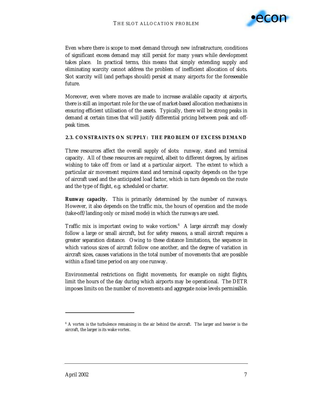

Even where there is scope to meet demand through new infrastructure, conditions of significant excess demand may still persist for many years while development takes place. In practical terms, this means that simply extending supply and eliminating scarcity cannot address the problem of inefficient allocation of slots. Slot scarcity will (and perhaps should) persist at many airports for the foreseeable future.

Moreover, even where moves are made to increase available capacity at airports, there is still an important role for the use of market-based allocation mechanisms in ensuring efficient utilisation of the assets. Typically, there will be strong peaks in demand at certain times that will justify differential pricing between peak and offpeak times.

#### **2.3. CONSTRAINTS ON SUPPLY: THE PROBLEM OF EXCESS DEMAND**

Three resources affect the overall supply of slots: runway, stand and terminal capacity. All of these resources are required, albeit to different degrees, by airlines wishing to take off from or land at a particular airport. The extent to which a particular air movement requires stand and terminal capacity depends on the type of aircraft used and the anticipated load factor, which in turn depends on the route and the type of flight, e.g. scheduled or charter.

**Runway capacity.** This is primarily determined by the number of runways. However, it also depends on the traffic mix, the hours of operation and the mode (take-off/landing only or mixed mode) in which the runways are used.

Traffic mix is important owing to wake vortices. $6$  A large aircraft may closely follow a large or small aircraft, but for safety reasons, a small aircraft requires a greater separation distance. Owing to these distance limitations, the sequence in which various sizes of aircraft follow one another, and the degree of variation in aircraft sizes, causes variations in the total number of movements that are possible within a fixed time period on any one runway.

Environmental restrictions on flight movements, for example on night flights, limit the hours of the day during which airports may be operational. The DETR imposes limits on the number of movements and aggregate noise levels permissible.

 $\ddot{ }$ 

<sup>&</sup>lt;sup>6</sup> A vortex is the turbulence remaining in the air behind the aircraft. The larger and heavier is the aircraft, the larger is its wake vortex.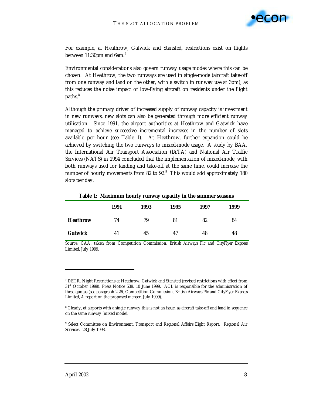

For example, at Heathrow, Gatwick and Stansted, restrictions exist on flights between 11:30pm and 6am. $^7$ 

Environmental considerations also govern runway usage modes where this can be chosen. At Heathrow, the two runways are used in single-mode (aircraft take-off from one runway and land on the other, with a switch in runway use at 3pm), as this reduces the noise impact of low-flying aircraft on residents under the flight paths.<sup>8</sup>

Although the primary driver of increased supply of runway capacity is investment in new runways, new slots can also be generated through more efficient runway utilisation. Since 1991, the airport authorities at Heathrow and Gatwick have managed to achieve successive incremental increases in the number of slots available per hour (see Table 1). At Heathrow, further expansion could be achieved by switching the two runways to mixed-mode usage. A study by BAA, the International Air Transport Association (IATA) and National Air Traffic Services (NATS) in 1994 concluded that the implementation of mixed-mode, with both runways used for landing and take-off at the same time, could increase the number of hourly movements from 82 to  $92.^9$  This would add approximately 180 slots per day.

|                 | 1991 | 1993 | 1995 | 1997 | 1999 |
|-----------------|------|------|------|------|------|
| <b>Heathrow</b> | 74   | 79   | 81   | 82   | 84   |
| <b>Gatwick</b>  | 41   | 45   | 47   | 48   | 48   |

**Table 1: Maximum hourly runway capacity in the summer seasons** 

Source: CAA, taken from Competition Commission: *British Airways Plc and CityFlyer Express Limited*, July 1999.

-

 $^7$  DETR, Night Restrictions at Heathrow, Gatwick and Stansted (revised restrictions with effect from 31<sup>st</sup> October 1999). Press Notice 539, 10 June 1999. ACL is responsible for the administration of these quotas (see paragraph 2.26, Competition Commission, *British Airways Plc and CityFlyer Express Limited*, A report on the proposed merger, July 1999).

<sup>8</sup> Clearly, at airports with a single runway this is not an issue, as aircraft take-off and land in sequence on the same runway (mixed mode).

<sup>&</sup>lt;sup>9</sup> Select Committee on Environment, Transport and Regional Affairs Eight Report. Regional Air Services. 28 July 1998.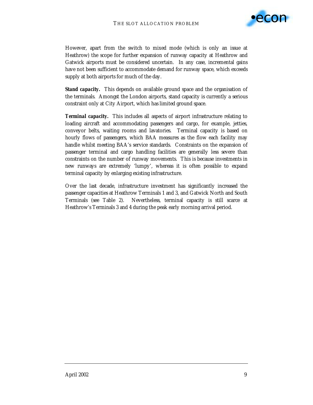

However, apart from the switch to mixed mode (which is only an issue at Heathrow) the scope for further expansion of runway capacity at Heathrow and Gatwick airports must be considered uncertain. In any case, incremental gains have not been sufficient to accommodate demand for runway space, which exceeds supply at both airports for much of the day.

**Stand capacity.** This depends on available ground space and the organisation of the terminals. Amongst the London airports, stand capacity is currently a serious constraint only at City Airport, which has limited ground space.

**Terminal capacity.** This includes all aspects of airport infrastructure relating to loading aircraft and accommodating passengers and cargo, for example, jetties, conveyor belts, waiting rooms and lavatories. Terminal capacity is based on hourly flows of passengers, which BAA measures as the flow each facility may handle whilst meeting BAA's service standards. Constraints on the expansion of passenger terminal and cargo handling facilities are generally less severe than constraints on the number of runway movements. This is because investments in new runways are extremely 'lumpy', whereas it is often possible to expand terminal capacity by enlarging existing infrastructure.

Over the last decade, infrastructure investment has significantly increased the passenger capacities at Heathrow Terminals 1 and 3, and Gatwick North and South Terminals (see Table 2). Nevertheless, terminal capacity is still scarce at Heathrow's Terminals 3 and 4 during the peak early morning arrival period.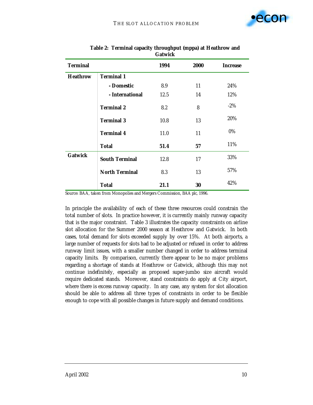

|                 |                       | Gatwick |      |                 |
|-----------------|-----------------------|---------|------|-----------------|
| <b>Terminal</b> |                       | 1994    | 2000 | <b>Increase</b> |
| <b>Heathrow</b> | <b>Terminal 1</b>     |         |      |                 |
|                 | - Domestic            | 8.9     | 11   | 24%             |
|                 | - International       | 12.5    | 14   | 12%             |
|                 | <b>Terminal 2</b>     | 8.2     | 8    | $-2\%$          |
|                 | <b>Terminal 3</b>     | 10.8    | 13   | 20%             |
|                 | <b>Terminal 4</b>     | 11.0    | 11   | $0\%$           |
|                 | <b>Total</b>          | 51.4    | 57   | 11%             |
| <b>Gatwick</b>  | <b>South Terminal</b> | 12.8    | 17   | 33%             |
|                 | <b>North Terminal</b> | 8.3     | 13   | 57%             |
|                 | <b>Total</b>          | 21.1    | 30   | 42%             |

#### **Table 2: Terminal capacity throughput (mppa) at Heathrow and Gatwick**

Source: BAA, taken from Monopolies and Mergers Commission*, BAA plc*, 1996.

In principle the availability of each of these three resources could constrain the total number of slots. In practice however, it is currently mainly runway capacity that is the major constraint. Table 3 illustrates the capacity constraints on airline slot allocation for the Summer 2000 season at Heathrow and Gatwick. In both cases, total demand for slots exceeded supply by over 15%. At both airports, a large number of requests for slots had to be adjusted or refused in order to address runway limit issues, with a smaller number changed in order to address terminal capacity limits. By comparison, currently there appear to be no major problems regarding a shortage of stands at Heathrow or Gatwick, although this may not continue indefinitely, especially as proposed super-jumbo size aircraft would require dedicated stands. Moreover, stand constraints do apply at City airport, where there is excess runway capacity. In any case, any system for slot allocation should be able to address all three types of constraints in order to be flexible enough to cope with all possible changes in future supply and demand conditions.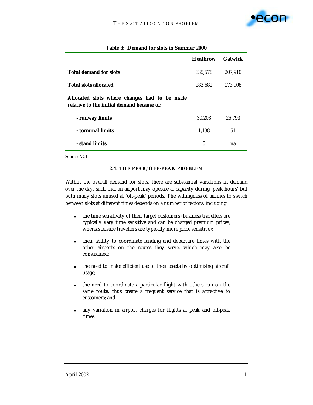

|                                                                                            | <b>Heathrow</b> | <b>Gatwick</b> |
|--------------------------------------------------------------------------------------------|-----------------|----------------|
| <b>Total demand for slots</b>                                                              | 335,578         | 207,910        |
| <b>Total slots allocated</b>                                                               | 283,681         | 173.908        |
| Allocated slots where changes had to be made<br>relative to the initial demand because of: |                 |                |
| - runway limits                                                                            | 30.203          | 26.793         |
| - terminal limits                                                                          | 1,138           | 51             |
| - stand limits                                                                             | 0               | na             |

#### **Table 3: Demand for slots in Summer 2000**

Source: ACL.

#### **2.4. THE PEAK/OFF-PEAK PROBLEM**

Within the overall demand for slots, there are substantial variations in demand over the day, such that an airport may operate at capacity during 'peak hours' but with many slots unused at 'off-peak' periods. The willingness of airlines to switch between slots at different times depends on a number of factors, including:

- ! the time sensitivity of their target customers (business travellers are typically very time sensitive and can be charged premium prices, whereas leisure travellers are typically more price sensitive);
- ! their ability to coordinate landing and departure times with the other airports on the routes they serve, which may also be constrained;
- ! the need to make efficient use of their assets by optimising aircraft usage;
- ! the need to coordinate a particular flight with others run on the same route, thus create a frequent service that is attractive to customers; and
- ! any variation in airport charges for flights at peak and off-peak times.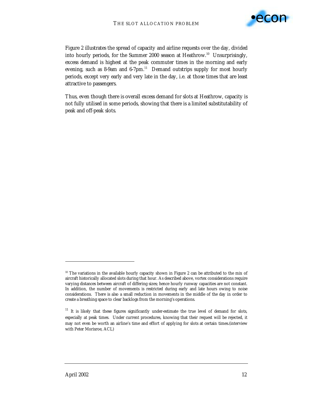

Figure 2 illustrates the spread of capacity and airline requests over the day, divided into hourly periods, for the Summer 2000 season at Heathrow.<sup>10</sup> Unsurprisingly, excess demand is highest at the peak commuter times in the morning and early evening, such as 8-9am and 6-7pm.<sup>11</sup> Demand outstrips supply for most hourly periods, except very early and very late in the day, i.e. at those times that are least attractive to passengers.

Thus, even though there is overall excess demand for slots at Heathrow, capacity is not fully utilised in some periods, showing that there is a limited substitutability of peak and off-peak slots.

-

 $10$  The variations in the available hourly capacity shown in Figure 2 can be attributed to the mix of aircraft historically allocated slots during that hour. As described above, vortex considerations require varying distances between aircraft of differing sizes; hence hourly runway capacities are not constant. In addition, the number of movements is restricted during early and late hours owing to noise considerations. There is also a small reduction in movements in the middle of the day in order to create a breathing space to clear backlogs from the morning's operations.

<sup>&</sup>lt;sup>11</sup> It is likely that these figures significantly under-estimate the true level of demand for slots, especially at peak times. Under current procedures, knowing that their request will be rejected, it may not even be worth an airline's time and effort of applying for slots at certain times.(interview with Peter Morisroe, ACL)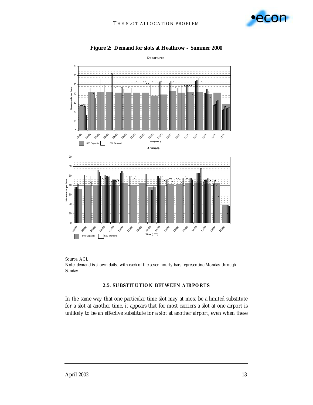



#### **Figure 2: Demand for slots at Heathrow – Summer 2000**

Source: ACL. Note: demand is shown daily, with each of the seven hourly bars representing Monday through Sunday.

#### **2.5. SUBSTITUTION BETWEEN AIRPORTS**

In the same way that one particular time slot may at most be a limited substitute for a slot at another time, it appears that for most carriers a slot at one airport is unlikely to be an effective substitute for a slot at another airport, even when these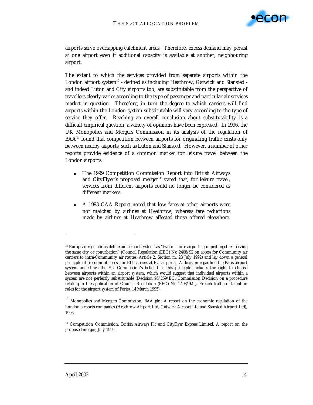

airports serve overlapping catchment areas. Therefore, excess demand may persist at one airport even if additional capacity is available at another, neighbouring airport.

The extent to which the services provided from separate airports within the London airport system $12$  - defined as including Heathrow, Gatwick and Stansted and indeed Luton and City airports too, are substitutable from the perspective of travellers clearly varies according to the type of passenger and particular air services market in question. Therefore, in turn the degree to which carriers will find airports within the London system substitutable will vary according to the type of service they offer. Reaching an overall conclusion about substitutability is a difficult empirical question; a variety of opinions have been expressed. In 1996, the UK Monopolies and Mergers Commission in its analysis of the regulation of  $BAA<sup>13</sup>$  found that competition between airports for originating traffic exists only between nearby airports, such as Luton and Stansted. However, a number of other reports provide evidence of a common market for leisure travel between the London airports:

- ! The 1999 Competition Commission Report into British Airways and CityFlyer's proposed merger $14$  stated that, for leisure travel, services from different airports could no longer be considered as different markets.
- ! A 1993 CAA Report noted that low fares at other airports were not matched by airlines at Heathrow, whereas fare reductions made by airlines at Heathrow affected those offered elsewhere.

 $\overline{a}$ 

 $12$  European regulations define an 'airport system' as "two or more airports grouped together serving the same city or conurbation" (Council Regulation (EEC) No 2408/92 on access for Community air carriers to intra-Community air routes, Article 2, Section m, 23 July 1992) and lay down a general principle of freedom of access for EU carriers at EU airports. A decision regarding the Paris airport system underlines the EU Commission's belief that this principle includes the right to choose between airports within an airport system, which would suggest that individual airports within a system are not perfectly substitutable (Decision 95/259/EC: Commission Decision on a procedure relating to the application of Council Regulation (EEC) No 2408/92 (…French traffic distribution rules for the airport system of Paris), 14 March 1995).

<sup>&</sup>lt;sup>13</sup> Monopolies and Mergers Commission, *BAA plc.*, A report on the economic regulation of the London airports companies (Heathrow Airport Ltd, Gatwick Airport Ltd and Stansted Airport Ltd), 1996.

<sup>14</sup> Competition Commission, *British Airways Plc and CityFlyer Express Limited*, A report on the proposed merger, July 1999.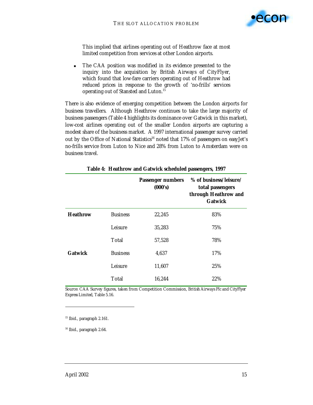

This implied that airlines operating out of Heathrow face at most limited competition from services at other London airports.

! The CAA position was modified in its evidence presented to the inquiry into the acquisition by British Airways of CityFlyer, which found that low-fare carriers operating out of Heathrow had reduced prices in response to the growth of 'no-frills' services operating out of Stansted and Luton.15

There is also evidence of emerging competition between the London airports for business travellers. Although Heathrow continues to take the large majority of business passengers (Table 4 highlights its dominance over Gatwick in this market), low-cost airlines operating out of the smaller London airports are capturing a modest share of the business market. A 1997 international passenger survey carried out by the Office of National Statistics<sup>16</sup> noted that 17% of passengers on easyJet's no-frills service from Luton to Nice and 28% from Luton to Amsterdam were on business travel.

|                 |                 | <b>Passenger numbers</b><br>(000's) | % of business/leisure/<br>total passengers<br>through Heathrow and<br><b>Gatwick</b> |
|-----------------|-----------------|-------------------------------------|--------------------------------------------------------------------------------------|
| <b>Heathrow</b> | <b>Business</b> | 22,245                              | 83%                                                                                  |
|                 | Leisure         | 35,283                              | 75%                                                                                  |
|                 | Total           | 57,528                              | 78%                                                                                  |
| <b>Gatwick</b>  | <b>Business</b> | 4,637                               | 17%                                                                                  |
|                 | Leisure         | 11,607                              | 25%                                                                                  |
|                 | Total           | 16,244                              | 22%                                                                                  |

**Table 4: Heathrow and Gatwick scheduled passengers, 1997** 

Source: CAA Survey figures, taken from Competition Commission, *British Airways Plc and CityFlyer Express Limited*, Table 5.16.

<sup>15</sup> Ibid., paragraph 2.161.

-

16 Ibid., paragraph 2.64.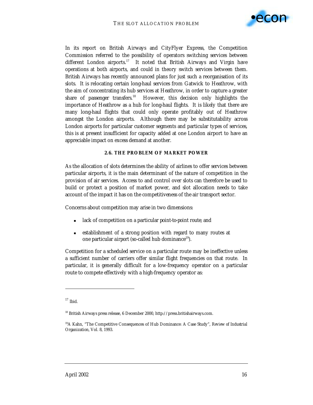

In its report on British Airways and CityFlyer Express, the Competition Commission referred to the possibility of operators switching services between different London airports.<sup>17</sup> It noted that British Airways and Virgin have operations at both airports, and could in theory switch services between them. British Airways has recently announced plans for just such a reorganisation of its slots. It is relocating certain long-haul services from Gatwick to Heathrow, with the aim of concentrating its hub services at Heathrow, in order to capture a greater share of passenger transfers.<sup>18</sup> However, this decision only highlights the importance of Heathrow as a hub for long-haul flights. It is likely that there are many long-haul flights that could only operate profitably out of Heathrow amongst the London airports. Although there may be substitutability across London airports for particular customer segments and particular types of services, this is at present insufficient for capacity added at one London airport to have an appreciable impact on excess demand at another.

#### **2.6. THE PROBLEM OF MARKET POWER**

As the allocation of slots determines the ability of airlines to offer services between particular airports, it is the main determinant of the nature of competition in the provision of air services. Access to and control over slots can therefore be used to build or protect a position of market power, and slot allocation needs to take account of the impact it has on the competitiveness of the air transport sector.

Concerns about competition may arise in two dimensions:

- lack of competition on a particular *point-to-point route*; and
- establishment of a strong position with regard to many routes at one particular *airport* (so-called hub dominance19).

Competition for a scheduled service on a particular route may be ineffective unless a sufficient number of carriers offer similar flight frequencies on that route. In particular, it is generally difficult for a low-frequency operator on a particular route to compete effectively with a high-frequency operator as:

-

 $17$  Ibid.

<sup>18</sup> British Airways press release, 6 December 2000, http://press.britishairways.com.

<sup>19</sup>A Kahn, "The Competitive Consequences of Hub Dominance: A Case Study", *Review of Industrial Organization,* Vol. 8, 1993.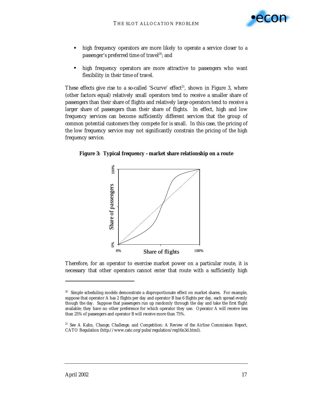

- **•** high frequency operators are more likely to operate a service closer to a passenger's preferred time of travel $^{20}$ ; and
- **•** high frequency operators are more attractive to passengers who want flexibility in their time of travel.

These effects give rise to a so-called 'S-curve' effect<sup>21</sup>, shown in Figure 3, where (other factors equal) relatively small operators tend to receive a smaller share of passengers than their share of flights and relatively large operators tend to receive a larger share of passengers than their share of flights. In effect, high and low frequency services can become sufficiently different services that the group of *common* potential customers they compete for is small. In this case, the pricing of the low frequency service may not significantly constrain the pricing of the high frequency service.

**Figure 3: Typical frequency - market share relationship on a route** 



Therefore, for an operator to exercise market power on a particular route, it is necessary that other operators cannot enter that route with a sufficiently high

 $\overline{a}$ 

<sup>&</sup>lt;sup>20</sup> Simple scheduling models demonstrate a disproportionate effect on market shares. For example, suppose that operator *A* has 2 flights per day and operator *B* has 6 flights per day, each spread evenly though the day. Suppose that passengers run up randomly through the day and take the first flight available; they have no other preference for which operator they use. Operator *A* will receive less than 25% of passengers and operator *B* will receive more than 75%.

<sup>21</sup> See A Kahn, *Change, Challenge, and Competition: A Review of the Airline Commission Report*, CATO Regulation (http://www.cato.org/pubs/regulation/reg16n3d.html).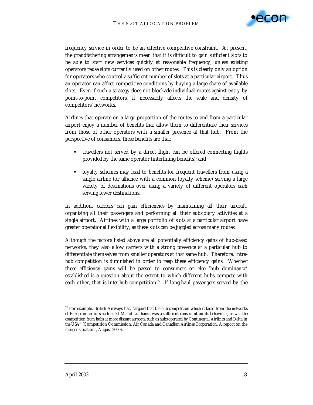

frequency service in order to be an effective competitive constraint. At present, the grandfathering arrangements mean that it is difficult to gain sufficient slots to be able to start new services quickly at reasonable frequency, unless existing operators reuse slots currently used on other routes. This is clearly only an option for operators who control a sufficient number of slots at a particular airport. Thus an operator can affect competitive conditions by buying a large share of available slots. Even if such a strategy does not blockade individual routes against entry by point-to-point competitors, it necessarily affects the scale and density of competitors' networks.

Airlines that operate on a large proportion of the routes to and from a particular airport enjoy a number of benefits that allow them to differentiate their services from those of other operators with a smaller presence at that hub. From the perspective of consumers, these benefits are that:

- travellers not served by a direct flight can be offered connecting flights provided by the same operator (interlining benefits); and
- **•** loyalty schemes may lead to benefits for frequent travellers from using a single airline (or alliance with a common loyalty scheme) serving a large variety of destinations over using a variety of different operators each serving fewer destinations.

In addition, carriers can gain efficiencies by maintaining all their aircraft, organising all their passengers and performing all their subsidiary activities at a single airport. Airlines with a large portfolio of slots at a particular airport have greater operational flexibility, as these slots can be juggled across many routes.

Although the factors listed above are all potentially efficiency gains of hub-based networks, they also allow carriers with a strong presence at a particular hub to differentiate themselves from smaller operators at that same hub. Therefore, *intrahub* competition is diminished in order to reap these efficiency gains. Whether these efficiency gains will be passed to consumers or else 'hub dominance' established is a question about the extent to which different hubs compete with each other, that is *inter-hub* competition.<sup>22</sup> If long-haul passengers served by the

 $\overline{a}$ 

<sup>&</sup>lt;sup>22</sup> For example, British Airways has, "argued that the hub competition which it faced from the networks *of European airlines such as KLM and Lufthansa was a sufficient constraint on its behaviour, as was the competition from hubs at more distant airports, such as hubs operated by Continental Airlines and Delta in the USA*" (Competition Commission, *Air Canada and Canadian Airlines Corporation*, A report on the merger situations, August 2000).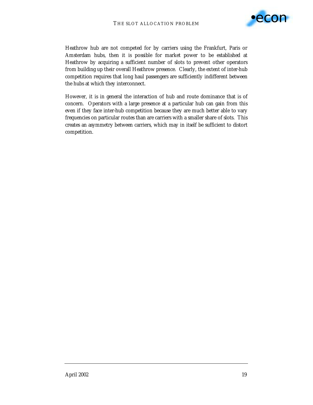

Heathrow hub are not competed for by carriers using the Frankfurt, Paris or Amsterdam hubs, then it is possible for market power to be established at Heathrow by acquiring a sufficient number of slots to prevent other operators from building up their overall Heathrow presence. Clearly, the extent of inter-hub competition requires that long haul passengers are sufficiently indifferent between the hubs at which they interconnect.

However, it is in general the interaction of hub and route dominance that is of concern. Operators with a large presence at a particular hub can gain from this even if they face inter-hub competition because they are much better able to vary frequencies on particular routes than are carriers with a smaller share of slots. This creates an asymmetry between carriers, which may in itself be sufficient to distort competition.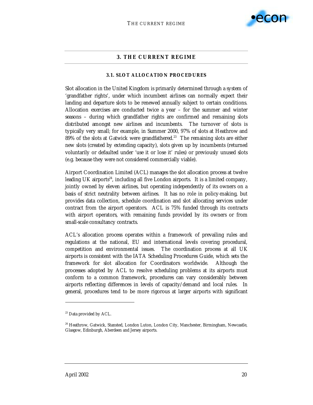

#### **3. THE CURRENT REGIME**

#### **3.1. SLOT ALLOCATION PROCEDURES**

Slot allocation in the United Kingdom is primarily determined through a system of 'grandfather rights', under which incumbent airlines can normally expect their landing and departure slots to be renewed annually subject to certain conditions. Allocation exercises are conducted twice a year – for the summer and winter seasons – during which grandfather rights are confirmed and remaining slots distributed amongst new airlines and incumbents. The turnover of slots is typically very small; for example, in Summer 2000, 97% of slots at Heathrow and 89% of the slots at Gatwick were grandfathered.<sup>23</sup> The remaining slots are either new slots (created by extending capacity), slots given up by incumbents (returned voluntarily or defaulted under 'use it or lose it' rules) or previously unused slots (e.g. because they were not considered commercially viable).

Airport Coordination Limited (ACL) manages the slot allocation process at twelve leading UK airports<sup>24</sup>, including all five London airports. It is a limited company, jointly owned by eleven airlines, but operating independently of its owners on a basis of strict neutrality between airlines. It has no role in policy-making, but provides data collection, schedule coordination and slot allocating services under contract from the airport operators. ACL is 75% funded through its contracts with airport operators, with remaining funds provided by its owners or from small-scale consultancy contracts.

ACL's allocation process operates within a framework of prevailing rules and regulations at the national, EU and international levels covering procedural, competition and environmental issues. The coordination process at all UK airports is consistent with the IATA Scheduling Procedures Guide, which sets the framework for slot allocation for Coordinators worldwide. Although the processes adopted by ACL to resolve scheduling problems at its airports must conform to a common framework, procedures can vary considerably between airports reflecting differences in levels of capacity/demand and local rules. In general, procedures tend to be more rigorous at larger airports with significant

-

<sup>&</sup>lt;sup>23</sup> Data provided by ACL.

<sup>&</sup>lt;sup>24</sup> Heathrow, Gatwick, Stansted, London Luton, London City, Manchester, Birmingham, Newcastle, Glasgow, Edinburgh, Aberdeen and Jersey airports.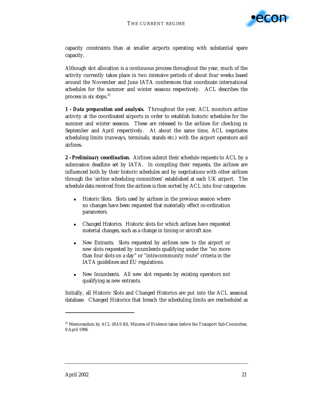

capacity constraints than at smaller airports operating with substantial spare capacity.

Although slot allocation is a continuous process throughout the year, much of the activity currently takes place in two intensive periods of about four weeks based around the November and June IATA conferences that coordinate international schedules for the summer and winter seasons respectively. ACL describes the process in six steps. $25$ 

*1 - Data preparation and analysis.* Throughout the year, ACL monitors airline activity at the coordinated airports in order to establish historic schedules for the summer and winter seasons. These are released to the airlines for checking in September and April respectively. At about the same time, ACL negotiates scheduling limits (runways, terminals, stands etc.) with the airport operators and airlines.

*2 - Preliminary coordination.* Airlines submit their schedule requests to ACL by a submission deadline set by IATA. In compiling their requests, the airlines are influenced both by their historic schedules and by negotiations with other airlines through the 'airline scheduling committees' established at each UK airport. The schedule data received from the airlines is then sorted by ACL into four categories:

- *Historic Slots.* Slots used by airlines in the previous session where no changes have been requested that materially effect co-ordination parameters.
- ! *Changed Historics.* Historic slots for which airlines have requested material changes, such as a change in timing or aircraft size.
- ! *New Entrants.* Slots requested by airlines new to the airport or new slots requested by incumbents qualifying under the "no more than four slots on a day" or "intra-community route" criteria in the IATA guidelines and EU regulations.
- **New Incumbents.** All new slot requests by existing operators not qualifying as new entrants.

Initially, all Historic Slots and Changed Historics are put into the ACL seasonal database. Changed Historics that breach the scheduling limits are rescheduled as

<sup>&</sup>lt;sup>25</sup> Memorandum by ACL (RAS 83), Minutes of Evidence taken before the Transport Sub-Committee, 8 April 1998.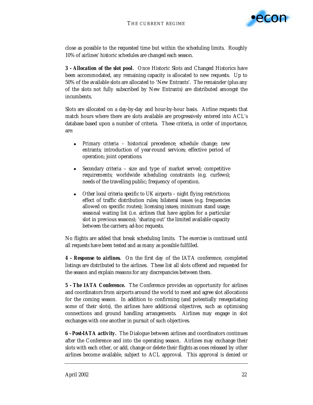

close as possible to the requested time but within the scheduling limits. Roughly 10% of airlines' historic schedules are changed each season.

*3 - Allocation of the slot pool.* Once Historic Slots and Changed Historics have been accommodated, any remaining capacity is allocated to new requests. Up to 50% of the available slots are allocated to 'New Entrants'. The remainder (plus any of the slots not fully subscribed by New Entrants) are distributed amongst the incumbents.

Slots are allocated on a day-by-day and hour-by-hour basis. Airline requests that match hours where there are slots available are progressively entered into ACL's database based upon a number of criteria. These criteria, in order of importance, are:

- ! *Primary criteria* historical precedence; schedule change; new entrants; introduction of year-round services; effective period of operation; joint operations.
- ! *Secondary criteria* size and type of market served; competitive requirements; worldwide scheduling constraints (e.g. curfews); needs of the travelling public; frequency of operation.
- ! *Other local criteria specific to UK airports* night flying restrictions; effect of traffic distribution rules; bilateral issues (e.g. frequencies allowed on specific routes); licensing issues; minimum stand usage; seasonal waiting list (i.e. airlines that have applies for a particular slot in previous seasons); 'sharing out' the limited available capacity between the carriers; ad-hoc requests.

No flights are added that break scheduling limits. The exercise is continued until all requests have been tested and as many as possible fulfilled.

*4 - Response to airlines.* On the first day of the IATA conference, completed listings are distributed to the airlines. These list all slots offered and requested for the season and explain reasons for any discrepancies between them.

*5 - The IATA Conference.* The Conference provides an opportunity for airlines and coordinators from airports around the world to meet and agree slot allocations for the coming season. In addition to confirming (and potentially renegotiating some of their slots), the airlines have additional objectives, such as optimising connections and ground handling arrangements. Airlines may engage in slot exchanges with one another in pursuit of such objectives.

*6 - Post-IATA activity.* The Dialogue between airlines and coordinators continues after the Conference and into the operating season. Airlines may exchange their slots with each other, or add, change or delete their flights as ones released by other airlines become available, subject to ACL approval. This approval is denied or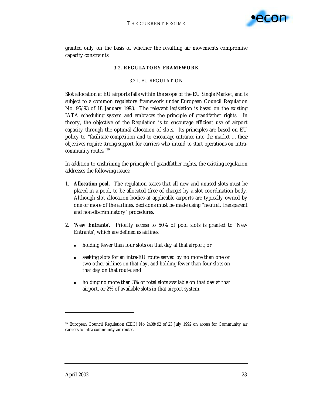

granted only on the basis of whether the resulting air movements compromise capacity constraints.

### **3.2. REGULATORY FRAMEWORK**

#### 3.2.1. EU REGULATION

Slot allocation at EU airports falls within the scope of the EU Single Market, and is subject to a common regulatory framework under European Council Regulation No. 95/93 of 18 January 1993. The relevant legislation is based on the existing IATA scheduling system and embraces the principle of grandfather rights. In theory, the objective of the Regulation is to encourage efficient use of airport capacity through the optimal allocation of slots. Its principles are based on EU policy to "*facilitate competition and to encourage entrance into the market … these objectives require strong support for carriers who intend to start operations on intracommunity routes.*" 26

In addition to enshrining the principle of grandfather rights, the existing regulation addresses the following issues:

- 1. *Allocation pool.* The regulation states that all new and unused slots must be placed in a pool, to be allocated (free of charge) by a slot coordination body. Although slot allocation bodies at applicable airports are typically owned by one or more of the airlines, decisions must be made using "neutral, transparent and non-discriminatory" procedures.
- 2. *'New Entrants'***.** Priority access to 50% of pool slots is granted to 'New Entrants', which are defined as airlines:
	- holding fewer than four slots on that day at that airport; or
	- seeking slots for an intra-EU route served by no more than one or two other airlines on that day, and holding fewer than four slots on that day on that route; and
	- holding no more than 3% of total slots available on that day at that airport, or 2% of available slots in that airport system.

<sup>&</sup>lt;sup>26</sup> European Council Regulation (EEC) No 2408/92 of 23 July 1992 on access for Community air carriers to intra-community air-routes.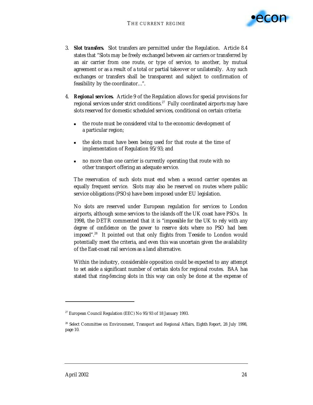

- 3. *Slot transfers.* Slot transfers are permitted under the Regulation. Article 8.4 states that "Slots may be freely exchanged between air carriers or transferred by an air carrier from one route, or type of service, to another, by mutual agreement or as a result of a total or partial takeover or unilaterally. Any such exchanges or transfers shall be transparent and subject to confirmation of feasibility by the coordinator…".
- 4. *Regional services.* Article 9 of the Regulation allows for special provisions for regional services under strict conditions.<sup>27</sup> Fully coordinated airports may have slots reserved for domestic scheduled services, conditional on certain criteria:
	- the route must be considered vital to the economic development of a particular region;
	- the slots must have been being used for that route at the time of implementation of Regulation 95/93; and
	- ! no more than one carrier is currently operating that route with no other transport offering an adequate service.

The reservation of such slots must end when a second carrier operates an equally frequent service. Slots may also be reserved on routes where public service obligations (PSOs) have been imposed under EU legislation.

No slots are reserved under European regulation for services to London airports, although some services to the islands off the UK coast have PSOs. In 1998, the DETR commented that it is "*impossible for the UK to rely with any degree of confidence on the power to reserve slots where no PSO had been imposed*"<sup>28</sup> It pointed out that only flights from Teeside to London would potentially meet the criteria, and even this was uncertain given the availability of the East-coast rail services as a land alternative.

Within the industry, considerable opposition could be expected to any attempt to set aside a significant number of certain slots for regional routes. BAA has stated that ring-fencing slots in this way can only be done at the expense of

<sup>27</sup> European Council Regulation (EEC) No 95/93 of 18 January 1993.

<sup>28</sup> Select Committee on Environment, Transport and Regional Affairs, *Eighth Report*, 28 July 1998, page 10.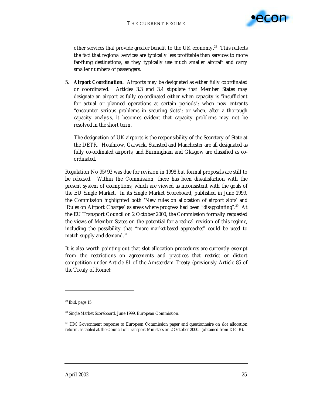

other services that provide greater benefit to the UK economy.<sup>29</sup> This reflects the fact that regional services are typically less profitable than services to more far-flung destinations, as they typically use much smaller aircraft and carry smaller numbers of passengers.

5. *Airport Coordination.* Airports may be designated as either fully coordinated or coordinated. Articles 3.3 and 3.4 stipulate that Member States may designate an airport as fully co-ordinated either when capacity is "insufficient for actual or planned operations at certain periods"; when new entrants "encounter serious problems in securing slots"; or when, after a thorough capacity analysis, it becomes evident that capacity problems may not be resolved in the short term.

The designation of UK airports is the responsibility of the Secretary of State at the DETR. Heathrow, Gatwick, Stansted and Manchester are all designated as fully co-ordinated airports, and Birmingham and Glasgow are classified as coordinated.

Regulation No 95/93 was due for revision in 1998 but formal proposals are still to be released. Within the Commission, there has been dissatisfaction with the present system of exemptions, which are viewed as inconsistent with the goals of the EU Single Market. In its Single Market Scoreboard, published in June 1999, the Commission highlighted both 'New rules on allocation of airport slots' and 'Rules on Airport Charges' as areas where progress had been "*disappointing*".30 At the EU Transport Council on 2 October 2000, the Commission formally requested the views of Member States on the potential for a radical revision of this regime, including the possibility that "*more market-based approaches*" could be used to match supply and demand.<sup>31</sup>

It is also worth pointing out that slot allocation procedures are currently exempt from the restrictions on agreements and practices that restrict or distort competition under Article 81 of the Amsterdam Treaty (previously Article 85 of the Treaty of Rome):

-

 $29$  Ibid, page 15.

<sup>30</sup> Single Market Scoreboard, June 1999, European Commission.

<sup>&</sup>lt;sup>31</sup> HM Government response to European Commission paper and questionnaire on slot allocation reform, as tabled at the Council of Transport Ministers on 2 October 2000. (obtained from DETR).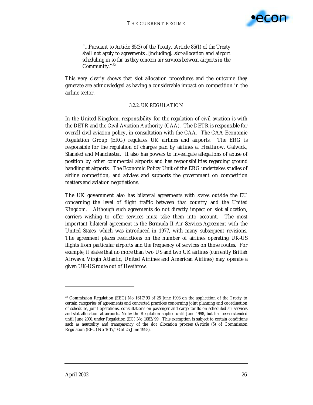

*"…Pursuant to Article 85(3) of the Treaty…Article 85(1) of the Treaty shall not apply to agreements…[including]…slot-allocation and airport scheduling in so far as they concern air services between airports in the Community." 32*

This very clearly shows that slot allocation procedures and the outcome they generate are acknowledged as having a considerable impact on competition in the airline sector.

#### 3.2.2. UK REGULATION

In the United Kingdom, responsibility for the regulation of civil aviation is with the DETR and the Civil Aviation Authority (CAA). The DETR is responsible for overall civil aviation policy, in consultation with the CAA. The CAA Economic Regulation Group (ERG) regulates UK airlines and airports. The ERG is responsible for the regulation of charges paid by airlines at Heathrow, Gatwick, Stansted and Manchester. It also has powers to investigate allegations of abuse of position by other commercial airports and has responsibilities regarding ground handling at airports. The Economic Policy Unit of the ERG undertakes studies of airline competition, and advises and supports the government on competition matters and aviation negotiations.

The UK government also has bilateral agreements with states outside the EU concerning the level of flight traffic between that country and the United Kingdom. Although such agreements do not directly impact on slot allocation, carriers wishing to offer services must take them into account. The most important bilateral agreement is the *Bermuda II Air Services Agreement* with the United States, which was introduced in 1977, with many subsequent revisions. The agreement places restrictions on the number of airlines operating UK-US flights from particular airports and the frequency of services on those routes. For example, it states that no more than two US and two UK airlines (currently British Airways, Virgin Atlantic, United Airlines and American Airlines) may operate a given UK-US route out of Heathrow.

<sup>&</sup>lt;sup>32</sup> Commission Regulation (EEC) No 1617/93 of 25 June 1993 on the application of the Treaty to certain categories of agreements and concerted practices concerning joint planning and coordination of schedules, joint operations, consultations on passenger and cargo tariffs on scheduled air services and slot allocation at airports. Note: the Regulation applied until June 1998, but has been extended until June 2001 under Regulation (EC) No 1083/99. This exemption is subject to certain conditions such as neutrality and transparency of the slot allocation process (Article (5) of Commission Regulation (EEC) No 1617/93 of 25 June 1993).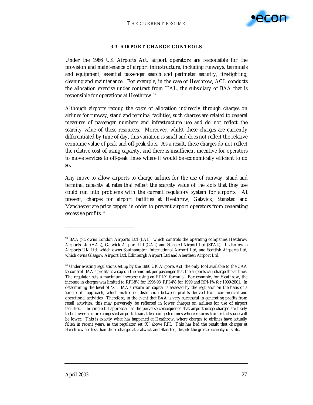

## **3.3. AIRPORT CHARGE CONTROLS**

Under the 1986 UK Airports Act, airport operators are responsible for the provision and maintenance of airport infrastructure, including runways, terminals and equipment, essential passenger search and perimeter security, fire-fighting, cleaning and maintenance. For example, in the case of Heathrow, ACL conducts the allocation exercise under contract from HAL, the subsidiary of BAA that is responsible for operations at Heathrow.<sup>33</sup>

Although airports recoup the costs of allocation indirectly through charges on airlines for runway, stand and terminal facilities, such charges are related to general measures of passenger numbers and infrastructure use and do not reflect the scarcity value of these resources. Moreover, whilst these charges are currently differentiated by time of day, this variation is small and does not reflect the relative economic value of peak and off-peak slots. As a result, these charges do not reflect the relative cost of using capacity, and there is insufficient incentive for operators to move services to off-peak times where it would be economically efficient to do so.

Any move to allow airports to charge airlines for the use of runway, stand and terminal capacity at rates that reflect the scarcity value of the slots that they use could run into problems with the current regulatory system for airports. At present, charges for airport facilities at Heathrow, Gatwick, Stansted and Manchester are price capped in order to prevent airport operators from generating excessive profits.<sup>34</sup>

<sup>33</sup> BAA plc owns London Airports Ltd (LAL), which controls the operating companies Heathrow Airports Ltd (HAL), Gatwick Airport Ltd (GAL) and Stansted Airport Ltd (STAL). It also owns Airports UK Ltd, which owns Southampton International Airport Ltd, and Scottish Airports Ltd, which owns Glasgow Airport Ltd, Edinburgh Airport Ltd and Aberdeen Airport Ltd.

<sup>34</sup> Under existing regulations set up by the 1986 UK Airports Act, the only tool available to the CAA to control BAA's profits is a cap on the amount per passenger that the airports can charge the airlines. The regulator sets a maximum increase using an RPI-X formula. For example, for Heathrow, the increase in charges was limited to RPI-8% for 1996-98, RPI-4% for 1999 and RPI-1% for 1999-2001. In determining the level of 'X', BAA's return on capital is assessed by the regulator on the basis of a 'single till' approach, which makes no distinction between profits derived from commercial and operational activities. Therefore, in the event that BAA is very successful in generating profits from retail activities, this may perversely be reflected in lower charges on airlines for use of airport facilities. The single till approach has the perverse consequence that airport usage charges are likely to be lower at more congested airports than at less congested ones where returns from retail space will be lower. This is exactly what has happened at Heathrow, where charges to airlines have actually fallen in recent years, as the regulator set 'X' above RPI. This has had the result that charges at Heathrow are less than those charges at Gatwick and Stansted, despite the greater scarcity of slots.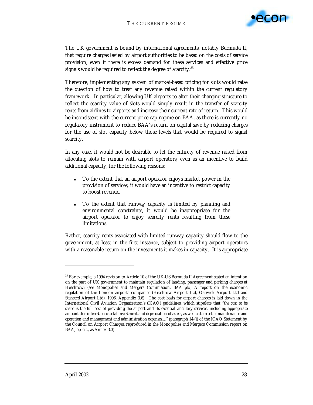

The UK government is bound by international agreements, notably Bermuda II, that require charges levied by airport authorities to be based on the costs of service provision, even if there is excess demand for these services and effective price signals would be required to reflect the degree of scarcity.<sup>35</sup>

Therefore, implementing any system of market-based pricing for slots would raise the question of how to treat any revenue raised within the current regulatory framework. In particular, allowing UK airports to alter their charging structure to reflect the scarcity value of slots would simply result in the transfer of scarcity rents from airlines to airports and increase their current rate of return. This would be inconsistent with the current price cap regime on BAA, as there is currently no regulatory instrument to reduce BAA's return on capital save by reducing charges for the use of slot capacity below those levels that would be required to signal scarcity.

In any case, it would not be desirable to let the entirety of revenue raised from allocating slots to remain with airport operators, even as an incentive to build additional capacity, for the following reasons:

- ! To the extent that an airport operator enjoys market power in the provision of services, it would have an incentive to restrict capacity to boost revenue.
- ! To the extent that runway capacity is limited by planning and environmental constraints, it would be inappropriate for the airport operator to enjoy scarcity rents resulting from these limitations.

Rather, scarcity rents associated with limited runway capacity should flow to the government, at least in the first instance, subject to providing airport operators with a reasonable return on the investments it makes in capacity. It is appropriate

<sup>35</sup> For example, a 1994 revision to Article 10 of the UK-US Bermuda II Agreement stated an intention on the part of UK government to maintain regulation of landing, passenger and parking charges at Heathrow: (see Monopolies and Mergers Commission, *BAA plc.*, A report on the economic regulation of the London airports companies (Heathrow Airport Ltd, Gatwick Airport Ltd and Stansted Airport Ltd), 1996, Appendix 3.6). The cost basis for airport charges is laid down in the International Civil Aviation Organization's (ICAO) guidelines, which stipulate that "*the cost to be share is the full cost of providing the airport and its essential ancillary services, including appropriate amounts for interest on capital investment and depreciation of assets, as well as the cost of maintenance and operation and management and administration expenses,…"* (paragraph 14-(i) of the ICAO Statement by the Council on Airport Charges, reproduced in the Monopolies and Mergers Commission report on BAA, *op. cit.*, as Annex 3.3)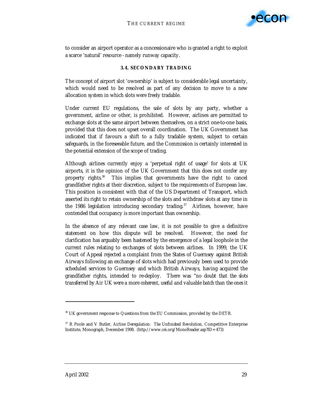

to consider an airport operator as a concessionaire who is granted a right to exploit a scarce 'natural' resource - namely runway capacity.

### **3.4. SECONDARY TRADING**

The concept of airport slot 'ownership' is subject to considerable legal uncertainty, which would need to be resolved as part of any decision to move to a new allocation system in which slots were freely tradable.

Under current EU regulations, the sale of slots by any party, whether a government, airline or other, is prohibited. However, airlines are permitted to exchange slots at the same airport between themselves, on a strict one-to-one basis, provided that this does not upset overall coordination. The UK Government has indicated that if favours a shift to a fully tradable system, subject to certain safeguards, in the foreseeable future, and the Commission is certainly interested in the potential extension of the scope of trading.

Although airlines currently enjoy a 'perpetual right of usage' for slots at UK airports, it is the opinion of the UK Government that this does not confer any property rights.36 This implies that governments have the right to cancel grandfather rights at their discretion, subject to the requirements of European law. This position is consistent with that of the US Department of Transport, which asserted its right to retain ownership of the slots and withdraw slots at any time in the 1986 legislation introducing secondary trading.<sup>37</sup> Airlines, however, have contended that occupancy is more important than ownership.

In the absence of any relevant case law, it is not possible to give a definitive statement on how this dispute will be resolved. However, the need for clarification has arguably been hastened by the emergence of a legal loophole in the current rules relating to exchanges of slots between airlines. In 1999, the UK Court of Appeal rejected a complaint from the States of Guernsey against British Airways following an exchange of slots which had previously been used to provide scheduled services to Guernsey and which British Airways, having acquired the grandfather rights, intended to re-deploy. There was "*no doubt that the slots transferred by Air UK were a more coherent, useful and valuable batch than the ones it* 

<sup>36</sup> UK government response to Questions from the EU Commission, provided by the DETR.

<sup>37</sup> R Poole and V Butler, *Airline Deregulation: The Unfinished Revolution*, Competitive Enterprise Institute, Monograph, December 1998. (http://www.cei.org/MonoReader.asp?ID=473)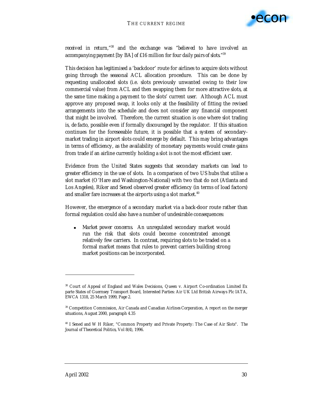

*received in return,*"38 and the exchange was "*believed to have involved an accompanying payment* [by BA] *of £16 million for four daily pairs of slots."*39

This decision has legitimised a 'backdoor' route for airlines to acquire slots without going through the seasonal ACL allocation procedure. This can be done by requesting unallocated slots (i.e. slots previously unwanted owing to their low commercial value) from ACL and then swapping them for more attractive slots, at the same time making a payment to the slots' current user. Although ACL must approve any proposed swap, it looks only at the feasibility of fitting the revised arrangements into the schedule and does not consider any financial component that might be involved. Therefore, the current situation is one where slot trading is, *de facto*, possible even if formally discouraged by the regulator. If this situation continues for the foreseeable future, it is possible that a system of secondarymarket trading in airport slots could emerge by default. This may bring advantages in terms of efficiency, as the availability of monetary payments would create gains from trade if an airline currently holding a slot is not the most efficient user.

Evidence from the United States suggests that secondary markets can lead to greater efficiency in the use of slots. In a comparison of two US hubs that utilise a slot market (O'Hare and Washington-National) with two that do not (Atlanta and Los Angeles), Riker and Sened observed greater efficiency (in terms of load factors) and smaller fare increases at the airports using a slot market.<sup>40</sup>

However, the emergence of a secondary market via a back-door route rather than formal regulation could also have a number of undesirable consequences:

! *Market power concerns*. An unregulated secondary market would run the risk that slots could become concentrated amongst relatively few carriers. In contrast, requiring slots to be traded on a formal market means that rules to prevent carriers building strong market positions can be incorporated.

<sup>38</sup> Court of Appeal of England and Wales Decisions, Queen v. Airport Co-ordination Limited Ex parte States of Guernsey Transport Board, Interested Parties: Air UK Ltd British Airways Plc IATA, EWCA 1318, 25 March 1999, Page 2.

<sup>39</sup> Competition Commission, *Air Canada and Canadian Airlines Corporation*, A report on the merger situations, August 2000, paragraph 4.35

<sup>40</sup> I Sened and W H Riker, "Common Property and Private Property: The Case of Air Slots". *The Journal of Theoretical Politics*, Vol 8(4), 1996.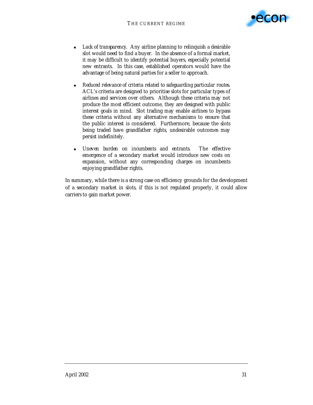

- ! *Lack of transparency*. Any airline planning to relinquish a desirable slot would need to find a buyer. In the absence of a formal market, it may be difficult to identify potential buyers, especially potential new entrants. In this case, established operators would have the advantage of being natural parties for a seller to approach.
- ! *Reduced relevance of criteria related to safeguarding particular routes.* ACL's criteria are designed to prioritise slots for particular types of airlines and services over others. Although these criteria may not produce the most efficient outcome, they are designed with public interest goals in mind. Slot trading may enable airlines to bypass these criteria without any alternative mechanisms to ensure that the public interest is considered. Furthermore, because the slots being traded have grandfather rights, undesirable outcomes may persist indefinitely.
- ! *Uneven burden on incumbents and entrants*. The effective emergence of a secondary market would introduce new costs on expansion, without any corresponding charges on incumbents enjoying grandfather rights.

In summary, while there is a strong case on efficiency grounds for the development of a secondary market in slots, if this is not regulated properly, it could allow carriers to gain market power.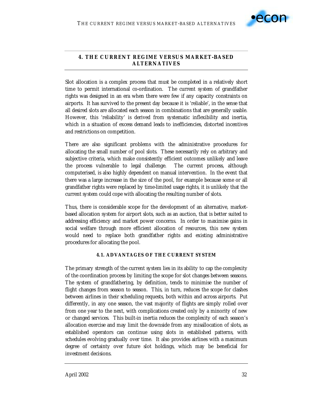

# **4. THE CURRENT REGIME VERSUS MARKET-BASED ALTERNATIVES**

Slot allocation is a complex process that must be completed in a relatively short time to permit international co-ordination. The current system of grandfather rights was designed in an era when there were few if any capacity constraints on airports. It has survived to the present day because it is 'reliable', in the sense that all desired slots are allocated each season in combinations that are generally usable. However, this 'reliability' is derived from systematic inflexibility and inertia, which in a situation of excess demand leads to inefficiencies, distorted incentives and restrictions on competition.

There are also significant problems with the administrative procedures for allocating the small number of pool slots. These necessarily rely on arbitrary and subjective criteria, which make consistently efficient outcomes unlikely and leave the process vulnerable to legal challenge. The current process, although computerised, is also highly dependent on manual intervention. In the event that there was a large increase in the size of the pool, for example because some or all grandfather rights were replaced by time-limited usage rights, it is unlikely that the current system could cope with allocating the resulting number of slots.

Thus, there is considerable scope for the development of an alternative, marketbased allocation system for airport slots, such as an auction, that is better suited to addressing efficiency and market power concerns. In order to maximise gains in social welfare through more efficient allocation of resources, this new system would need to replace both grandfather rights and existing administrative procedures for allocating the pool.

# **4.1. ADVANTAGES OF THE CURRENT SYSTEM**

The primary strength of the current system lies in its ability to cap the complexity of the coordination process by limiting the scope for slot changes between seasons. The system of grandfathering, by definition, tends to minimise the number of flight changes from season to season. This, in turn, reduces the scope for clashes between airlines in their scheduling requests, both within and across airports. Put differently, in any one season, the vast majority of flights are simply rolled over from one year to the next, with complications created only by a minority of new or changed services. This built-in inertia reduces the complexity of each season's allocation exercise and may limit the downside from any misallocation of slots, as established operators can continue using slots in established patterns, with schedules evolving gradually over time. It also provides airlines with a maximum degree of certainty over future slot holdings, which may be beneficial for investment decisions.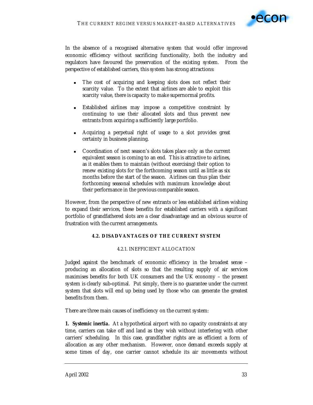

In the absence of a recognised alternative system that would offer improved economic efficiency without sacrificing functionality, both the industry and regulators have favoured the preservation of the existing system. From the perspective of established carriers, this system has strong attractions:

- ! The cost of acquiring and keeping slots does not reflect their scarcity value. To the extent that airlines are able to exploit this scarcity value, there is capacity to make supernormal profits.
- Established airlines may impose a competitive constraint by continuing to use their allocated slots and thus prevent new entrants from acquiring a sufficiently large portfolio.
- ! Acquiring a perpetual right of usage to a slot provides great certainty in business planning.
- ! Coordination of next season's slots takes place only as the current equivalent season is coming to an end. This is attractive to airlines, as it enables them to maintain (without exercising) their option to renew existing slots for the forthcoming season until as little as six months before the start of the season. Airlines can thus plan their forthcoming seasonal schedules with maximum knowledge about their performance in the previous comparable season.

However, from the perspective of new entrants or less established airlines wishing to expand their services, these benefits for established carriers with a significant portfolio of grandfathered slots are a clear disadvantage and an obvious source of frustration with the current arrangements.

### **4.2. DISADVANTAGES OF THE CURRENT SYSTEM**

### 4.2.1. INEFFICIENT ALLOCATION

Judged against the benchmark of economic efficiency in the broadest sense – producing an allocation of slots so that the resulting supply of air services maximises benefits for both UK consumers and the UK economy – the present system is clearly sub-optimal. Put simply, there is no guarantee under the current system that slots will end up being used by those who can generate the greatest benefits from them.

There are three main causes of inefficiency on the current system:

*1.**Systemic inertia.* At a hypothetical airport with no capacity constraints at any time, carriers can take off and land as they wish without interfering with other carriers' scheduling. In this case, grandfather rights are as efficient a form of allocation as any other mechanism. However, once demand exceeds supply at some times of day, one carrier cannot schedule its air movements without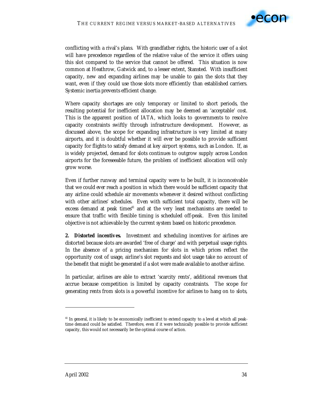

conflicting with a rival's plans. With grandfather rights, the historic user of a slot will have precedence regardless of the relative value of the service it offers using this slot compared to the service that cannot be offered. This situation is now common at Heathrow, Gatwick and, to a lesser extent, Stansted. With insufficient capacity, new and expanding airlines may be unable to gain the slots that they want, even if they could use those slots more efficiently than established carriers. Systemic inertia prevents efficient change.

Where capacity shortages are only temporary or limited to short periods, the resulting potential for inefficient allocation may be deemed an 'acceptable' cost. This is the apparent position of IATA, which looks to governments to resolve capacity constraints swiftly through infrastructure development. However, as discussed above, the scope for expanding infrastructure is very limited at many airports, and it is doubtful whether it will ever be possible to provide sufficient capacity for flights to satisfy demand at key airport systems, such as London. If, as is widely projected, demand for slots continues to outgrow supply across London airports for the foreseeable future, the problem of inefficient allocation will only grow worse.

Even if further runway and terminal capacity were to be built, it is inconceivable that we could *ever* reach a position in which there would be sufficient capacity that any airline could schedule air movements whenever it desired without conflicting with other airlines' schedules. Even with sufficient total capacity, there will be excess demand at peak times<sup>41</sup> and at the very least mechanisms are needed to ensure that traffic with flexible timing is scheduled off-peak. Even this limited objective is not achievable by the current system based on historic precedence.

*2. Distorted incentives.* Investment and scheduling incentives for airlines are distorted because slots are awarded 'free of charge' and with perpetual usage rights. In the absence of a pricing mechanism for slots in which prices reflect the opportunity cost of usage, airline's slot requests and slot usage take no account of the benefit that might be generated if a slot were made available to another airline.

In particular, airlines are able to extract 'scarcity rents', additional revenues that accrue because competition is limited by capacity constraints. The scope for generating rents from slots is a powerful incentive for airlines to hang on to slots,

<sup>&</sup>lt;sup>41</sup> In general, it is likely to be economically inefficient to extend capacity to a level at which all peaktime demand could be satisfied. Therefore, even if it were technically possible to provide sufficient capacity, this would not necessarily be the optimal course of action.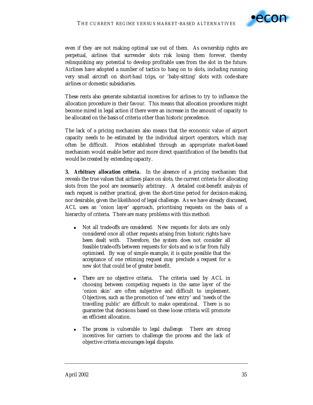

even if they are not making optimal use out of them. As ownership rights are perpetual, airlines that surrender slots risk losing them forever, thereby relinquishing any potential to develop profitable uses from the slot in the future. Airlines have adopted a number of tactics to hang on to slots, including running very small aircraft on short-haul trips, or 'baby-sitting' slots with code-share airlines or domestic subsidiaries.

These rents also generate substantial incentives for airlines to try to influence the allocation procedure in their favour. This means that allocation procedures might become mired in legal action if there were an increase in the amount of capacity to be allocated on the basis of criteria other than historic precedence.

The lack of a pricing mechanism also means that the economic value of airport capacity needs to be estimated by the individual airport operators, which may often be difficult. Prices established through an appropriate market-based mechanism would enable better and more direct quantification of the benefits that would be created by extending capacity.

*3. Arbitrary allocation criteria.* In the absence of a pricing mechanism that reveals the true values that airlines place on slots, the current criteria for allocating slots from the pool are necessarily arbitrary. A detailed cost-benefit analysis of each request is neither practical, given the short-time period for decision-making, nor desirable, given the likelihood of legal challenge. As we have already discussed, ACL uses an 'onion layer' approach, prioritising requests on the basis of a hierarchy of criteria. There are many problems with this method:

- **Not all trade-offs are considered.** New requests for slots are only considered once all other requests arising from historic rights have been dealt with. Therefore, the system does not consider all feasible trade-offs between requests for slots and so is far from fully optimised. By way of simple example, it is quite possible that the acceptance of one retiming request may preclude a request for a new slot that could be of greater benefit.
- ! *There are no objective criteria.* The criteria used by ACL in choosing between competing requests in the same layer of the 'onion skin' are often subjective and difficult to implement. Objectives, such as the promotion of 'new entry' and 'needs of the travelling public' are difficult to make operational. There is no guarantee that decisions based on these loose criteria will promote an efficient allocation.
- ! *The process is vulnerable to legal challenge.* There are strong incentives for carriers to challenge the process and the lack of objective criteria encourages legal dispute.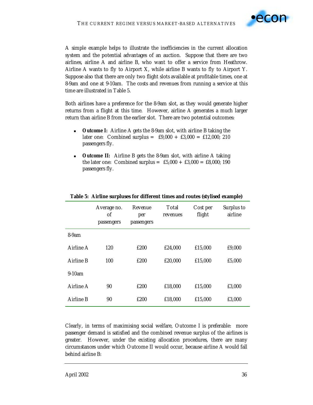

A simple example helps to illustrate the inefficiencies in the current allocation system and the potential advantages of an auction. Suppose that there are two airlines, airline A and airline B, who want to offer a service from Heathrow. Airline A wants to fly to Airport X, while airline B wants to fly to Airport Y. Suppose also that there are only two flight slots available at profitable times, one at 8-9am and one at 9-10am. The costs and revenues from running a service at this time are illustrated in Table 5.

Both airlines have a preference for the 8-9am slot, as they would generate higher returns from a flight at this time. However, airline A generates a much larger return than airline B from the earlier slot. There are two potential outcomes:

- **Dutcome I:** Airline A gets the 8-9am slot, with airline B taking the later one: Combined surplus =  $£9,000 + £3,000 = £12,000; 210$ passengers fly.
- *Outcome II:* Airline B gets the 8-9am slot, with airline A taking the later one: Combined surplus =  $£5,000 + £3,000 = £8,000; 190$ passengers fly.

|           | Average no.<br>οf<br>passengers | Revenue<br>per<br>passengers | Total<br>revenues | Cost per<br>flight | Surplus to<br>airline |
|-----------|---------------------------------|------------------------------|-------------------|--------------------|-----------------------|
| $8-9am$   |                                 |                              |                   |                    |                       |
| Airline A | 120                             | £200                         | £24,000           | £15,000            | £9,000                |
| Airline B | 100                             | £200                         | £20,000           | £15,000            | £5,000                |
| 9-10am    |                                 |                              |                   |                    |                       |
| Airline A | 90                              | £200                         | £18,000           | £15,000            | £3,000                |
| Airline B | 90                              | £200                         | £18,000           | £15,000            | £3,000                |

# **Table 5: Airline surpluses for different times and routes (stylised example)**

Clearly, in terms of maximising social welfare, Outcome I is preferable: more passenger demand is satisfied and the combined revenue surplus of the airlines is greater. However, under the existing allocation procedures, there are many circumstances under which Outcome II would occur, because airline A would fall behind airline B: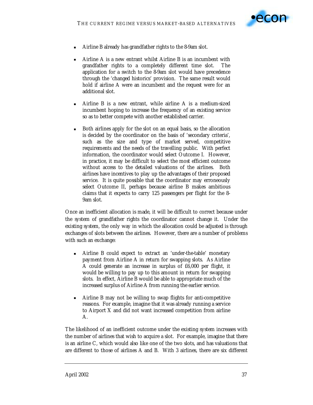

- ! Airline B already has grandfather rights to the 8-9am slot.
- ! Airline A is a new entrant whilst Airline B is an incumbent with grandfather rights to a completely different time slot. The application for a switch to the 8-9am slot would have precedence through the 'changed historics' provision. The same result would hold if airline A were an incumbent and the request were for an additional slot.
- ! Airline B is a new entrant, while airline A is a medium-sized incumbent hoping to increase the frequency of an existing service so as to better compete with another established carrier.
- ! Both airlines apply for the slot on an equal basis, so the allocation is decided by the coordinator on the basis of 'secondary criteria', such as the size and type of market served, competitive requirements and the needs of the travelling public. With perfect information, the coordinator would select Outcome I. However, in practice, it may be difficult to select the most efficient outcome without access to the detailed valuations of the airlines. Both airlines have incentives to play up the advantages of their proposed service. It is quite possible that the coordinator may erroneously select Outcome II, perhaps because airline B makes ambitious claims that it expects to carry 125 passengers per flight for the 8- 9am slot.

Once an inefficient allocation is made, it will be difficult to correct because under the system of grandfather rights the coordinator cannot change it. Under the existing system, the only way in which the allocation could be adjusted is through exchanges of slots between the airlines. However, there are a number of problems with such an exchange:

- ! Airline B could expect to extract an 'under-the-table' monetary payment from Airline A in return for swapping slots. As Airline A could generate an increase in surplus of £6,000 per flight, it would be willing to pay up to this amount in return for swapping slots. In effect, Airline B would be able to appropriate much of the increased surplus of Airline A from running the earlier service.
- ! Airline B may not be willing to swap flights for anti-competitive reasons. For example, imagine that it was already running a service to Airport X and did not want increased competition from airline A.

The likelihood of an inefficient outcome under the existing system increases with the number of airlines that wish to acquire a slot. For example, imagine that there is an airline C, which would also like one of the two slots, and has valuations that are different to those of airlines A and B. With 3 airlines, there are six different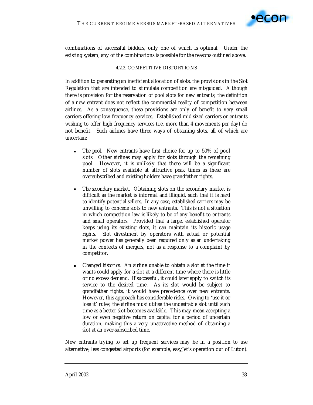

combinations of successful bidders, only one of which is optimal. Under the existing system, any of the combinations is possible for the reasons outlined above.

## 4.2.2. COMPETITIVE DISTORTIONS

In addition to generating an inefficient allocation of slots, the provisions in the Slot Regulation that are intended to stimulate competition are misguided. Although there is provision for the reservation of pool slots for new entrants, the definition of a new entrant does not reflect the commercial reality of competition between airlines. As a consequence, these provisions are only of benefit to very small carriers offering low frequency services. Established mid-sized carriers or entrants wishing to offer high frequency services (i.e. more than 4 movements per day) do not benefit. Such airlines have three ways of obtaining slots, all of which are uncertain:

- *The pool.* New entrants have first choice for up to 50% of pool slots. Other airlines may apply for slots through the remaining pool. However, it is unlikely that there will be a significant number of slots available at attractive peak times as these are oversubscribed and existing holders have grandfather rights.
- ! *The secondary market.* Obtaining slots on the secondary market is difficult as the market is informal and illiquid, such that it is hard to identify potential sellers. In any case, established carriers may be unwilling to concede slots to new entrants. This is not a situation in which competition law is likely to be of any benefit to entrants and small operators. Provided that a large, established operator keeps using its existing slots, it can maintain its historic usage rights. Slot divestment by operators with actual or potential market power has generally been required only as an undertaking in the contexts of mergers, not as a response to a complaint by competitor.
- ! *Changed historics*. An airline unable to obtain a slot at the time it wants could apply for a slot at a different time where there is little or no excess demand. If successful, it could later apply to switch its service to the desired time. As its slot would be subject to grandfather rights, it would have precedence over new entrants. However, this approach has considerable risks. Owing to 'use it or lose it' rules, the airline must utilise the undesirable slot until such time as a better slot becomes available. This may mean accepting a low or even negative return on capital for a period of uncertain duration, making this a very unattractive method of obtaining a slot at an over-subscribed time.

New entrants trying to set up frequent services may be in a position to use alternative, less congested airports (for example, easyJet's operation out of Luton).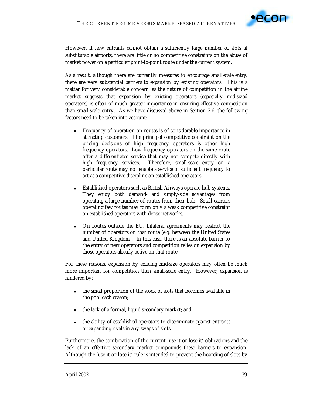

However, if new entrants cannot obtain a sufficiently large number of slots at substitutable airports, there are little or no competitive constraints on the abuse of market power on a particular point-to-point route under the current system.

As a result, although there are currently measures to encourage *small-scale entry*, there are very substantial *barriers to expansion* by existing operators. This is a matter for very considerable concern, as the nature of competition in the airline market suggests that expansion by existing operators (especially mid-sized operators) is often of much greater importance in ensuring effective competition than small-scale entry. As we have discussed above in Section 2.6, the following factors need to be taken into account:

- ! Frequency of operation on routes is of considerable importance in attracting customers. The principal competitive constraint on the pricing decisions of high frequency operators is other high frequency operators. Low frequency operators on the same route offer a differentiated service that may not compete directly with high frequency services. Therefore, small-scale entry on a particular route may not enable a service of sufficient frequency to act as a competitive discipline on established operators.
- ! Established operators such as British Airways operate hub systems. They enjoy both demand- and supply-side advantages from operating a large number of routes from their hub. Small carriers operating few routes may form only a weak competitive constraint on established operators with dense networks.
- ! On routes outside the EU, bilateral agreements may restrict the number of operators on that route (e.g. between the United States and United Kingdom). In this case, there is an absolute barrier to the entry of new operators and competition relies on expansion by those operators already active on that route.

For these reasons, expansion by existing mid-size operators may often be much more important for competition than small-scale entry. However, expansion is hindered by:

- ! the small proportion of the stock of slots that becomes available in the pool each season;
- ! the lack of a formal, liquid secondary market; and
- ! the ability of established operators to discriminate against entrants or expanding rivals in any swaps of slots.

Furthermore, the combination of the current 'use it or lose it' obligations and the lack of an effective secondary market compounds these barriers to expansion. Although the 'use it or lose it' rule is intended to prevent the hoarding of slots by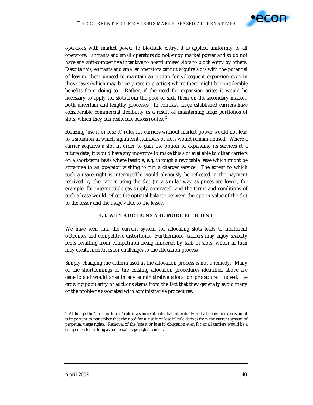

operators with market power to blockade entry, it is applied uniformly to all operators. Entrants and small operators do not enjoy market power and so do not have any anti-competitive incentive to hoard unused slots to block entry by others. Despite this, entrants and smaller operators cannot acquire slots with the potential of leaving them unused to maintain an option for subsequent expansion even in those cases (which may be very rare in practice) where there might be considerable benefits from doing so. Rather, if the need for expansion arises it would be necessary to apply for slots from the pool or seek them on the secondary market, both uncertain and lengthy processes. In contrast, large established carriers have considerable commercial flexibility as a result of maintaining large portfolios of slots, which they can reallocate across routes.<sup>42</sup>

Relaxing 'use it or lose it' rules for carriers without market power would not lead to a situation in which significant numbers of slots would remain unused. Where a carrier acquires a slot in order to gain the option of expanding its services at a future date, it would have any incentive to make this slot available to other carriers on a short-term basis where feasible, e.g. through a revocable lease which might be attractive to an operator wishing to run a charger service. The extent to which such a usage right is interruptible would obviously be reflected in the payment received by the carrier using the slot (in a similar way as prices are lower, for example, for interruptible gas supply contracts), and the terms and conditions of such a lease would reflect the optimal balance between the option value of the slot to the lessor and the usage value to the lessee.

# **4.3. WHY AUCTIONS ARE MORE EFFICIENT**

We have seen that the current system for allocating slots leads to inefficient outcomes and competitive distortions. Furthermore, carriers may enjoy scarcity rents resulting from competition being hindered by lack of slots, which in turn may create incentives for challenges to the allocation process.

Simply changing the criteria used in the allocation process is not a remedy. Many of the shortcomings of the existing allocation procedures identified above are generic and would arise in any administrative allocation procedure. Indeed, the growing popularity of auctions stems from the fact that they generally avoid many of the problems associated with administrative procedures.

 $42$  Although the 'use it or lose it' rule is a source of potential inflexibility and a barrier to expansion, it is important to remember that the need for a 'use it or lose it' rule derives from the current system of perpetual usage rights. Removal of the 'use it or lose it' obligation even for small carriers would be a dangerous step as long as perpetual usage rights remain.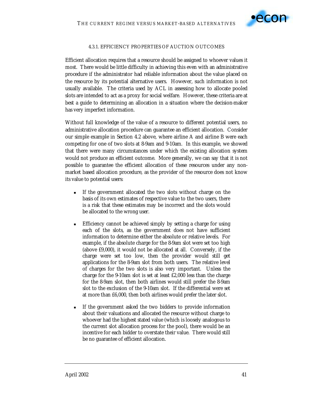

### 4.3.1. EFFICIENCY PROPERTIES OF AUCTION OUTCOMES

Efficient allocation requires that a resource should be assigned to whoever values it most. There would be little difficulty in achieving this even with an administrative procedure if the administrator had reliable information about the value placed on the resource by its potential alternative users. However, such information is not usually available. The criteria used by ACL in assessing how to allocate pooled slots are intended to act as a proxy for social welfare. However, these criteria are at best a guide to determining an allocation in a situation where the decision-maker has very imperfect information.

Without full knowledge of the value of a resource to different potential users, no administrative allocation procedure can guarantee an efficient allocation. Consider our simple example in Section 4.2 above, where airline A and airline B were each competing for one of two slots at 8-9am and 9-10am. In this example, we showed that there were many circumstances under which the existing allocation system would not produce an efficient outcome. More generally, we can say that it is not possible to guarantee the efficient allocation of these resources under any nonmarket based allocation procedure, as the provider of the resource does not know its value to potential users:

- ! If the government allocated the two slots without charge on the basis of its own estimates of respective value to the two users, there is a risk that these estimates may be incorrect and the slots would be allocated to the wrong user.
- **Efficiency cannot be achieved simply by setting a charge for using** each of the slots, as the government does not have sufficient information to determine either the absolute or relative levels. For example, if the absolute charge for the 8-9am slot were set too high (above £9,000), it would not be allocated at all. Conversely, if the charge were set too low, then the provider would still get applications for the 8-9am slot from both users. The relative level of charges for the two slots is also very important. Unless the charge for the 9-10am slot is set at least £2,000 less than the charge for the 8-9am slot, then both airlines would still prefer the 8-9am slot to the exclusion of the 9-10am slot. If the differential were set at more than £6,000, then both airlines would prefer the later slot.
- If the government asked the two bidders to provide information about their valuations and allocated the resource without charge to whoever had the highest stated value (which is loosely analogous to the current slot allocation process for the pool), there would be an incentive for each bidder to overstate their value. There would still be no guarantee of efficient allocation.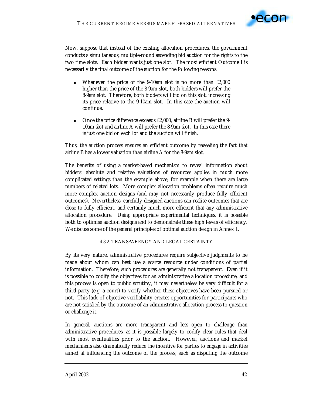

Now, suppose that instead of the existing allocation procedures, the government conducts a simultaneous, multiple-round ascending bid auction for the rights to the two time slots. Each bidder wants just one slot. The most efficient Outcome I is necessarily the final outcome of the auction for the following reasons:

- Whenever the price of the 9-10am slot is no more than £2,000 higher than the price of the 8-9am slot, both bidders will prefer the 8-9am slot. Therefore, both bidders will bid on this slot, increasing its price relative to the 9-10am slot. In this case the auction will continue.
- ! Once the price difference exceeds £2,000, airline B will prefer the 9- 10am slot and airline A will prefer the 8-9am slot. In this case there is just one bid on each lot and the auction will finish.

Thus, the auction process ensures an efficient outcome by revealing the fact that airline B has a lower valuation than airline A for the 8-9am slot.

The benefits of using a market-based mechanism to reveal information about bidders' absolute and relative valuations of resources applies in much more complicated settings than the example above, for example when there are large numbers of related lots. More complex allocation problems often require much more complex auction designs (and may not necessarily produce fully efficient outcomes). Nevertheless, carefully designed auctions can realise outcomes that are close to fully efficient, and certainly much more efficient that any administrative allocation procedure. Using appropriate experimental techniques, it is possible both to optimise auction designs and to demonstrate these high levels of efficiency. We discuss some of the general principles of optimal auction design in Annex 1.

# 4.3.2. TRANSPARENCY AND LEGAL CERTAINTY

By its very nature, administrative procedures require subjective judgments to be made about whom can best use a scarce resource under conditions of partial information. Therefore, such procedures are generally not transparent. Even if it is possible to codify the objectives for an administrative allocation procedure, and this process is open to public scrutiny, it may nevertheless be very difficult for a third party (e.g. a court) to verify whether these objectives have been pursued or not. This lack of objective verifiability creates opportunities for participants who are not satisfied by the outcome of an administrative allocation process to question or challenge it.

In general, auctions are more transparent and less open to challenge than administrative procedures, as it is possible largely to codify clear rules that deal with most eventualities prior to the auction. However, auctions and market mechanisms also dramatically reduce the *incentive* for parties to engage in activities aimed at influencing the outcome of the process, such as disputing the outcome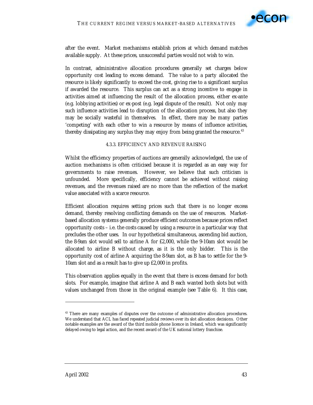

after the event. Market mechanisms establish prices at which demand matches available supply. At these prices, unsuccessful parties would not wish to win.

In contrast, administrative allocation procedures generally set charges below opportunity cost leading to excess demand. The value to a party allocated the resource is likely significantly to exceed the cost, giving rise to a significant surplus if awarded the resource. This surplus can act as a strong incentive to engage in activities aimed at influencing the result of the allocation process, either ex-ante (e.g. lobbying activities) or ex-post (e.g. legal dispute of the result). Not only may such influence activities lead to disruption of the allocation process, but also they may be socially wasteful in themselves. In effect, there may be many parties 'competing' with each other to win a resource by means of influence activities, thereby dissipating any surplus they may enjoy from being granted the resource.<sup>43</sup>

## 4.3.3. EFFICIENCY AND REVENUE RAISING

Whilst the efficiency properties of auctions are generally acknowledged, the use of auction mechanisms is often criticised because it is regarded as an easy way for governments to raise revenues. However, we believe that such criticism is unfounded. More specifically, efficiency cannot be achieved without raising revenues, and the revenues raised are no more than the reflection of the market value associated with a scarce resource.

Efficient allocation requires setting prices such that there is no longer excess demand, thereby resolving conflicting demands on the use of resources. Marketbased allocation systems generally produce efficient outcomes because prices reflect opportunity costs – i.e. the costs caused by using a resource in a particular way that precludes the other uses. In our hypothetical simultaneous, ascending bid auction, the 8-9am slot would sell to airline A for £2,000, while the 9-10am slot would be allocated to airline B without charge, as it is the only bidder. This is the opportunity cost of airline A acquiring the 8-9am slot, as B has to settle for the 9- 10am slot and as a result has to give up £2,000 in profits.

This observation applies equally in the event that there is excess demand for both slots. For example, imagine that airline A and B each wanted both slots but with values unchanged from those in the original example (see Table 6). It this case,

<sup>&</sup>lt;sup>43</sup> There are many examples of disputes over the outcome of administrative allocation procedures. We understand that ACL has faced repeated judicial reviews over its slot allocation decisions. Other notable examples are the award of the third mobile phone licence in Ireland, which was significantly delayed owing to legal action, and the recent award of the UK national lottery franchise.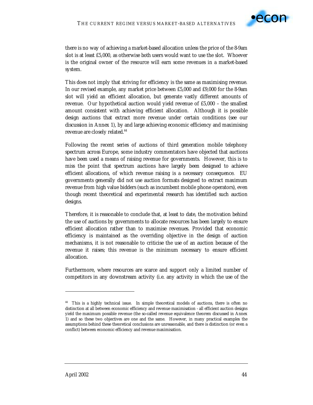

there is no way of achieving a market-based allocation unless the price of the 8-9am slot is at least £5,000, as otherwise *both* users would want to use the slot. Whoever is the original owner of the resource will earn some revenues in a market-based system.

This does not imply that striving for efficiency is the same as maximising revenue. In our revised example, any market price between £5,000 and £9,000 for the 8-9am slot will yield an efficient allocation, but generate vastly different amounts of revenue. Our hypothetical auction would yield revenue of £5,000 – the smallest amount consistent with achieving efficient allocation. Although it is possible design auctions that extract more revenue under certain conditions (see our discussion in Annex 1), by and large achieving economic efficiency and maximising revenue are closely related.<sup>44</sup>

Following the recent series of auctions of third generation mobile telephony spectrum across Europe, some industry commentators have objected that auctions have been used a means of raising revenue for governments. However, this is to miss the point that spectrum auctions have largely been designed to achieve efficient allocations, of which revenue raising is a necessary consequence. EU governments generally did *not* use auction formats designed to extract maximum revenue from high value bidders (such as incumbent mobile phone operators), even though recent theoretical and experimental research has identified such auction designs.

Therefore, it is reasonable to conclude that, at least to date, the motivation behind the use of auctions by governments to allocate resources has been largely to ensure efficient allocation rather than to maximise revenues. Provided that economic efficiency is maintained as the overriding objective in the design of auction mechanisms, it is not reasonable to criticise the use of an auction because of the revenue it raises; this revenue is the minimum necessary to ensure efficient allocation.

Furthermore, where resources are scarce and support only a limited number of competitors in any downstream activity (i.e. any activity in which the use of the

<sup>&</sup>lt;sup>44</sup> This is a highly technical issue. In simple theoretical models of auctions, there is often no distinction at all between economic efficiency and revenue maximisation - all efficient auction designs yield the maximum possible revenue (the so-called revenue equivalence theorem discussed in Annex 1) and so these two objectives are one and the same. However, in many practical examples the assumptions behind these theoretical conclusions are unreasonable, and there is distinction (or even a conflict) between economic efficiency and revenue maximisation.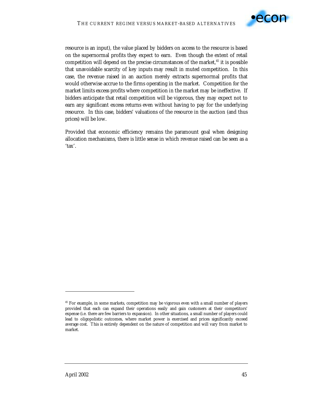

resource is an input), the value placed by bidders on access to the resource is based on the supernormal profits they expect to earn. Even though the extent of retail competition will depend on the precise circumstances of the market, $45$  it is possible that unavoidable scarcity of key inputs may result in muted competition. In this case, the revenue raised in an auction merely extracts supernormal profits that would otherwise accrue to the firms operating in the market. Competition *for* the market limits excess profits where competition *in* the market may be ineffective. If bidders anticipate that retail competition will be vigorous, they may expect not to earn any significant excess returns even without having to pay for the underlying resource. In this case, bidders' valuations of the resource in the auction (and thus prices) will be low.

Provided that economic efficiency remains the paramount goal when designing allocation mechanisms, there is little sense in which revenue raised can be seen as a 'tax'.

<sup>45</sup> For example, in some markets, competition may be vigorous even with a small number of players provided that each can expand their operations easily and gain customers at their competitors' expense (i.e. there are few barriers to expansion). In other situations, a small number of players could lead to oligopolistic outcomes, where market power is exercised and prices significantly exceed average cost. This is entirely dependent on the nature of competition and will vary from market to market.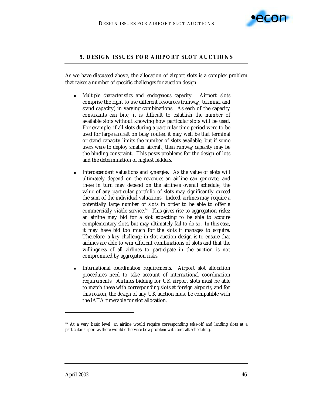

## **5. DESIGN ISSUES FOR AIRPORT SLOT AUCTIONS**

As we have discussed above, the allocation of airport slots is a complex problem that raises a number of specific challenges for auction design:

- ! *Multiple characteristics and endogenous capacity.* Airport slots comprise the right to use different resources (runway, terminal and stand capacity) in varying combinations. As each of the capacity constraints can bite, it is difficult to establish the number of available slots without knowing how particular slots will be used. For example, if all slots during a particular time period were to be used for large aircraft on busy routes, it may well be that terminal or stand capacity limits the number of slots available, but if some users were to deploy smaller aircraft, then runway capacity may be the binding constraint. This poses problems for the design of lots and the determination of highest bidders.
- ! *Interdependent valuations and synergies*. As the value of slots will ultimately depend on the revenues an airline can generate, and these in turn may depend on the airline's overall schedule, the value of any particular portfolio of slots may significantly exceed the sum of the individual valuations. Indeed, airlines may require a potentially large number of slots in order to be able to offer a commercially viable service.<sup>46</sup> This gives rise to aggregation risks: an airline may bid for a slot expecting to be able to acquire complementary slots, but may ultimately fail to do so. In this case, it may have bid too much for the slots it manages to acquire. Therefore, a key challenge in slot auction design is to ensure that airlines are able to win efficient combinations of slots and that the willingness of all airlines to participate in the auction is not compromised by aggregation risks.
- ! *International coordination requirements*. Airport slot allocation procedures need to take account of international coordination requirements. Airlines bidding for UK airport slots must be able to match these with corresponding slots at foreign airports, and for this reason, the design of any UK auction must be compatible with the IATA timetable for slot allocation.

<sup>46</sup> At a very basic level, an airline would require corresponding take-off and landing slots at a particular airport as there would otherwise be a problem with aircraft scheduling.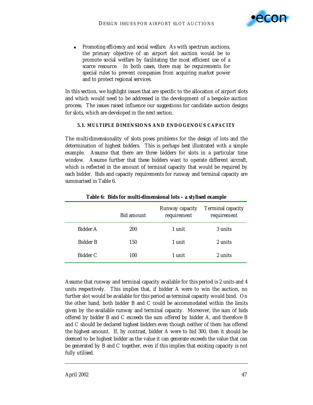

! *Promoting efficiency and social welfare*. As with spectrum auctions, the primary objective of an airport slot auction would be to promote social welfare by facilitating the most efficient use of a scarce resource. In both cases, there may be requirements for special rules to prevent companies from acquiring market power and to protect regional services.

In this section, we highlight issues that are specific to the allocation of airport slots and which would need to be addressed in the development of a bespoke auction process. The issues raised influence our suggestions for candidate auction designs for slots, which are developed in the next section.

# **5.1. MULTIPLE DIMENSIONS AND ENDOGENOUS CAPACITY**

The multi-dimensionality of slots poses problems for the design of lots and the determination of highest bidders. This is perhaps best illustrated with a simple example. Assume that there are three bidders for slots in a particular time window. Assume further that these bidders want to operate different aircraft, which is reflected in the amount of terminal capacity that would be required by each bidder. Bids and capacity requirements for runway and terminal capacity are summarised in Table 6.

|                 | <b>Bid amount</b> | Runway capacity<br>requirement | <b>Terminal capacity</b><br>requirement |
|-----------------|-------------------|--------------------------------|-----------------------------------------|
| Bidder A        | 200               | 1 unit                         | 3 units                                 |
| <b>Bidder B</b> | 150               | 1 unit                         | 2 units                                 |
| Bidder C        | 100               | 1 unit                         | 2 units                                 |

**Table 6: Bids for multi-dimensional lots – a stylised example** 

Assume that runway and terminal capacity available for this period is 2 units and 4 units respectively. This implies that, if bidder A were to win the auction, no further slot would be available for this period as terminal capacity would bind. On the other hand, both bidder B and C could be accommodated within the limits given by the available runway and terminal capacity. Moreover, the sum of bids offered by bidder B and C exceeds the sum offered by bidder A, and therefore B and C should be declared highest bidders even though neither of them has offered the highest amount. If, by contrast, bidder A were to bid 300, then it should be deemed to be highest bidder as the value it can generate exceeds the value that can be generated by B and C together, even if this implies that existing capacity is not fully utilised.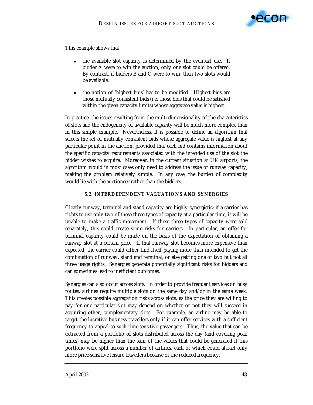

This example shows that:

- ! the available slot capacity is determined by the eventual use. If bidder A were to win the auction, only one slot could be offered. By contrast, if bidders B and C were to win, then two slots would be available.
- ! the notion of 'highest bids' has to be modified. Highest bids are those mutually consistent bids (i.e. those bids that could be satisfied within the given capacity limits) whose aggregate value is highest.

In practice, the issues resulting from the multi-dimensionality of the characteristics of slots and the endogeneity of available capacity will be much more complex than in this simple example. Nevertheless, it is possible to define an algorithm that selects the set of mutually consistent bids whose aggregate value is highest at any particular point in the auction, provided that each bid contains information about the specific capacity requirements associated with the intended use of the slot the bidder wishes to acquire. Moreover, in the current situation at UK airports, the algorithm would in most cases only need to address the issue of runway capacity, making the problem relatively simple. In any case, the burden of complexity would lie with the auctioneer rather than the bidders.

### **5.2. INTERDEPENDENT VALUATIONS AND SYNERGIES**

Clearly runway, terminal and stand capacity are highly synergistic: if a carrier has rights to use only two of these three types of capacity at a particular time, it will be unable to make a traffic movement. If these three types of capacity were sold separately, this could create some risks for carriers. In particular, an offer for terminal capacity could be made on the basis of the expectation of obtaining a runway slot at a certain price. If that runway slot becomes more expensive than expected, the carrier could either find itself paying more than intended to get the combination of runway, stand and terminal, or else getting one or two but not all three usage rights. Synergies generate potentially significant risks for bidders and can sometimes lead to inefficient outcomes.

Synergies can also occur across slots. In order to provide frequent services on busy routes, airlines require multiple slots on the same day and/or in the same week. This creates possible aggregation risks across slots, as the price they are willing to pay for one particular slot may depend on whether or not they will succeed in acquiring other, complementary slots. For example, an airline may be able to target the lucrative business travellers only if it can offer services with a sufficient frequency to appeal to such time-sensitive passengers. Thus, the value that can be extracted from a portfolio of slots distributed across the day (and covering peak times) may be higher than the sum of the values that could be generated if this portfolio were split across a number of airlines, each of which could attract only more price-sensitive leisure travellers because of the reduced frequency.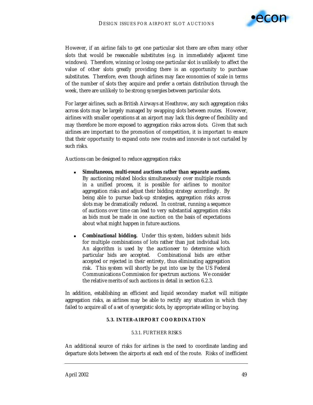

However, if an airline fails to get one particular slot there are often many other slots that would be reasonable substitutes (e.g. in immediately adjacent time windows). Therefore, winning or losing one *particular* slot is unlikely to affect the value of other slots greatly providing there is an opportunity to purchase substitutes. Therefore, even though airlines may face economies of scale in terms of the number of slots they acquire and prefer a certain distribution through the week, there are unlikely to be strong synergies between *particular* slots.

For larger airlines, such as British Airways at Heathrow, any such aggregation risks across slots may be largely managed by swapping slots between routes. However, airlines with smaller operations at an airport may lack this degree of flexibility and may therefore be more exposed to aggregation risks across slots. Given that such airlines are important to the promotion of competition, it is important to ensure that their opportunity to expand onto new routes and innovate is not curtailed by such risks.

Auctions can be designed to reduce aggregation risks:

- ! *Simultaneous, multi-round auctions rather than separate auctions.* By auctioning related blocks simultaneously over multiple rounds in a unified process, it is possible for airlines to monitor aggregation risks and adjust their bidding strategy accordingly. By being able to pursue back-up strategies, aggregation risks across slots may be dramatically reduced. In contrast, running a sequence of auctions over time can lead to very substantial aggregation risks as bids must be made in one auction on the basis of expectations about what might happen in future auctions.
- *Combinational bidding.* Under this system, bidders submit bids for multiple combinations of lots rather than just individual lots. An algorithm is used by the auctioneer to determine which particular bids are accepted. Combinational bids are either accepted or rejected in their entirety, thus eliminating aggregation risk. This system will shortly be put into use by the US Federal Communications Commission for spectrum auctions. We consider the relative merits of such auctions in detail in section 6.2.3.

In addition, establishing an efficient and liquid secondary market will mitigate aggregation risks, as airlines may be able to rectify any situation in which they failed to acquire all of a set of synergistic slots, by appropriate selling or buying.

#### **5.3. INTER-AIRPORT COORDINATION**

#### 5.3.1. FURTHER RISKS

An additional source of risks for airlines is the need to coordinate landing and departure slots between the airports at each end of the route. Risks of inefficient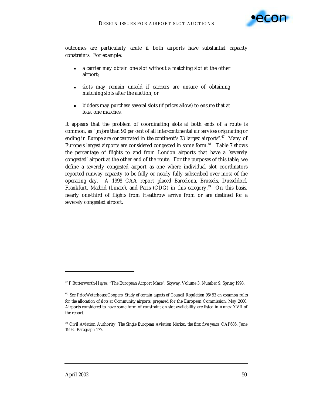

outcomes are particularly acute if both airports have substantial capacity constraints. For example:

- a carrier may obtain one slot without a matching slot at the other airport;
- ! slots may remain unsold if carriers are unsure of obtaining matching slots after the auction; or
- ! bidders may purchase several slots (if prices allow) to ensure that at least one matches.

It appears that the problem of coordinating slots at both ends of a route is common, as "*[m]ore than 90 per cent of all inter-continental air services originating or ending in Europe are concentrated in the continent's 33 largest airports*".47 Many of Europe's largest airports are considered congested in some form.<sup>48</sup> Table 7 shows the percentage of flights to and from London airports that have a 'severely congested' airport at the other end of the route. For the purposes of this table, we define a severely congested airport as one where individual slot coordinators reported runway capacity to be fully or nearly fully subscribed over most of the operating day. A 1998 CAA report placed Barcelona, Brussels, Dusseldorf, Frankfurt, Madrid (Linate), and Paris (CDG) in this category.<sup>49</sup> On this basis, nearly one-third of flights from Heathrow arrive from or are destined for a severely congested airport.

<sup>47</sup> P Butterworth-Hayes, "The European Airport Maze", *Skyway*, Volume 3, Number 9, Spring 1998.

<sup>48</sup> See PriceWaterhouseCoopers, *Study of certain aspects of Council Regulation 95/93 on common rules for the allocation of slots at Community airports*, prepared for the European Commission, May 2000. Airports considered to have some form of constraint on slot availability are listed in Annex XVII of the report.

<sup>49</sup> Civil Aviation Authority, *The Single European Aviation Market: the first five years*, CAP685, June 1998. Paragraph 177.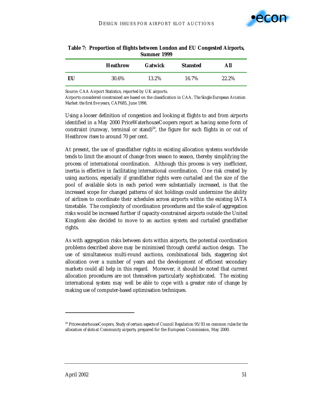

| ---------------- |                 |                |                 |       |
|------------------|-----------------|----------------|-----------------|-------|
|                  | <b>Heathrow</b> | <b>Gatwick</b> | <b>Stansted</b> | All   |
| EU               | 30.6%           | 13.2%          | 16.7%           | 22.2% |

| Table 7: Proportion of flights between London and EU Congested Airports, |
|--------------------------------------------------------------------------|
| Summer 1999                                                              |

Source: CAA Airport Statistics, reported by UK airports.

Airports considered constrained are based on the classification in CAA, *The Single European Aviation Market: the first five years*, CAP685, June 1998.

Using a looser definition of congestion and looking at flights to and from airports identified in a May 2000 PriceWaterhouseCoopers report as having some form of constraint (runway, terminal or stand) $50$ , the figure for such flights in or out of Heathrow rises to around 70 per cent.

At present, the use of grandfather rights in existing allocation systems worldwide tends to limit the amount of change from season to season, thereby simplifying the process of international coordination. Although this process is very inefficient, inertia is effective in facilitating international coordination. One risk created by using auctions, especially if grandfather rights were curtailed and the size of the pool of available slots in each period were substantially increased, is that the increased scope for changed patterns of slot holdings could undermine the ability of airlines to coordinate their schedules across airports within the existing IATA timetable. The complexity of coordination procedures and the scale of aggregation risks would be increased further if capacity-constrained airports outside the United Kingdom also decided to move to an auction system and curtailed grandfather rights.

As with aggregation risks between slots within airports, the potential coordination problems described above may be minimised through careful auction design. The use of simultaneous multi-round auctions, combinational bids, staggering slot allocation over a number of years and the development of efficient secondary markets could all help in this regard. Moreover, it should be noted that current allocation procedures are not themselves particularly sophisticated. The existing international system may well be able to cope with a greater rate of change by making use of computer-based optimisation techniques.

<sup>50</sup> PricewaterhouseCoopers, *Study of certain aspects of Council Regulation 95/93 on common rules for the allocation of slots at Community airports*, prepared for the European Commission, May 2000.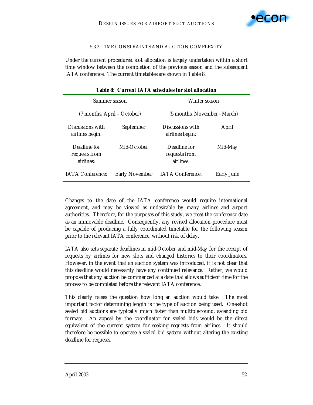

#### 5.3.2. TIME CONSTRAINTS AND AUCTION COMPLEXITY

Under the current procedures, slot allocation is largely undertaken within a short time window between the completion of the previous season and the subsequent IATA conference. The current timetables are shown in Table 8.

| Summer season                              |                       | Winter season                              |                   |  |
|--------------------------------------------|-----------------------|--------------------------------------------|-------------------|--|
| (7 months, April – October)                |                       | (5 months, November - March)               |                   |  |
| Discussions with<br>airlines begin:        | September             | Discussions with<br>airlines begin:        | April             |  |
| Deadline for<br>requests from<br>airlines: | Mid-October           | Deadline for<br>requests from<br>airlines: | Mid-May           |  |
| <b>IATA</b> Conference:                    | <b>Early November</b> | <b>IATA Conference:</b>                    | <b>Early June</b> |  |

### **Table 8: Current IATA schedules for slot allocation**

Changes to the date of the IATA conference would require international agreement, and may be viewed as undesirable by many airlines and airport authorities. Therefore, for the purposes of this study, we treat the conference date as an immovable deadline. Consequently, any revised allocation procedure must be capable of producing a fully coordinated timetable for the following season prior to the relevant IATA conference, without risk of delay.

IATA also sets separate deadlines in mid-October and mid-May for the receipt of requests by airlines for new slots and changed historics to their coordinators. However, in the event that an auction system was introduced, it is not clear that this deadline would necessarily have any continued relevance. Rather, we would propose that any auction be commenced at a date that allows sufficient time for the process to be completed before the relevant IATA conference.

This clearly raises the question how long an auction would take. The most important factor determining length is the type of auction being used. One-shot sealed bid auctions are typically much faster than multiple-round, ascending bid formats. An appeal by the coordinator for sealed bids would be the direct equivalent of the current system for seeking requests from airlines. It should therefore be possible to operate a sealed bid system without altering the existing deadline for requests.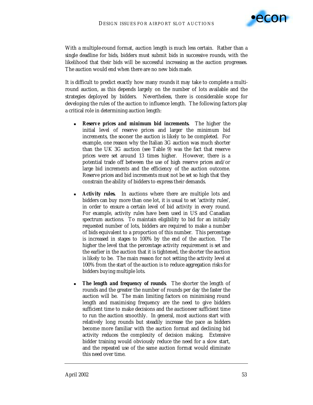

With a multiple-round format, auction length is much less certain. Rather than a single deadline for bids, bidders must submit bids in successive rounds, with the likelihood that their bids will be successful increasing as the auction progresses. The auction would end when there are no new bids made.

It is difficult to predict exactly how many rounds it may take to complete a multiround auction, as this depends largely on the number of lots available and the strategies deployed by bidders. Nevertheless, there is considerable scope for developing the rules of the auction to influence length. The following factors play a critical role in determining auction length:

- *Reserve prices and minimum bid increments.* The higher the initial level of reserve prices and larger the minimum bid increments, the sooner the auction is likely to be completed. For example, one reason why the Italian 3G auction was much shorter than the UK 3G auction (see Table 9) was the fact that reserve prices were set around 13 times higher. However, there is a potential trade off between the use of high reserve prices and/or large bid increments and the efficiency of the auction outcome. Reserve prices and bid increments must not be set so high that they constrain the ability of bidders to express their demands.
- Activity rules. In auctions where there are multiple lots and bidders can buy more than one lot, it is usual to set 'activity rules', in order to ensure a certain level of bid activity in every round. For example, activity rules have been used in US and Canadian spectrum auctions. To maintain eligibility to bid for an initially requested number of lots, bidders are required to make a number of bids equivalent to a proportion of this number. This percentage is increased in stages to 100% by the end of the auction. The higher the level that the percentage activity requirement is set and the earlier in the auction that it is tightened, the shorter the auction is likely to be. The main reason for not setting the activity level at 100% from the start of the auction is to reduce aggregation risks for bidders buying multiple lots.
- **The length and frequency of rounds**. The shorter the length of rounds and the greater the number of rounds per day the faster the auction will be. The main limiting factors on minimising round length and maximising frequency are the need to give bidders sufficient time to make decisions and the auctioneer sufficient time to run the auction smoothly. In general, most auctions start with relatively long rounds but steadily increase the pace as bidders become more familiar with the auction format and declining bid activity reduces the complexity of decision making. Extensive bidder training would obviously reduce the need for a slow start, and the repeated use of the same auction format would eliminate this need over time.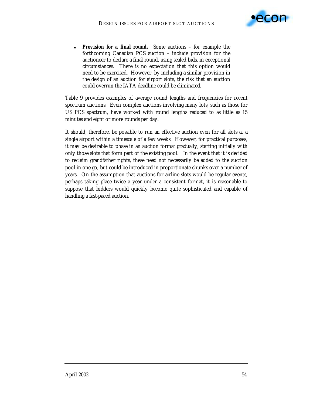

*Provision for a final round.* Some auctions – for example the forthcoming Canadian PCS auction – include provision for the auctioneer to declare a final round, using sealed bids, in exceptional circumstances. There is no expectation that this option would need to be exercised. However, by including a similar provision in the design of an auction for airport slots, the risk that an auction could overrun the IATA deadline could be eliminated.

Table 9 provides examples of average round lengths and frequencies for recent spectrum auctions. Even complex auctions involving many lots, such as those for US PCS spectrum, have worked with round lengths reduced to as little as 15 minutes and eight or more rounds per day.

It should, therefore, be possible to run an effective auction even for *all* slots at a single airport within a timescale of a few weeks. However, for practical purposes, it may be desirable to phase in an auction format gradually, starting initially with only those slots that form part of the existing pool. In the event that it is decided to reclaim grandfather rights, these need not necessarily be added to the auction pool in one go, but could be introduced in proportionate chunks over a number of years. On the assumption that auctions for airline slots would be regular events, perhaps taking place twice a year under a consistent format, it is reasonable to suppose that bidders would quickly become quite sophisticated and capable of handling a fast-paced auction.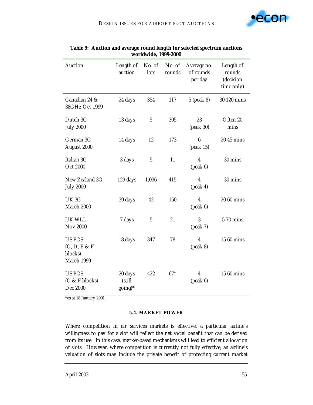

| <b>Auction</b>                                          | Length of<br>auction         | No. of<br>lots | No. of<br>rounds | Average no.<br>of rounds<br>per day           | Length of<br>rounds<br>(decision<br>time only) |
|---------------------------------------------------------|------------------------------|----------------|------------------|-----------------------------------------------|------------------------------------------------|
| Canadian 24 &<br>38GHz Oct 1999                         | 24 days                      | 354            | 117              | 5 (peak 8)                                    | 30-120 mins                                    |
| Dutch 3G<br><b>July 2000</b>                            | 13 days                      | $\sqrt{5}$     | 305              | 23<br>(peak 30)                               | Often 20<br>mins                               |
| German 3G<br>August 2000                                | 14 days                      | 12             | 173              | $\boldsymbol{6}$<br>(peak 15)                 | 20-45 mins                                     |
| Italian 3G<br><b>Oct 2000</b>                           | 3 days                       | $\mathbf 5$    | 11               | $\boldsymbol{4}$<br>(peak 6)                  | 30 mins                                        |
| New Zealand 3G<br><b>July 2000</b>                      | 129 days                     | 1,036          | 415              | $\boldsymbol{4}$<br>$(\text{peak } 4)$        | 30 mins                                        |
| UK <sub>3G</sub><br>March 2000                          | 39 days                      | 42             | 150              | $\overline{\mathbf{4}}$<br>$(\text{peak } 6)$ | 20-60 mins                                     |
| <b>UK WLL</b><br><b>Nov 2000</b>                        | 7 days                       | $\mathbf{5}$   | 21               | 3<br>(peak 7)                                 | 5-70 mins                                      |
| <b>US PCS</b><br>(C, D, E & F)<br>blocks)<br>March 1999 | 18 days                      | 347            | 78               | $\overline{4}$<br>$(\text{peak } 8)$          | 15-60 mins                                     |
| <b>US PCS</b><br>$(C & F$ blocks)<br>Dec 2000           | 20 days<br>(still<br>going)* | 422            | $67*$            | 4<br>$(\text{peak } 6)$                       | 15-60 mins                                     |

# **Table 9: Auction and average round length for selected spectrum auctions worldwide, 1999-2000**

\*as at 18 January 2001.

### **5.4. MARKET POWER**

Where competition in air services markets is effective, a particular airline's willingness to pay for a slot will reflect the net social benefit that can be derived from its use. In this case, market-based mechanisms will lead to efficient allocation of slots. However, where competition is currently not fully effective, an airline's valuation of slots may include the private benefit of protecting current market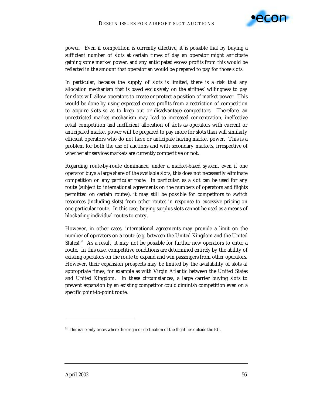

power. Even if competition is *currently* effective, it is possible that by buying a sufficient number of slots at certain times of day an operator might anticipate gaining some market power, and any anticipated excess profits from this would be reflected in the amount that operator an would be prepared to pay for those slots.

In particular, because the supply of slots is limited, there is a risk that any allocation mechanism that is based exclusively on the airlines' willingness to pay for slots will allow operators to create or protect a position of market power. This would be done by using expected excess profits from a restriction of competition to acquire slots so as to keep out or disadvantage competitors. Therefore, an unrestricted market mechanism may lead to increased concentration, ineffective retail competition and inefficient allocation of slots as operators with current or anticipated market power will be prepared to pay more for slots than will similarly efficient operators who do not have or anticipate having market power. This is a problem for both the use of auctions and with secondary markets, irrespective of whether air services markets are *currently* competitive or not.

Regarding route-by-route dominance, under a market-based system, even if one operator buys a large share of the available slots, this does not necessarily eliminate competition on *any particular route*. In particular, as a slot can be used for any route (subject to international agreements on the numbers of operators and flights permitted on certain routes), it may still be possible for competitors to switch resources (including slots) from other routes in response to excessive pricing on one particular route. In this case, buying surplus slots cannot be used as a means of blockading *individual* routes to entry.

However, in other cases, international agreements may provide a limit on the number of operators on a route (e.g. between the United Kingdom and the United States).<sup>51</sup> As a result, it may not be possible for further new operators to enter a route. In this case, competitive conditions are determined *entirely* by the ability of existing operators on the route to expand and win passengers from other operators. However, their expansion prospects may be limited by the availability of slots at appropriate times, for example as with Virgin Atlantic between the United States and United Kingdom. In these circumstances, a large carrier buying slots to prevent expansion by an existing competitor could diminish competition even on a specific point-to-point route.

<sup>&</sup>lt;sup>51</sup> This issue only arises where the origin or destination of the flight lies outside the EU.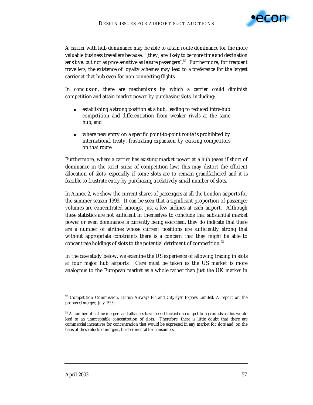

A carrier with hub dominance may be able to attain route dominance for the more valuable business travellers because, "[they] *are likely to be more time and destination sensitive, but not as price sensitive as leisure passengers*".52 Furthermore, for frequent travellers, the existence of loyalty schemes may lead to a preference for the largest carrier at that hub even for non-connecting flights.

In conclusion, there are mechanisms by which a carrier could diminish competition and attain market power by purchasing slots, including:

- establishing a strong position at a hub, leading to reduced intra-hub competition and differentiation from weaker rivals at the same hub; and
- where new entry on a specific point-to-point route is prohibited by international treaty, frustrating expansion by existing competitors on that route.

Furthermore, where a carrier has existing market power at a hub (even if short of dominance in the strict sense of competition law) this may distort the efficient allocation of slots, especially if some slots are to remain grandfathered and it is feasible to frustrate entry by purchasing a relatively small number of slots.

In Annex 2, we show the current shares of passengers at all the London airports for the summer season 1999. It can be seen that a significant proportion of passenger volumes are concentrated amongst just a few airlines at each airport. Although these statistics are not sufficient in themselves to conclude that substantial market power or even dominance is *currently* being exercised, they do indicate that there are a number of airlines whose current positions are sufficiently strong that without appropriate constraints there is a concern that they might be able to concentrate holdings of slots to the potential detriment of competition.<sup>53</sup>

In the case study below, we examine the US experience of allowing trading in slots at four major hub airports. Care must be taken as the US market is more analogous to the European market as a whole rather than just the UK market in

-

<sup>52</sup> Competition Commission, *British Airways Plc and CityFlyer Express Limited*, A report on the proposed merger, July 1999.

<sup>&</sup>lt;sup>53</sup> A number of airline mergers and alliances have been blocked on competition grounds as this would lead to an unacceptable concentration of slots. Therefore, there is little doubt that there are commercial incentives for concentration that would be expressed in any market for slots and, on the basis of these blocked mergers, be detrimental for consumers.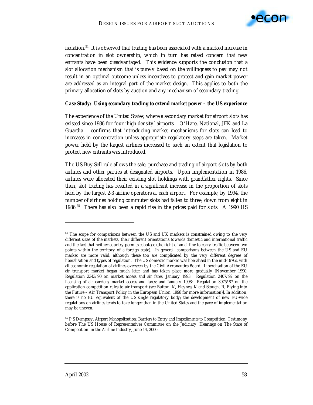

isolation.54 It is observed that trading has been associated with a marked increase in concentration in slot ownership, which in turn has raised concern that new entrants have been disadvantaged. This evidence supports the conclusion that a slot allocation mechanism that is purely based on the willingness to pay may not result in an optimal outcome unless incentives to protect and gain market power are addressed as an integral part of the market design. This applies to both the primary allocation of slots by auction and any mechanism of secondary trading.

#### *Case Study: Using secondary trading to extend market power – the US experience*

The experience of the United States, where a secondary market for airport slots has existed since 1986 for four 'high-density' airports – O'Hare, National, JFK and La Guardia – confirms that introducing market mechanisms for slots can lead to increases in concentration unless appropriate regulatory steps are taken. Market power held by the largest airlines increased to such an extent that legislation to protect new entrants was introduced.

The US Buy-Sell rule allows the sale, purchase and trading of airport slots by both airlines and other parties at designated airports. Upon implementation in 1986, airlines were allocated their existing slot holdings with grandfather rights. Since then, slot trading has resulted in a significant increase in the proportion of slots held by the largest 2-3 airline operators at each airport. For example, by 1994, the number of airlines holding commuter slots had fallen to three, down from eight in 1986.55 There has also been a rapid rise in the prices paid for slots. A 1990 US

 $\ddot{ }$ 

<sup>&</sup>lt;sup>54</sup> The scope for comparisons between the US and UK markets is constrained owing to the very different sizes of the markets, their different orientations towards domestic and international traffic and the fact that neither country permits cabotage (the right of an airline to carry traffic between two points within the territory of a foreign state). In general, comparisons between the US and EU market are more valid, although these too are complicated by the very different degrees of liberalisation and types of regulation. The US domestic market was liberalised in the mid-1970s, with all economic regulation of airlines overseen by the Civil Aeronautics Board. Liberalisation of the EU air transport market began much later and has taken place more gradually [November 1990: Regulation 2343/90 on market access and air fares; January 1993: Regulation 2407/92 on the licensing of air carriers, market access and fares; and January 1998: Regulation 3975/87 on the application competition rules to air transport (see Button, K, Haynes, K and Stough, R, Flying into the Future – Air Transport Policy in the European Union, 1998 for more information)]. In addition, there is no EU equivalent of the US single regulatory body; the development of new EU-wide regulations on airlines tends to take longer than in the United States and the pace of implementation may be uneven.

<sup>55</sup> P S Dempsey, *Airport Monopolization: Barriers to Entry and Impediments to Competition*, Testimony before The US House of Representatives Committee on the Judiciary, Hearings on The State of Competition in the Airline Industry, June 14, 2000.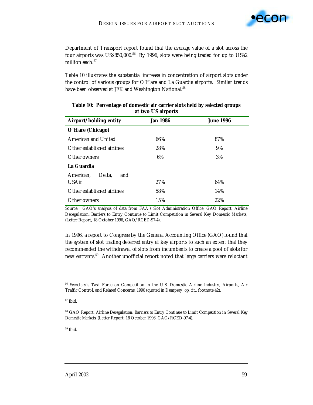

Department of Transport report found that the average value of a slot across the four airports was US\$850,000.<sup>56</sup> By 1996, slots were being traded for up to US\$2 million each.<sup>57</sup>

Table 10 illustrates the substantial increase in concentration of airport slots under the control of various groups for O'Hare and La Guardia airports. Similar trends have been observed at JFK and Washington National.<sup>58</sup>

| Airport/holding entity     | <b>Jan 1986</b> | <b>June 1996</b> |  |
|----------------------------|-----------------|------------------|--|
| O'Hare (Chicago)           |                 |                  |  |
| <b>American and United</b> | 66%             | 87%              |  |
| Other established airlines | 28%             | 9%               |  |
| Other owners               | 6%              | 3%               |  |
| La Guardia                 |                 |                  |  |
| Delta.<br>and<br>American, |                 |                  |  |
| <b>USAir</b>               | 27%             | 64%              |  |
| Other established airlines | 58%             | 14%              |  |
| Other owners               | 15%             | 22%              |  |

## **Table 10: Percentage of domestic air carrier slots held by selected groups at two US airports**

Source: GAO's analysis of data from FAA's Slot Administration Office, GAO Report, Airline Deregulation: Barriers to Entry Continue to Limit Competition in Several Key Domestic Markets, (Letter Report, 18 October 1996, GAO/RCED-97-4).

In 1996, a report to Congress by the General Accounting Office (GAO) found that the system of slot trading deterred entry at key airports to such an extent that they recommended the withdrawal of slots from incumbents to create a pool of slots for new entrants.59 Another unofficial report noted that large carriers were reluctant

 $\overline{a}$ 

59 Ibid.

<sup>56</sup> Secretary's Task Force on Competition in the U.S. Domestic Airline Industry, Airports, Air Traffic Control, and Related Concerns, 1990 (quoted in Dempsay, *op. cit.*, footnote 42).

<sup>57</sup> Ibid.

<sup>58</sup> GAO Report, *Airline Deregulation: Barriers to Entry Continue to Limit Competition in Several Key Domestic Markets*, (Letter Report, 18 October 1996, GAO/RCED-97-4).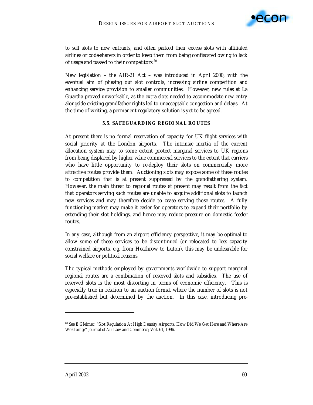

to sell slots to new entrants, and often parked their excess slots with affiliated airlines or code-sharers in order to keep them from being confiscated owing to lack of usage and passed to their competitors.<sup>60</sup>

New legislation – the AIR-21 Act – was introduced in April 2000, with the eventual aim of phasing out slot controls, increasing airline competition and enhancing service provision to smaller communities. However, new rules at La Guardia proved unworkable, as the extra slots needed to accommodate new entry alongside existing grandfather rights led to unacceptable congestion and delays. At the time of writing, a permanent regulatory solution is yet to be agreed.

#### **5.5. SAFEGUARDING REGIONAL ROUTES**

At present there is no formal reservation of capacity for UK flight services with social priority at the London airports. The intrinsic inertia of the current allocation system may to some extent protect marginal services to UK regions from being displaced by higher value commercial services to the extent that carriers who have little opportunity to re-deploy their slots on commercially more attractive routes provide them. Auctioning slots may expose some of these routes to competition that is at present suppressed by the grandfathering system. However, the main threat to regional routes at present may result from the fact that operators serving such routes are unable to acquire additional slots to launch new services and may therefore decide to cease serving those routes. A fully functioning market may make it easier for operators to expand their portfolio by extending their slot holdings, and hence may reduce pressure on domestic feeder routes.

In any case, although from an airport efficiency perspective, it may be optimal to allow some of these services to be discontinued (or relocated to less capacity constrained airports, e.g. from Heathrow to Luton), this may be undesirable for social welfare or political reasons.

The typical methods employed by governments worldwide to support marginal regional routes are a combination of reserved slots and subsidies. The use of reserved slots is the most distorting in terms of economic efficiency. This is especially true in relation to an auction format where the number of slots is not pre-established but determined by the auction. In this case, introducing pre-

 $\ddot{ }$ 

<sup>&</sup>lt;sup>60</sup> See E Gleimer, "Slot Regulation At High Density Airports; How Did We Get Here and Where Are We Going?" *Journal of Air Law and Commerce*, Vol. 61, 1996.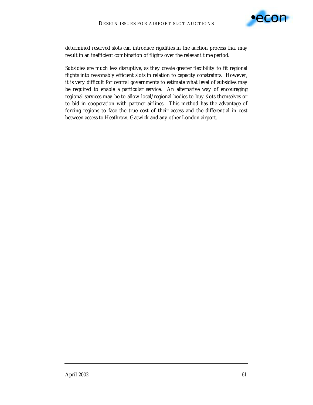

determined reserved slots can introduce rigidities in the auction process that may result in an inefficient combination of flights over the relevant time period.

Subsidies are much less disruptive, as they create greater flexibility to fit regional flights into reasonably efficient slots in relation to capacity constraints. However, it is very difficult for central governments to estimate what level of subsidies may be required to enable a particular service. An alternative way of encouraging regional services may be to allow local/regional bodies to buy slots themselves or to bid in cooperation with partner airlines. This method has the advantage of forcing regions to face the true cost of their access and the differential in cost between access to Heathrow, Gatwick and any other London airport.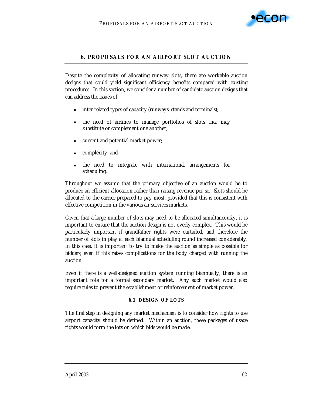

# **6. PROPOSALS FOR AN AIRPORT SLOT AUCTION**

Despite the complexity of allocating runway slots, there are workable auction designs that could yield significant efficiency benefits compared with existing procedures. In this section, we consider a number of candidate auction designs that can address the issues of:

- inter-related types of capacity (runways, stands and terminals);
- **If the need of airlines to manage portfolios of slots that may** substitute or complement one another;
- ! current and potential market power;
- **Exercise 2** complexity; and
- ! the need to integrate with international arrangements for scheduling.

Throughout we assume that the primary objective of an auction would be to produce an efficient allocation rather than raising revenue per se. Slots should be allocated to the carrier prepared to pay most, provided that this is consistent with effective competition in the various air services markets.

Given that a large number of slots may need to be allocated simultaneously, it is important to ensure that the auction design is not overly complex. This would be particularly important if grandfather rights were curtailed, and therefore the number of slots in play at each biannual scheduling round increased considerably. In this case, it is important to try to make the auction as simple as possible for *bidders*, even if this raises complications for the body charged with running the auction.

Even if there is a well-designed auction system running biannually, there is an important role for a formal secondary market. Any such market would also require rules to prevent the establishment or reinforcement of market power.

### **6.1. DESIGN OF LOTS**

The first step in designing any market mechanism is to consider how rights to use airport capacity should be defined. Within an auction, these packages of usage rights would form the lots on which bids would be made.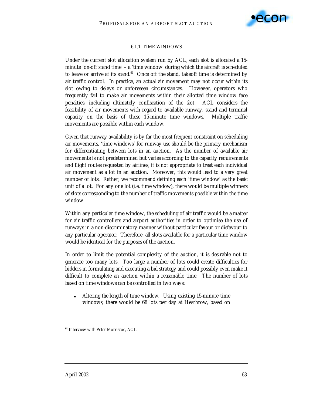

#### 6.1.1. TIME WINDOWS

Under the current slot allocation system run by ACL, each slot is allocated a 15 minute 'on-off stand time' – a 'time window' during which the aircraft is scheduled to leave or arrive at its stand. $61$  Once off the stand, takeoff time is determined by air traffic control. In practice, an actual air movement may not occur within its slot owing to delays or unforeseen circumstances. However, operators who frequently fail to make air movements within their allotted time window face penalties, including ultimately confiscation of the slot. ACL considers the feasibility of air movements with regard to available runway, stand and terminal capacity on the basis of these 15-minute time windows. Multiple traffic movements are possible within each window.

Given that runway availability is by far the most frequent constraint on scheduling air movements, 'time windows' for runway use should be the primary mechanism for differentiating between lots in an auction. As the number of available air movements is not predetermined but varies according to the capacity requirements and flight routes requested by airlines, it is not appropriate to treat each individual air movement as a lot in an auction. Moreover, this would lead to a very great number of lots. Rather, we recommend defining each 'time window' as the basic unit of a lot. For any one lot (i.e. time window), there would be multiple winners of slots corresponding to the number of traffic movements possible within the time window.

Within any particular time window, the scheduling of air traffic would be a matter for air traffic controllers and airport authorities in order to optimise the use of runways in a non-discriminatory manner without particular favour or disfavour to any particular operator. Therefore, all slots available for a particular time window would be *identical* for the purposes of the auction.

In order to limit the potential complexity of the auction, it is desirable not to generate too many lots. Too large a number of lots could create difficulties for bidders in formulating and executing a bid strategy and could possibly even make it difficult to complete an auction within a reasonable time. The number of lots based on time windows can be controlled in two ways:

! *Altering the length of time window.* Using existing 15-minute time windows, there would be 68 lots per day at Heathrow, based on

 $\overline{a}$ 

<sup>&</sup>lt;sup>61</sup> Interview with Peter Morrisroe, ACL.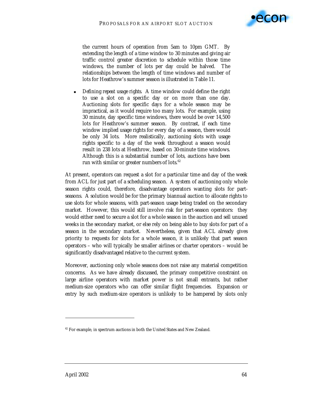

the current hours of operation from 5am to 10pm GMT. By extending the length of a time window to 30 minutes and giving air traffic control greater discretion to schedule within those time windows, the number of lots per day could be halved. The relationships between the length of time windows and number of lots for Heathrow's summer season is illustrated in Table 11.

! *Defining repeat usage rights.* A time window could define the right to use a slot on a specific day or on more than one day. Auctioning slots for specific days for a whole season may be impractical, as it would require too many lots. For example, using 30 minute, day specific time windows, there would be over 14,500 lots for Heathrow's summer season. By contrast, if each time window implied usage rights for every day of a season, there would be only 34 lots. More realistically, auctioning slots with usage rights specific to a day of the week throughout a season would result in 238 lots at Heathrow, based on 30-minute time windows. Although this is a substantial number of lots, auctions have been run with similar or greater numbers of lots.<sup>62</sup>

At present, operators can request a slot for a particular time and day of the week from ACL for just part of a scheduling season. A system of auctioning only whole season rights could, therefore, disadvantage operators wanting slots for partseasons. A solution would be for the primary biannual auction to allocate rights to use slots for whole seasons, with part-season usage being traded on the secondary market. However, this would still involve risk for part-season operators: they would either need to secure a slot for a whole season in the auction and sell unused weeks in the secondary market, or else rely on being able to buy slots for part of a season in the secondary market. Nevertheless, given that ACL already gives priority to requests for slots for a whole season, it is unlikely that part season operators – who will typically be smaller airlines or charter operators – would be significantly disadvantaged relative to the current system.

Moreover, auctioning only whole seasons does not raise any material competition concerns. As we have already discussed, the primary competitive constraint on large airline operators with market power is not small entrants, but rather medium-size operators who can offer similar flight frequencies. Expansion or entry by such medium-size operators is unlikely to be hampered by slots only

 $\overline{a}$ 

 $62$  For example, in spectrum auctions in both the United States and New Zealand.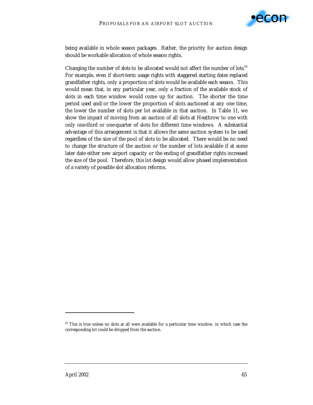

being available in whole season packages. Rather, the priority for auction design should be workable allocation of whole season rights.

Changing the number of *slots* to be allocated would not affect the number of *lots.63* For example, even if short-term usage rights with staggered starting dates replaced grandfather rights, only a proportion of slots would be available each season. This would mean that, in any particular year, only a fraction of the available stock of slots in each time window would come up for auction. The shorter the time period used and/or the lower the proportion of slots auctioned at any one time, the lower the number of slots per lot available in that auction. In Table 11, we show the impact of moving from an auction of all slots at Heathrow to one with only one-third or one-quarter of slots for different time windows. A substantial advantage of this arrangement is that it allows the same auction system to be used regardless of the size of the pool of slots to be allocated. There would be no need to change the structure of the auction or the number of lots available if at some later date either new airport capacity or the ending of grandfather rights increased the size of the pool. Therefore, this lot design would allow phased implementation of a variety of possible slot allocation reforms.

 $\ddot{ }$ 

<sup>&</sup>lt;sup>63</sup> This is true unless no slots at all were available for a particular time window, in which case the corresponding lot could be dropped from the auction.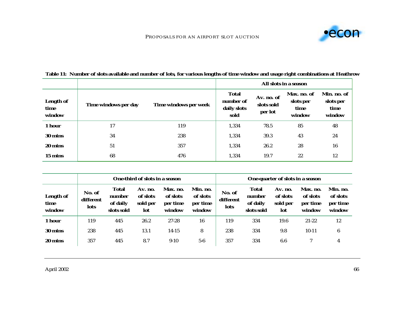

|                                    |                      |                       |                                                  |                                     | All slots in a season                      |                                            |
|------------------------------------|----------------------|-----------------------|--------------------------------------------------|-------------------------------------|--------------------------------------------|--------------------------------------------|
| <b>Length of</b><br>time<br>window | Time windows per day | Time windows per week | <b>Total</b><br>number of<br>daily slots<br>sold | Av. no. of<br>slots sold<br>per lot | Max. no. of<br>slots per<br>time<br>window | Min. no. of<br>slots per<br>time<br>window |
| 1 hour                             | 17                   | 119                   | 1,334                                            | 78.5                                | 85                                         | 48                                         |
| 30 mins                            | 34                   | 238                   | 1,334                                            | 39.3                                | 43                                         | 24                                         |
| 20 mins                            | 51                   | 357                   | 1,334                                            | 26.2                                | 28                                         | 16                                         |
| 15 mins                            | 68                   | 476                   | 1,334                                            | 19.7                                | 22                                         | 12                                         |

# **Table 11: Number of slots available and number of lots, for various lengths of time window and usage right combinations at Heathrow**

|                                    | One-third of slots in a season     |                                                  |                                        |                                            | One-quarter of slots in a season           |                             |                                                  |                                        |                                            |                                            |
|------------------------------------|------------------------------------|--------------------------------------------------|----------------------------------------|--------------------------------------------|--------------------------------------------|-----------------------------|--------------------------------------------------|----------------------------------------|--------------------------------------------|--------------------------------------------|
| <b>Length of</b><br>time<br>window | No. of<br>different<br><b>lots</b> | <b>Total</b><br>number<br>of daily<br>slots sold | Av. no.<br>of slots<br>sold per<br>lot | Max. no.<br>of slots<br>per time<br>window | Min. no.<br>of slots<br>per time<br>window | No. of<br>different<br>lots | <b>Total</b><br>number<br>of daily<br>slots sold | Av. no.<br>of slots<br>sold per<br>lot | Max. no.<br>of slots<br>per time<br>window | Min. no.<br>of slots<br>per time<br>window |
| 1 hour                             | 119                                | 445                                              | 26.2                                   | 27-28                                      | 16                                         | 119                         | 334                                              | 19.6                                   | $21 - 22$                                  | 12                                         |
| 30 mins                            | 238                                | 445                                              | 13.1                                   | $14-15$                                    | 8                                          | 238                         | 334                                              | 9.8                                    | $10-11$                                    | 6                                          |
| 20 mins                            | 357                                | 445                                              | 8.7                                    | $9-10$                                     | $5-6$                                      | 357                         | 334                                              | 6.6                                    |                                            | 4                                          |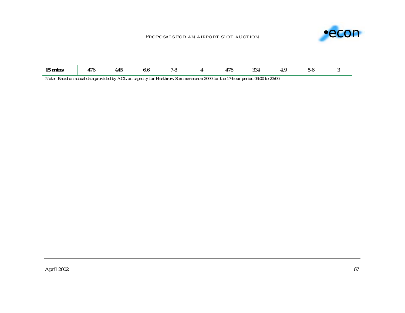### PROPOSALS FOR AN AIRPORT SLOT AUCTION



| 15 mins | 170 | 445 |  |  |  | 17G | 334<br>UUT |  | 1-r |  |
|---------|-----|-----|--|--|--|-----|------------|--|-----|--|
|---------|-----|-----|--|--|--|-----|------------|--|-----|--|

Note: Based on actual data provided by ACL on capacity for Heathrow Summer season 2000 for the 17-hour period 06:00 to 23:00.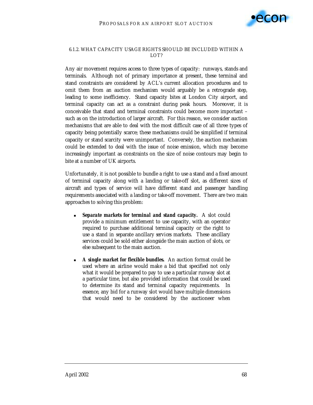

## 6.1.2. WHAT CAPACITY USAGE RIGHTS SHOULD BE INCLUDED WITHIN A LOT?

Any air movement requires access to three types of capacity: runways, stands and terminals. Although not of primary importance at present, these terminal and stand constraints are considered by ACL's current allocation procedures and to omit them from an auction mechanism would arguably be a retrograde step, leading to some inefficiency. Stand capacity bites at London City airport, and terminal capacity can act as a constraint during peak hours. Moreover, it is conceivable that stand and terminal constraints could become more important – such as on the introduction of larger aircraft. For this reason, we consider auction mechanisms that are able to deal with the most difficult case of all three types of capacity being potentially scarce; these mechanisms could be simplified if terminal capacity or stand scarcity were unimportant. Conversely, the auction mechanism could be extended to deal with the issue of noise emission, which may become increasingly important as constraints on the size of noise contours may begin to bite at a number of UK airports.

Unfortunately, it is not possible to bundle a right to use a stand and a *fixed* amount of terminal capacity along with a landing or take-off slot, as different sizes of aircraft and types of service will have different stand and passenger handling requirements associated with a landing or take-off movement. There are two main approaches to solving this problem:

- *Separate markets for terminal and stand capacity.* **A slot could** provide a *minimum* entitlement to use capacity, with an operator required to purchase additional terminal capacity or the right to use a stand in separate *ancillary services* markets. These ancillary services could be sold either alongside the main auction of slots, or else subsequent to the main auction.
- A **single market for flexible bundles.** An auction format could be used where an airline would make a bid that specified not only what it would be prepared to pay to use a particular runway slot at a particular time, but also provided information that could be used to determine its stand and terminal capacity requirements. In essence, any bid for a runway slot would have multiple dimensions that would need to be considered by the auctioneer when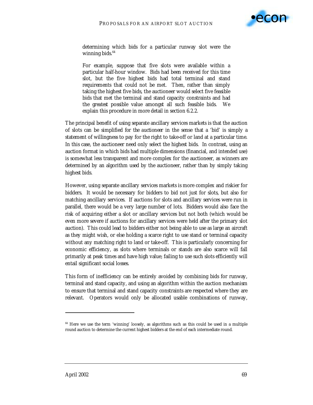

determining which bids for a particular runway slot were the winning bids.<sup>64</sup>

For example, suppose that five slots were available within a particular half-hour window. Bids had been received for this time slot, but the five highest bids had total terminal and stand requirements that could not be met. Then, rather than simply taking the highest five bids, the auctioneer would select five feasible bids that met the terminal and stand capacity constraints and had the *greatest* possible value amongst all such feasible bids. We explain this procedure in more detail in section 6.2.2.

The principal benefit of using separate ancillary services markets is that the auction of slots can be simplified *for the auctioneer* in the sense that a 'bid' is simply a statement of willingness to pay for the right to take-off or land at a particular time. In this case, the auctioneer need only select the highest bids. In contrast, using an auction format in which bids had multiple dimensions (financial, and intended use) is somewhat less transparent and more complex for the auctioneer, as winners are determined by an algorithm used by the auctioneer, rather than by simply taking highest bids.

However, using separate ancillary services markets is more complex and riskier for bidders. It would be necessary for bidders to bid not just for slots, but also for matching ancillary services. If auctions for slots and ancillary services were run in parallel, there would be a very large number of lots. Bidders would also face the risk of acquiring either a slot or ancillary services but not both (which would be even more severe if auctions for ancillary services were held after the primary slot auction). This could lead to bidders either not being able to use as large an aircraft as they might wish, or else holding a scarce right to use stand or terminal capacity without any matching right to land or take-off. This is particularly concerning for economic efficiency, as slots where terminals or stands are also scarce will fall primarily at peak times and have high value; failing to use such slots efficiently will entail significant social losses.

This form of inefficiency can be entirely avoided by combining bids for runway, terminal and stand capacity, and using an algorithm within the auction mechanism to ensure that terminal and stand capacity constraints are respected where they are relevant. Operators would only be allocated usable combinations of runway,

 $\ddot{ }$ 

<sup>&</sup>lt;sup>64</sup> Here we use the term 'winning' loosely, as algorithms such as this could be used in a multiple round auction to determine the current highest bidders at the end of each intermediate round.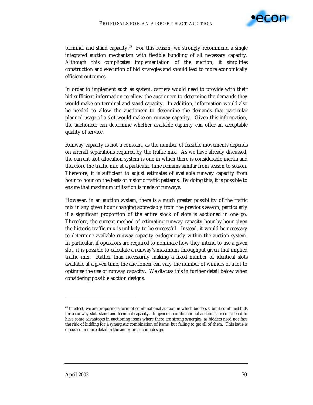

terminal and stand capacity. $65$  For this reason, we strongly recommend a single integrated auction mechanism with flexible bundling of all necessary capacity. Although this complicates implementation of the auction, it simplifies construction and execution of bid strategies and should lead to more economically efficient outcomes.

In order to implement such as system, carriers would need to provide with their bid sufficient information to allow the auctioneer to determine the demands they would make on terminal and stand capacity. In addition, information would also be needed to allow the auctioneer to determine the demands that particular planned usage of a slot would make on runway capacity. Given this information, the auctioneer can determine whether available capacity can offer an acceptable quality of service.

Runway capacity is not a constant, as the number of feasible movements depends on aircraft separations required by the traffic mix. As we have already discussed, the current slot allocation system is one in which there is considerable inertia and therefore the traffic mix at a particular time remains similar from season to season. Therefore, it is sufficient to adjust estimates of available runway capacity from hour to hour on the basis of historic traffic patterns. By doing this, it is possible to ensure that maximum utilisation is made of runways.

However, in an auction system, there is a much greater possibility of the traffic mix in any given hour changing appreciably from the previous season, particularly if a significant proportion of the entire stock of slots is auctioned in one go. Therefore, the current method of estimating runway capacity hour-by-hour given the historic traffic mix is unlikely to be successful. Instead, it would be necessary to determine available runway capacity endogenously within the auction system. In particular, if operators are required to nominate how they intend to use a given slot, it is possible to calculate a runway's maximum throughput given that implied traffic mix. Rather than necessarily making a fixed number of identical slots available at a given time, the auctioneer can vary the number of winners of a lot to optimise the use of runway capacity. We discuss this in further detail below when considering possible auction designs.

 $\overline{a}$ 

<sup>&</sup>lt;sup>65</sup> In effect, we are proposing a form of combinational auction in which bidders submit combined bids for a runway slot, stand and terminal capacity. In general, combinational auctions are considered to have some advantages in auctioning items where there are strong synergies, as bidders need not face the risk of bidding for a synergistic combination of items, but failing to get all of them. This issue is discussed in more detail in the annex on auction design.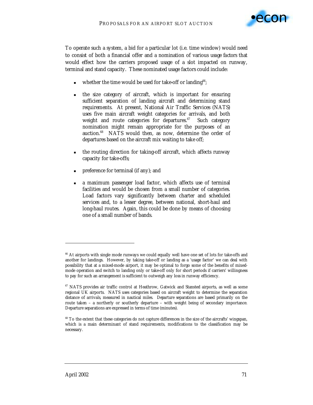

To operate such a system, a bid for a particular lot (i.e. time window) would need to consist of both a financial offer and a nomination of various *usage factors* that would effect how the carriers proposed usage of a slot impacted on runway, terminal and stand capacity. These nominated usage factors could include:

- whether the time would be used for take-off or landing<sup>66</sup>;
- ! the size category of aircraft, which is important for ensuring sufficient separation of landing aircraft and determining stand requirements. At present, National Air Traffic Services (NATS) uses five main aircraft weight categories for arrivals, and both weight and route categories for departures.<sup>67</sup> Such category nomination might remain appropriate for the purposes of an auction.<sup>68</sup> NATS would then, as now, determine the order of departures based on the aircraft mix waiting to take off;
- the routing direction for taking-off aircraft, which affects runway capacity for take-offs;
- ! preference for terminal (if any); and
- a maximum passenger load factor, which affects use of terminal facilities and would be chosen from a small number of categories. Load factors vary significantly between charter and scheduled services and, to a lesser degree, between national, short-haul and long-haul routes. Again, this could be done by means of choosing one of a small number of bands.

 $\overline{a}$ 

<sup>&</sup>lt;sup>66</sup> At airports with single mode runways we could equally well have one set of lots for take-offs and another for landings. However, by taking take-off or landing as a 'usage factor' we can deal with possibility that at a mixed-mode airport, it may be optimal to forgo some of the benefits of mixedmode operation and switch to landing only or take-off only for short periods if carriers' willingness to pay for such an arrangement is sufficient to outweigh any loss in runway efficiency.

<sup>&</sup>lt;sup>67</sup> NATS provides air traffic control at Heathrow, Gatwick and Stansted airports, as well as some regional UK airports. NATS uses categories based on aircraft weight to determine the separation distance of *arrivals,* measured in nautical miles. *Departure* separations are based primarily on the route taken – a northerly or southerly departure – with weight being of secondary importance. Departure separations are expressed in terms of time (minutes).

<sup>&</sup>lt;sup>68</sup> To the extent that these categories do not capture differences in the size of the aircrafts' wingspan, which is a main determinant of stand requirements, modifications to the classification may be necessary.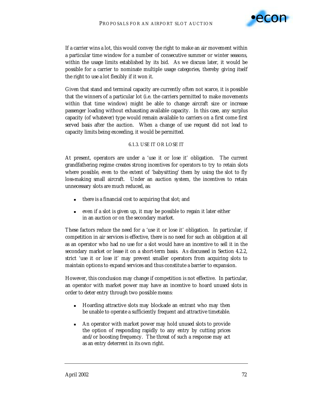

If a carrier wins a lot, this would convey the right to make an air movement within a particular time window for a number of consecutive summer or winter seasons, within the usage limits established by its bid. As we discuss later, it would be possible for a carrier to nominate multiple usage categories, thereby giving itself the right to use a lot flexibly if it won it.

Given that stand and terminal capacity are currently often not scarce, it is possible that the winners of a particular lot (i.e. the carriers permitted to make movements within that time window) might be able to change aircraft size or increase passenger loading without exhausting available capacity. In this case, any surplus capacity (of whatever) type would remain available to carriers on a first come first served basis after the auction. When a change of use request did not lead to capacity limits being exceeding, it would be permitted.

### 6.1.3. USE IT OR LOSE IT

At present, operators are under a 'use it or lose it' obligation. The current grandfathering regime creates strong incentives for operators to try to retain slots where possible, even to the extent of 'babysitting' them by using the slot to fly loss-making small aircraft. Under an auction system, the incentives to retain unnecessary slots are much reduced, as:

- there is a financial cost to acquiring that slot; and
- ! even if a slot is given up, it may be possible to regain it later either in an auction or on the secondary market.

These factors reduce the need for a 'use it or lose it' obligation. In particular, if competition in air services is effective, there is *no* need for such an obligation at all as an operator who had no use for a slot would have an incentive to sell it in the secondary market or lease it on a short-term basis. As discussed in Section 4.2.2, strict 'use it or lose it' may prevent smaller operators from acquiring slots to maintain options to expand services and thus constitute a barrier to expansion.

However, this conclusion may change if competition is not effective. In particular, an operator with market power may have an incentive to hoard unused slots in order to deter entry through two possible means:

- ! Hoarding attractive slots may blockade an entrant who may then be unable to operate a sufficiently frequent and attractive timetable.
- ! An operator with market power may hold unused slots to provide the option of responding rapidly to any entry by cutting prices and/or boosting frequency. The threat of such a response may act as an entry deterrent in its own right.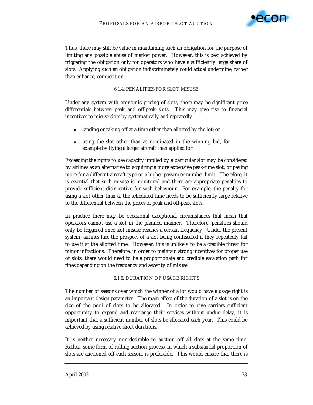

Thus, there may still be value in maintaining such an obligation for the purpose of limiting any possible abuse of market power. However, this is best achieved by triggering the obligation *only* for operators who have a sufficiently large share of slots. Applying such an obligation indiscriminately could actual undermine, rather than enhance, competition.

### 6.1.4. PENALITIES FOR SLOT MISUSE

Under any system with economic pricing of slots, there may be significant price differentials between peak and off-peak slots. This may give rise to financial incentives to misuse slots by systematically and repeatedly:

- landing or taking off at a time other than allotted by the lot; or
- using the slot other than as nominated in the winning bid, for example by flying a larger aircraft than applied for.

Exceeding the rights to use capacity implied by a particular slot may be considered by airlines as an alternative to acquiring a more expensive peak-time slot, or paying more for a different aircraft type or a higher passenger number limit. Therefore, it is essential that such misuse is monitored and there are appropriate penalties to provide sufficient disincentive for such behaviour. For example, the penalty for using a slot other than at the scheduled time needs to be sufficiently large relative to the differential between the prices of peak and off-peak slots.

In practice there may be occasional exceptional circumstances that mean that operators cannot use a slot in the planned manner. Therefore, penalties should only be triggered once slot misuse reaches a certain frequency. Under the present system, airlines face the prospect of a slot being confiscated if they repeatedly fail to use it at the allotted time. However, this is unlikely to be a credible threat for minor infractions. Therefore, in order to maintain strong incentives for proper use of slots, there would need to be a proportionate and credible escalation path for fines depending on the frequency and severity of misuse.

### 6.1.5. DURATION OF USAGE RIGHTS

The number of seasons over which the winner of a lot would have a usage right is an important design parameter. The main effect of the duration of a slot is on the size of the pool of slots to be allocated. In order to give carriers sufficient opportunity to expand and rearrange their services without undue delay, it is important that a sufficient number of slots be allocated each year. This could be achieved by using relative short durations.

It is neither necessary nor desirable to auction off all slots at the same time. Rather, some form of rolling auction process, in which a substantial proportion of slots are auctioned off each season, is preferable. This would ensure that there is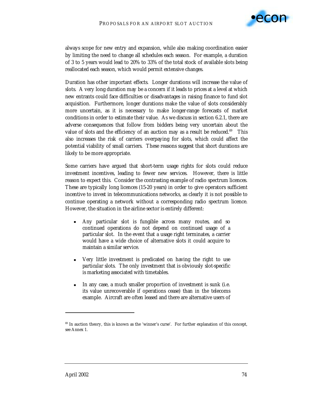

always scope for new entry and expansion, while also making coordination easier by limiting the need to change all schedules each season. For example, a duration of 3 to 5 years would lead to 20% to 33% of the total stock of available slots being reallocated each season, which would permit extensive changes.

Duration has other important effects. Longer durations will increase the value of slots. A very long duration may be a concern if it leads to prices at a level at which new entrants could face difficulties or disadvantages in raising finance to fund slot acquisition. Furthermore, longer durations make the value of slots considerably more uncertain, as it is necessary to make longer-range forecasts of market conditions in order to estimate their value. As we discuss in section 6.2.1, there are adverse consequences that follow from bidders being very uncertain about the value of slots and the efficiency of an auction may as a result be reduced.<sup>69</sup> This also increases the risk of carriers overpaying for slots, which could affect the potential viability of small carriers. These reasons suggest that short durations are likely to be more appropriate.

Some carriers have argued that short-term usage rights for slots could reduce investment incentives, leading to fewer new services. However, there is little reason to expect this. Consider the contrasting example of radio spectrum licences. These are typically long licences (15-20 years) in order to give operators sufficient incentive to invest in telecommunications networks, as clearly it is not possible to continue operating a network without a corresponding radio spectrum licence. However, the situation in the airline sector is entirely different:

- ! Any particular slot is fungible across many routes, and so continued operations do not depend on continued usage of a particular slot. In the event that a usage right terminates, a carrier would have a wide choice of alternative slots it could acquire to maintain a similar service.
- ! Very little investment is predicated on having the right to use *particular* slots. The only investment that is obviously slot-specific is marketing associated with timetables.
- ! In any case, a much smaller proportion of investment is sunk (i.e. its value unrecoverable if operations cease) than in the telecoms example. Aircraft are often leased and there are alternative users of

 $\ddot{ }$ 

<sup>&</sup>lt;sup>69</sup> In auction theory, this is known as the 'winner's curse'. For further explanation of this concept, see Annex 1.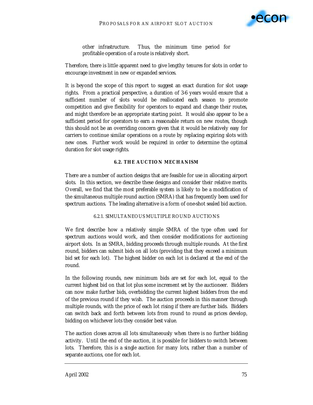

other infrastructure. Thus, the minimum time period for profitable operation of a route is relatively short.

Therefore, there is little apparent need to give lengthy tenures for slots in order to encourage investment in new or expanded services.

It is beyond the scope of this report to suggest an exact duration for slot usage rights. From a practical perspective, a duration of 3-6 years would ensure that a sufficient number of slots would be reallocated each season to promote competition and give flexibility for operators to expand and change their routes, and might therefore be an appropriate starting point. It would also appear to be a sufficient period for operators to earn a reasonable return on new routes, though this should not be an overriding concern given that it would be relatively easy for carriers to continue similar operations on a route by replacing expiring slots with new ones. Further work would be required in order to determine the optimal duration for slot usage rights.

### **6.2. THE AUCTION MECHANISM**

There are a number of auction designs that are feasible for use in allocating airport slots. In this section, we describe these designs and consider their relative merits. Overall, we find that the most preferable system is likely to be a modification of the simultaneous multiple round auction (SMRA) that has frequently been used for spectrum auctions. The leading alternative is a form of one-shot sealed bid auction.

### 6.2.1. SIMULTANEOUS MULTIPLE ROUND AUCTIONS

We first describe how a relatively simple SMRA of the type often used for spectrum auctions would work, and then consider modifications for auctioning airport slots. In an SMRA, bidding proceeds through multiple rounds. At the first round, bidders can submit bids on all lots (providing that they exceed a minimum bid set for each lot). The highest bidder on each lot is declared at the end of the round.

In the following rounds, new minimum bids are set for each lot, equal to the current highest bid on that lot plus some increment set by the auctioneer. Bidders can now make further bids, overbidding the current highest bidders from the end of the previous round if they wish. The auction proceeds in this manner through multiple rounds, with the price of each lot rising if there are further bids. Bidders can switch back and forth between lots from round to round as prices develop, bidding on whichever lots they consider best value.

The auction closes across *all* lots simultaneously when there is no further bidding activity. Until the end of the auction, it is possible for bidders to switch between lots. Therefore, this is a *single* auction for many lots, rather than a number of separate auctions, one for each lot.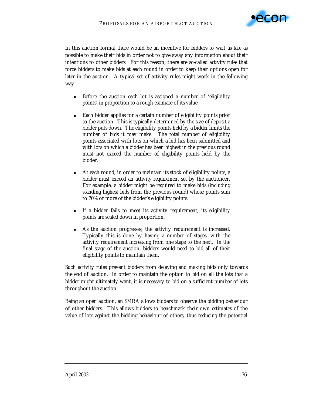

In this auction format there would be an incentive for bidders to wait as late as possible to make their bids in order not to give away any information about their intentions to other bidders. For this reason, there are so-called *activity rules* that force bidders to make bids at each round in order to keep their options open for later in the auction. A typical set of activity rules might work in the following way:

- ! Before the auction each lot is assigned a number of 'eligibility points' in proportion to a rough estimate of its value.
- ! Each bidder applies for a certain number of eligibility points prior to the auction. This is typically determined by the size of deposit a bidder puts down. The eligibility points held by a bidder limits the number of bids it may make. The total number of eligibility points associated with lots on which a bid has been submitted and with lots on which a bidder has been highest in the previous round must not exceed the number of eligibility points held by the bidder.
- At each round, in order to maintain its stock of eligibility points, a bidder must exceed an *activity requirement* set by the auctioneer. For example, a bidder might be required to make bids (including standing highest bids from the previous round) whose points sum to 70% or more of the bidder's eligibility points.
- ! If a bidder fails to meet its activity requirement, its eligibility points are scaled down in proportion.
- As the auction progresses, the activity requirement is increased. Typically this is done by having a number of stages, with the activity requirement increasing from one stage to the next. In the final stage of the auction, bidders would need to bid all of their eligibility points to maintain them.

Such activity rules prevent bidders from delaying and making bids only towards the end of auction. In order to maintain the option to bid on all the lots that a bidder might ultimately want, it is necessary to bid on a sufficient number of lots throughout the auction.

Being an open auction, an SMRA allows bidders to observe the bidding behaviour of other bidders. This allows bidders to benchmark their own estimates of the value of lots against the bidding behaviour of others, thus reducing the potential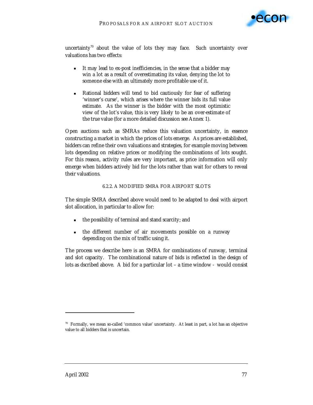

uncertainty<sup>70</sup> about the value of lots they may face. Such uncertainty over valuations has two effects:

- ! It may lead to ex-post inefficiencies, in the sense that a bidder may win a lot as a result of overestimating its value, denying the lot to someone else with an ultimately more profitable use of it.
- Rational bidders will tend to bid cautiously for fear of suffering 'winner's curse', which arises where the winner bids its full value estimate. As the winner is the bidder with the most optimistic view of the lot's value, this is very likely to be an over-estimate of the true value (for a more detailed discussion see Annex 1).

Open auctions such as SMRAs reduce this valuation uncertainty, in essence constructing a market in which the prices of lots emerge. As prices are established, bidders can refine their own valuations and strategies, for example moving between lots depending on relative prices or modifying the combinations of lots sought. For this reason, activity rules are very important, as price information will only emerge when bidders actively bid for the lots rather than wait for others to reveal their valuations.

### 6.2.2. A MODIFIED SMRA FOR AIRPORT SLOTS

The simple SMRA described above would need to be adapted to deal with airport slot allocation, in particular to allow for:

- ! the possibility of terminal and stand scarcity; and
- ! the different number of air movements possible on a runway depending on the mix of traffic using it.

The process we describe here is an SMRA for *combinations* of runway, terminal and slot capacity. The combinational nature of bids is reflected in the design of lots as dscribed above. A bid for a particular lot – a time window - would consist

 $\ddot{ }$ 

 $70$  Formally, we mean so-called 'common value' uncertainty. At least in part, a lot has an objective value to all bidders that is uncertain.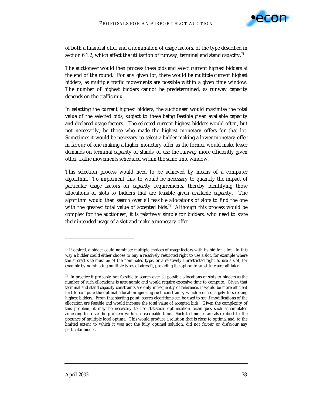

of both a financial offer and a nomination of usage factors, of the type described in section 6.1.2, which affect the utilisation of runway, terminal and stand capacity.<sup>71</sup>

The auctioneer would then process these bids and select current highest bidders at the end of the round. For any given lot, there would be *multiple* current highest bidders, as multiple traffic movements are possible within a given time window. The number of highest bidders cannot be predetermined, as runway capacity depends on the traffic mix.

In selecting the current highest bidders, the auctioneer would maximise the total value of the selected bids, subject to these being feasible given available capacity and declared usage factors. The selected current highest bidders would often, but not necessarily, be those who made the highest monetary offers for that lot. Sometimes it would be necessary to select a bidder making a lower monetary offer in favour of one making a higher monetary offer as the former would make lesser demands on terminal capacity or stands, or use the runway more efficiently given other traffic movements scheduled within the same time window.

This selection process would need to be achieved by means of a computer algorithm. To implement this, to would be necessary to quantify the impact of particular usage factors on capacity requirements, thereby identifying those allocations of slots to bidders that are feasible given available capacity. The algorithm would then search over all feasible allocations of slots to find the one with the greatest total value of accepted bids.<sup>72</sup> Although this process would be complex for the auctioneer, it is relatively simple for bidders, who need to state their intended usage of a slot and make a monetary offer.

 $\overline{a}$ 

 $71$  If desired, a bidder could nominate multiple choices of usage factors with its bid for a lot. In this way a bidder could either choose to buy a relatively restricted right to use a slot, for example where the aircraft size must be of the nominated type, or a relatively unrestricted right to use a slot, for example by nominating multiple types of aircraft, providing the option to substitute aircraft later.

 $72$  In practice it probably not feasible to search over all possible allocations of slots to bidders as the number of such allocations is astronomic and would require excessive time to compute. Given that terminal and stand capacity constraints are only infrequently of relevance, it would be more efficient first to compute the optimal allocation ignoring such constraints, which reduces largely to selecting highest bidders. From that starting point, search algorithms can be used to see if modifications of the allocation are feasible and would increase the total value of accepted bids. Given the complexity of this problem, it may be necessary to use statistical optimisation techniques such as simulated annealing to solve the problem within a reasonable time. Such techniques are also robust to the presence of multiple local optima. This would produce a solution that is close to optimal and, to the limited extent to which it was not the fully optimal solution, did not favour or disfavour any particular bidder.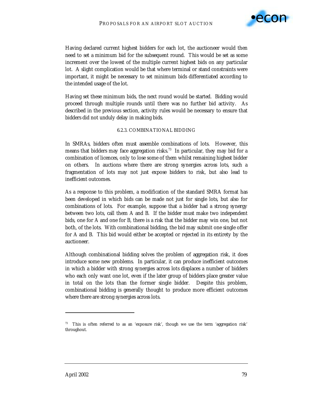

Having declared current highest bidders for each lot, the auctioneer would then need to set a minimum bid for the subsequent round. This would be set as some increment over the lowest of the multiple current highest bids on any particular lot. A slight complication would be that where terminal or stand constraints were important, it might be necessary to set minimum bids differentiated according to the intended usage of the lot.

Having set these minimum bids, the next round would be started. Bidding would proceed through multiple rounds until there was no further bid activity. As described in the previous section, activity rules would be necessary to ensure that bidders did not unduly delay in making bids.

#### 6.2.3. COMBINATIONAL BIDDING

In SMRAs, bidders often must assemble combinations of lots. However, this means that bidders may face aggregation risks.<sup>73</sup> In particular, they may bid for a combination of licences, only to lose some of them whilst remaining highest bidder on others. In auctions where there are strong synergies across lots, such a fragmentation of lots may not just expose bidders to risk, but also lead to inefficient outcomes.

As a response to this problem, a modification of the standard SMRA format has been developed in which bids can be made not just for single lots, but also for combinations of lots. For example, suppose that a bidder had a strong synergy between two lots, call them *A* and *B*. If the bidder must make two independent bids, one for *A* and one for *B*, there is a risk that the bidder may win one, but not both, of the lots. With combinational bidding, the bid may submit one single offer for *A* and *B*. This bid would either be accepted or rejected in its entirety by the auctioneer.

Although combinational bidding solves the problem of aggregation risk, it does introduce some new problems. In particular, it can produce inefficient outcomes in which a bidder with strong synergies across lots displaces a number of bidders who each only want one lot, even if the later group of bidders place greater value in total on the lots than the former single bidder. Despite this problem, combinational bidding is generally thought to produce more efficient outcomes where there are strong synergies across lots.

 $\ddot{ }$ 

 $73$  This is often referred to as an 'exposure risk', though we use the term 'aggregation risk' throughout.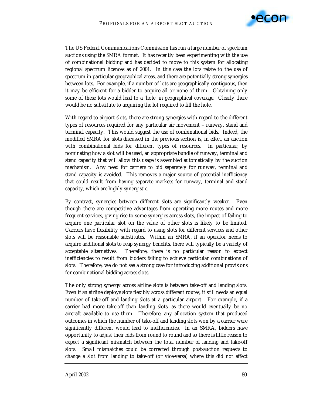

The US Federal Communications Commission has run a large number of spectrum auctions using the SMRA format. It has recently been experimenting with the use of combinational bidding and has decided to move to this system for allocating regional spectrum licences as of 2001. In this case the lots relate to the use of spectrum in particular geographical areas, and there are potentially strong synergies between lots. For example, if a number of lots are geographically contiguous, then it may be efficient for a bidder to acquire all or none of them. Obtaining only some of these lots would lead to a 'hole' in geographical coverage. Clearly there would be no substitute to acquiring the lot required to fill the hole.

With regard to airport slots, there are strong synergies with regard to the different types of resources required for any particular air movement – runway, stand and terminal capacity. This would suggest the use of combinational bids. Indeed, the modified SMRA for slots discussed in the previous section is, *in effect*, an auction with combinational bids for different types of resources. In particular, by nominating how a slot will be used, an appropriate bundle of runway, terminal and stand capacity that will allow this usage is assembled automatically by the auction mechanism. Any need for carriers to bid separately for runway, terminal and stand capacity is avoided. This removes a major source of potential inefficiency that could result from having separate markets for runway, terminal and stand capacity, which are highly synergistic.

By contrast, synergies between different slots are significantly weaker. Even though there are competitive advantages from operating more routes and more frequent services, giving rise to some synergies across slots, the impact of failing to acquire one *particular* slot on the value of other slots is likely to be limited. Carriers have flexibility with regard to using slots for different services and other slots will be reasonable substitutes. Within an SMRA, if an operator needs to acquire additional slots to reap synergy benefits, there will typically be a variety of acceptable alternatives. Therefore, there is no particular reason to expect inefficiencies to result from bidders failing to achieve *particular* combinations of slots. Therefore, we do not see a strong case for introducing additional provisions for combinational bidding across slots.

The only strong synergy across airline slots is between take-off and landing slots. Even if an airline deploys slots flexibly across different routes, it still needs an equal number of take-off and landing slots at a particular airport. For example, if a carrier had more take-off than landing slots, as there would eventually be no aircraft available to use them. Therefore, any allocation system that produced outcomes in which the number of take-off and landing slots won by a carrier were significantly different would lead to inefficiencies. In an SMRA, bidders have opportunity to adjust their bids from round to round and so there is little reason to expect a significant mismatch between the total number of landing and take-off slots. Small mismatches could be corrected through post-auction requests to change a slot from landing to take-off (or vice-versa) where this did not affect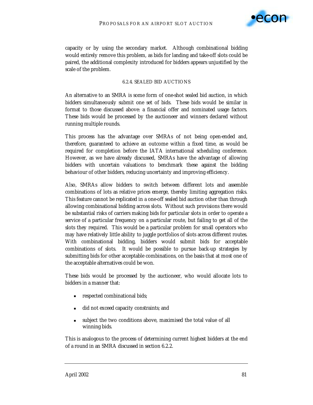

capacity or by using the secondary market. Although combinational bidding would entirely remove this problem, as bids for landing and take-off slots could be paired, the additional complexity introduced for bidders appears unjustified by the scale of the problem.

#### 6.2.4. SEALED BID AUCTIONS

An alternative to an SMRA is some form of one-shot sealed bid auction, in which bidders simultaneously submit one set of bids. These bids would be similar in format to those discussed above: a financial offer and nominated usage factors. These bids would be processed by the auctioneer and winners declared without running multiple rounds.

This process has the advantage over SMRAs of not being open-ended and, therefore, guaranteed to achieve an outcome within a fixed time, as would be required for completion before the IATA international scheduling conference. However, as we have already discussed, SMRAs have the advantage of allowing bidders with uncertain valuations to benchmark these against the bidding behaviour of other bidders, reducing uncertainty and improving efficiency.

Also, SMRAs allow bidders to switch between different lots and assemble combinations of lots as relative prices emerge, thereby limiting aggregation risks. This feature cannot be replicated in a one-off sealed bid auction other than through allowing combinational bidding across slots. Without such provisions there would be substantial risks of carriers making bids for particular slots in order to operate a service of a particular frequency on a particular route, but failing to get all of the slots they required. This would be a particular problem for small operators who may have relatively little ability to juggle portfolios of slots across different routes. With combinational bidding, bidders would submit bids for acceptable combinations of slots. It would be possible to pursue back-up strategies by submitting bids for other acceptable combinations, on the basis that at most one of the acceptable alternatives could be won.

These bids would be processed by the auctioneer, who would allocate lots to bidders in a manner that:

- **Exercise 1** respected combinational bids;
- ! did not exceed capacity constraints; and
- ! subject the two conditions above, maximised the total value of all winning bids.

This is analogous to the process of determining current highest bidders at the end of a round in an SMRA discussed in section 6.2.2.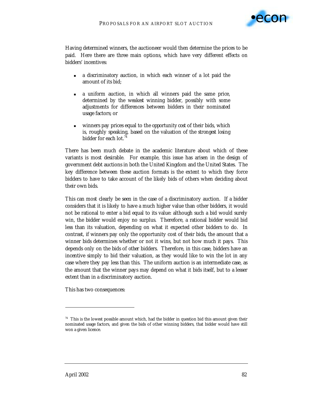

Having determined winners, the auctioneer would then determine the prices to be paid. Here there are three main options, which have very different effects on bidders' incentives:

- ! a *discriminatory* auction, in which each winner of a lot paid the amount of its bid;
- ! a *uniform* auction, in which all winners paid the same price, determined by the *weakest* winning bidder, possibly with some adjustments for differences between bidders in their nominated usage factors; or
- ! winners pay prices equal to the *opportunity cost* of their bids, which is, roughly speaking, based on the valuation of the *strongest losing* bidder for each lot.<sup>74</sup>

There has been much debate in the academic literature about which of these variants is most desirable. For example, this issue has arisen in the design of government debt auctions in both the United Kingdom and the United States. The key difference between these auction formats is the extent to which they force bidders to have to take account of the likely bids of others when deciding about their own bids.

This can most clearly be seen in the case of a discriminatory auction. If a bidder considers that it is likely to have a much higher value than other bidders, it would not be rational to enter a bid equal to its value: although such a bid would surely win, the bidder would enjoy no surplus. Therefore, a rational bidder would bid less than its valuation, depending on what it expected other bidders to do. In contrast, if winners pay only the opportunity cost of their bids, the amount that a winner bids determines whether or not it wins, but not how much it pays. This depends only on the bids of *other* bidders. Therefore, in this case, bidders have an incentive simply to bid their valuation, as they would like to win the lot in any case where they pay less than this. The uniform auction is an intermediate case, as the amount that the winner pays may depend on what it bids itself, but to a lesser extent than in a discriminatory auction.

This has two consequences:

 $\overline{a}$ 

 $74$  This is the lowest possible amount which, had the bidder in question bid this amount given their nominated usage factors, and given the bids of other winning bidders, that bidder would have still won a given licence.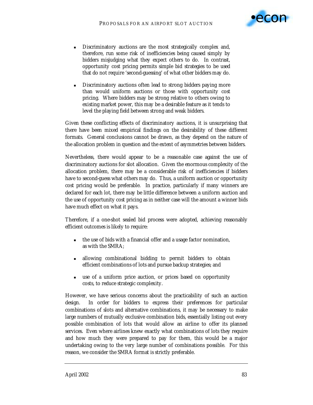

- ! Discriminatory auctions are the most strategically complex and, therefore, run some risk of inefficiencies being caused simply by bidders misjudging what they expect others to do. In contrast, opportunity cost pricing permits simple bid strategies to be used that do not require 'second-guessing' of what other bidders may do.
- ! Discriminatory auctions often lead to strong bidders paying more than would uniform auctions or those with opportunity cost pricing. Where bidders may be strong relative to others owing to existing market power, this may be a desirable feature as it tends to level the playing field between strong and weak bidders.

Given these conflicting effects of discriminatory auctions, it is unsurprising that there have been mixed empirical findings on the desirability of these different formats. General conclusions cannot be drawn, as they depend on the nature of the allocation problem in question and the extent of asymmetries between bidders.

Nevertheless, there would appear to be a reasonable case against the use of discriminatory auctions for slot allocation. Given the enormous complexity of the allocation problem, there may be a considerable risk of inefficiencies if bidders have to second-guess what others may do. Thus, a uniform auction or opportunity cost pricing would be preferable. In practice, particularly if many winners are declared for each lot, there may be little difference between a uniform auction and the use of opportunity cost pricing as in neither case will the amount a winner bids have much effect on what it pays.

Therefore, if a one-shot sealed bid process were adopted, achieving reasonably efficient outcomes is likely to require:

- ! the use of bids with a financial offer and a usage factor nomination, as with the SMRA;
- ! allowing combinational bidding to permit bidders to obtain efficient combinations of lots and pursue backup strategies; and
- ! use of a uniform price auction, or prices based on opportunity costs, to reduce strategic complexity.

However, we have serious concerns about the practicability of such an auction design. In order for bidders to express their preferences for particular combinations of slots and alternative combinations, it may be necessary to make large numbers of mutually exclusive combination bids, essentially listing out every possible combination of lots that would allow an airline to offer its planned services. Even where airlines knew exactly what combinations of lots they require and how much they were prepared to pay for them, this would be a major undertaking owing to the very large number of combinations possible. For this reason, we consider the SMRA format is strictly preferable.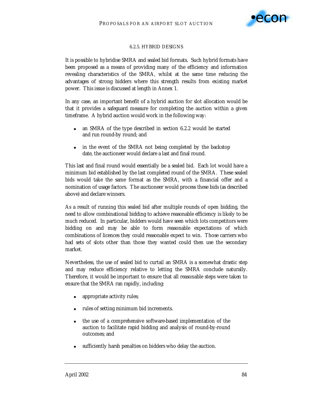

## 6.2.5. HYBRID DESIGNS

It is possible to hybridise SMRA and sealed bid formats. Such hybrid formats have been proposed as a means of providing many of the efficiency and information revealing characteristics of the SMRA, whilst at the same time reducing the advantages of strong bidders where this strength results from existing market power. This issue is discussed at length in Annex 1.

In any case, an important benefit of a hybrid auction for slot allocation would be that it provides a safeguard measure for completing the auction within a given timeframe. A hybrid auction would work in the following way:

- an SMRA of the type described in section 6.2.2 would be started and run round-by round; and
- in the event of the SMRA not being completed by the backstop date, the auctioneer would declare a last and final round.

This last and final round would essentially be a sealed bid. Each lot would have a minimum bid established by the last completed round of the SMRA. These sealed bids would take the same format as the SMRA, with a financial offer and a nomination of usage factors. The auctioneer would process these bids (as described above) and declare winners.

As a result of running this sealed bid after multiple rounds of open bidding, the need to allow combinational bidding to achieve reasonable efficiency is likely to be much reduced. In particular, bidders would have seen which lots competitors were bidding on and may be able to form reasonable expectations of which combinations of licences they could reasonable expect to win. Those carriers who had sets of slots other than those they wanted could then use the secondary market.

Nevertheless, the use of sealed bid to curtail an SMRA is a somewhat drastic step and may reduce efficiency relative to letting the SMRA conclude naturally. Therefore, it would be important to ensure that all reasonable steps were taken to ensure that the SMRA ran rapidly, including:

- appropriate activity rules;
- rules of setting minimum bid increments.
- ! the use of a comprehensive software-based implementation of the auction to facilitate rapid bidding and analysis of round-by-round outcomes; and
- sufficiently harsh penalties on bidders who delay the auction.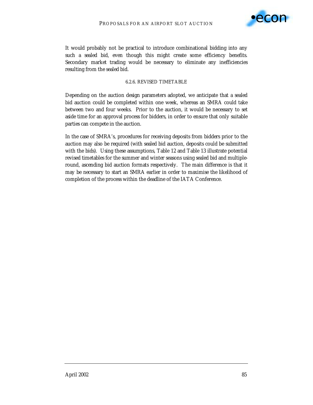

It would probably not be practical to introduce combinational bidding into any such a sealed bid, even though this might create some efficiency benefits. Secondary market trading would be necessary to eliminate any inefficiencies resulting from the sealed bid.

#### 6.2.6. REVISED TIMETABLE

Depending on the auction design parameters adopted, we anticipate that a sealed bid auction could be completed within one week, whereas an SMRA could take between two and four weeks. Prior to the auction, it would be necessary to set aside time for an approval process for bidders, in order to ensure that only suitable parties can compete in the auction.

In the case of SMRA's, procedures for receiving deposits from bidders prior to the auction may also be required (with sealed bid auction, deposits could be submitted with the bids). Using these assumptions, Table 12 and Table 13 illustrate potential revised timetables for the summer and winter seasons using sealed bid and multipleround, ascending bid auction formats respectively. The main difference is that it may be necessary to start an SMRA earlier in order to maximise the likelihood of completion of the process within the deadline of the IATA Conference.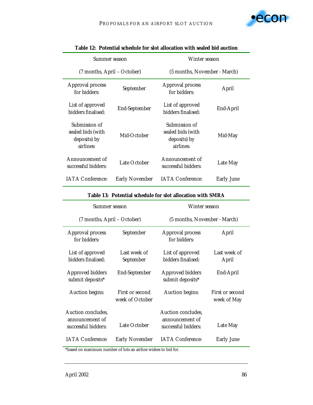| Summer season                                                   |                       | Winter season                                                   |                   |  |
|-----------------------------------------------------------------|-----------------------|-----------------------------------------------------------------|-------------------|--|
| (7 months, April – October)                                     |                       | (5 months, November - March)                                    |                   |  |
| <b>Approval process</b><br>for bidders:                         | September             | Approval process<br>for bidders:                                | April             |  |
| List of approved<br>bidders finalised:                          | End-September         | List of approved<br>bidders finalised:                          | End-April         |  |
| Submission of<br>sealed bids (with<br>deposits) by<br>airlines: | Mid-October           | Submission of<br>sealed bids (with<br>deposits) by<br>airlines: | Mid-May           |  |
| Announcement of<br>successful bidders:                          | Late October          | Announcement of<br>successful bidders:                          | Late May          |  |
| <b>IATA Conference:</b>                                         | <b>Early November</b> | <b>IATA</b> Conference:                                         | <b>Early June</b> |  |

|  |  |  |  | Table 12: Potential schedule for slot allocation with sealed bid auction |
|--|--|--|--|--------------------------------------------------------------------------|
|--|--|--|--|--------------------------------------------------------------------------|

| Summer season                                                |                                    | Winter season                                                |                                |  |
|--------------------------------------------------------------|------------------------------------|--------------------------------------------------------------|--------------------------------|--|
| (7 months, April – October)                                  |                                    | (5 months, November - March)                                 |                                |  |
| Approval process<br>for bidders:                             | September                          | <b>Approval process</b><br>for bidders:                      | April                          |  |
| List of approved<br>bidders finalised:                       | Last week of<br>September          | List of approved<br>bidders finalised:                       | Last week of<br>April          |  |
| <b>Approved bidders</b><br>submit deposits*                  | End-September                      | <b>Approved bidders</b><br>submit deposits*                  | End-April                      |  |
| Auction begins:                                              | First or second<br>week of October | <b>Auction begins:</b>                                       | First or second<br>week of May |  |
| Auction concludes,<br>announcement of<br>successful bidders: | Late October                       | Auction concludes,<br>announcement of<br>successful bidders: | Late May                       |  |
| <b>IATA Conference:</b>                                      | <b>Early November</b>              | <b>IATA Conference:</b>                                      | <b>Early June</b>              |  |

# **Table 13: Potential schedule for slot allocation with SMRA**

\*based on maximum number of lots an airline wishes to bid for.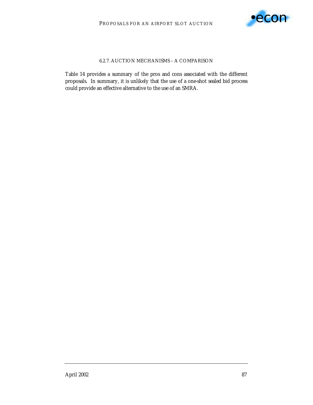

# 6.2.7. AUCTION MECHANISMS – A COMPARISON

Table 14 provides a summary of the pros and cons associated with the different proposals. In summary, it is unlikely that the use of a one-shot sealed bid process could provide an effective alternative to the use of an SMRA.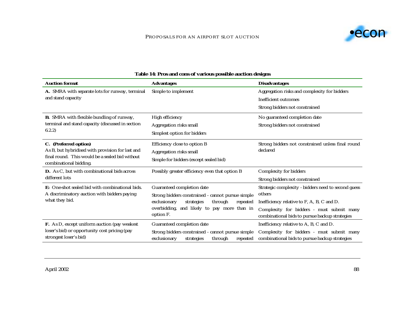### PROPOSALS FOR AN AIRPORT SLOT AUCTION



| <b>Auction format</b>                                                     | <b>Advantages</b>                                                                                      | <b>Disadvantages</b>                                                                        |  |
|---------------------------------------------------------------------------|--------------------------------------------------------------------------------------------------------|---------------------------------------------------------------------------------------------|--|
| A. SMRA with separate lots for runway, terminal                           | Simple to implement                                                                                    | Aggregation risks and complexity for bidders                                                |  |
| and stand capacity                                                        |                                                                                                        | Inefficient outcomes                                                                        |  |
|                                                                           |                                                                                                        | Strong bidders not constrained                                                              |  |
| <b>B.</b> SMRA with flexible bundling of runway,                          | High efficiency                                                                                        | No guaranteed completion date                                                               |  |
| terminal and stand capacity (discussed in section                         | Aggregation risks small                                                                                | Strong bidders not constrained                                                              |  |
| 6.2.2)                                                                    | Simplest option for bidders                                                                            |                                                                                             |  |
| C. (Preferred option)                                                     | Efficiency close to option B                                                                           | Strong bidders not constrained unless final round                                           |  |
| As B, but hybridised with provision for last and                          | Aggregation risks small                                                                                | declared                                                                                    |  |
| final round. This would be a sealed bid without<br>combinational bidding. | Simple for bidders (except sealed bid)                                                                 |                                                                                             |  |
| D. As C, but with combinational bids across                               | Possibly greater efficiency even that option B                                                         | Complexity for bidders                                                                      |  |
| different lots                                                            |                                                                                                        | Strong bidders not constrained                                                              |  |
| <b>E:</b> One-shot sealed bid with combinational bids.                    | Guaranteed completion date                                                                             | Strategic complexity - bidders need to second guess                                         |  |
| A discriminatory auction with bidders paying                              | Strong bidders constrained - cannot pursue simple                                                      | others                                                                                      |  |
| what they bid.                                                            | exclusionary<br>through<br>strategies<br>repeated                                                      | Inefficiency relative to F, A, B, C and D.                                                  |  |
|                                                                           | overbidding, and likely to pay more than in<br>option F.                                               | Complexity for bidders - must submit many<br>combinational bids to pursue backup strategies |  |
| F. As D, except uniform auction (pay weakest                              | Guaranteed completion date                                                                             | Inefficiency relative to A, B, C and D.                                                     |  |
| loser's bid) or opportunity cost pricing (pay<br>strongest loser's bid)   | Strong bidders constrained - cannot pursue simple<br>exclusionary<br>through<br>repeated<br>strategies | Complexity for bidders - must submit many<br>combinational bids to pursue backup strategies |  |

# **Table 14: Pros and cons of various possible auction designs**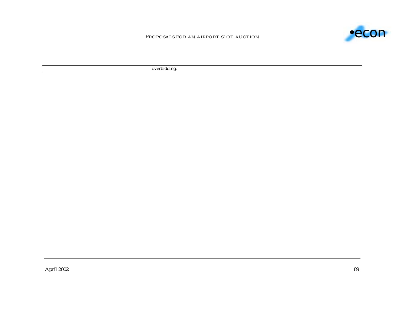

PROPOSALS FOR AN AIRPORT SLOT AUCTION

overbidding.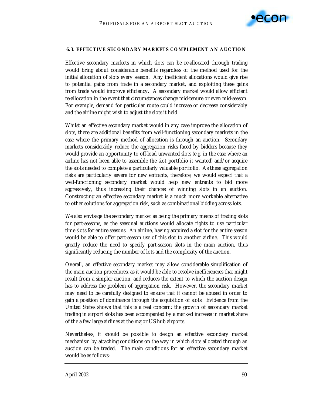

#### **6.3. EFFECTIVE SECONDARY MARKETS COMPLEMENT AN AUCTION**

Effective secondary markets in which slots can be re-allocated through trading would bring about considerable benefits regardless of the method used for the initial allocation of slots every season. Any inefficient allocations would give rise to potential gains from trade in a secondary market, and exploiting these gains from trade would improve efficiency. A secondary market would allow efficient re-allocation in the event that circumstances change mid-tenure or even mid-season. For example, demand for particular route could increase or decrease considerably and the airline might wish to adjust the slots it held.

Whilst an effective secondary market would in any case improve the allocation of slots, there are *additional* benefits from well-functioning secondary markets in the case where the primary method of allocation is through an auction. Secondary markets considerably reduce the aggregation risks faced by bidders because they would provide an opportunity to off-load unwanted slots (e.g. in the case where an airline has not been able to assemble the slot portfolio it wanted) and/or acquire the slots needed to complete a particularly valuable portfolio. As these aggregation risks are particularly severe for new entrants, therefore, we would expect that a well-functioning secondary market would help new entrants to bid more aggressively, thus increasing their chances of winning slots in an auction. Constructing an effective secondary market is a much more workable alternative to other solutions for aggregation risk, such as combinational bidding across lots.

We also envisage the secondary market as being the primary means of trading slots for part-seasons, as the seasonal auctions would allocate rights to use particular time slots for entire seasons. An airline, having acquired a slot for the entire season would be able to offer part-season use of this slot to another airline. This would greatly reduce the need to specify part-season slots in the main auction, thus significantly reducing the number of lots and the complexity of the auction.

Overall, an effective secondary market may allow considerable simplification of the main auction procedures, as it would be able to resolve inefficiencies that might result from a simpler auction, and reduces the extent to which the auction design has to address the problem of aggregation risk. However, the secondary market may need to be carefully designed to ensure that it cannot be abused in order to gain a position of dominance through the acquisition of slots. Evidence from the United States shows that this is a real concern: the growth of secondary market trading in airport slots has been accompanied by a marked increase in market share of the a few large airlines at the major US hub airports.

Nevertheless, it should be possible to design an effective secondary market mechanism by attaching conditions on the way in which slots allocated through an auction can be traded. The main conditions for an effective secondary market would be as follows: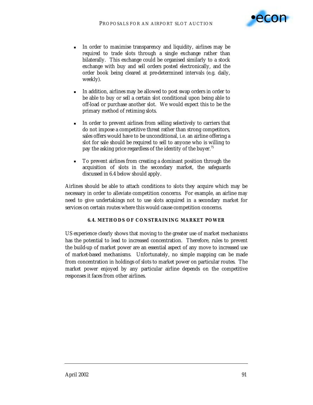

- ! In order to maximise transparency and liquidity, airlines may be *required* to *trade* slots through a single exchange rather than bilaterally. This exchange could be organised similarly to a stock exchange with buy and sell orders posted electronically, and the order book being cleared at pre-determined intervals (e.g. daily, weekly).
- In addition, airlines may be allowed to post swap orders in order to be able to buy or sell a certain slot conditional upon being able to off-load or purchase another slot. We would expect this to be the primary method of retiming slots.
- ! In order to prevent airlines from selling selectively to carriers that do not impose a competitive threat rather than strong competitors, sales offers would have to be unconditional, i.e. an airline offering a slot for sale should be required to sell to anyone who is willing to pay the asking price regardless of the identity of the buyer.<sup>75</sup>
- ! To prevent airlines from creating a dominant position through the acquisition of slots in the secondary market, the safeguards discussed in 6.4 below should apply.

Airlines should be able to attach conditions to slots they acquire which may be necessary in order to alleviate competition concerns. For example, an airline may need to give undertakings not to use slots acquired in a secondary market for services on certain routes where this would cause competition concerns.

### **6.4. METHODS OF CONSTRAINING MARKET POWER**

US experience clearly shows that moving to the greater use of market mechanisms has the potential to lead to increased concentration. Therefore, rules to prevent the build-up of market power are an essential aspect of any move to increased use of market-based mechanisms. Unfortunately, no simple mapping can be made from concentration in holdings of slots to market power on particular routes. The market power enjoyed by any particular airline depends on the competitive responses it faces from other airlines.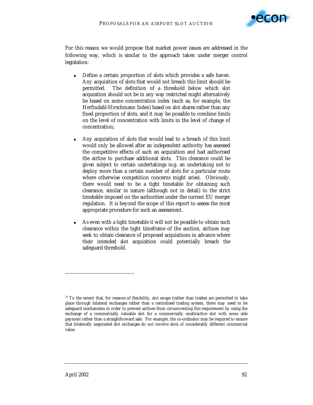

For this reason we would propose that market power issues are addressed in the following way, which is similar to the approach taken under merger control legislation:

- ! Define a certain proportion of slots which provides a safe haven. Any acquisition of slots that would not breach this limit should be permitted. The definition of a threshold below which slot acquisition should not be in any way restricted might alternatively be based on some concentration index (such as, for example, the Herfindahl-Hirschmann Index) based on slot shares rather than any fixed proportion of slots, and it may be possible to combine limits on the level of concentration with limits in the level of change of concentration;
- ! Any acquisition of slots that would lead to a breach of this limit would only be allowed after an independent authority has assessed the competitive effects of such an acquisition and had authorised the airline to purchase additional slots. This clearance could be given subject to certain undertakings (e.g. an undertaking not to deploy more than a certain number of slots for a particular route where otherwise competition concerns might arise). Obviously, there would need to be a tight timetable for obtaining such clearance, similar in nature (although not in detail) to the strict timetable imposed on the authorities under the current EU merger regulation. It is beyond the scope of this report to assess the most appropriate procedure for such an assessment.
- As even with a tight timetable it will not be possible to obtain such clearance within the tight timeframe of the auction, airlines may seek to obtain clearance of proposed acquisitions in advance where their intended slot acquisition could potentially breach the safeguard threshold.

 $\overline{a}$ 

 $75$  To the extent that, for reasons of flexibility, slot swaps (rather than trades) are permitted to take place through bilateral exchanges rather than a centralised trading system, there may need to be safeguard mechanisms in order to prevent airlines from circumventing this requirement by using the exchange of a commercially valuable slot for a commercially unattractive slot with some side payment rather than a straightforward sale. For example, the co-ordinator may be required to ensure that bilaterally negotiated slot exchanges do not involve slots of considerably different commercial value.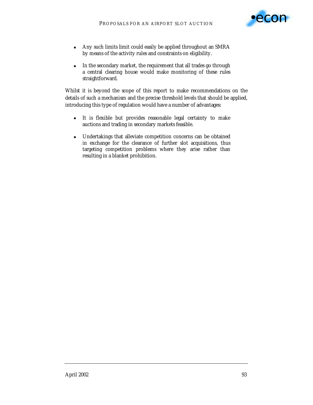

- ! Any such limits limit could easily be applied throughout an SMRA by means of the activity rules and constraints on eligibility.
- In the secondary market, the requirement that all trades go through a central clearing house would make monitoring of these rules straightforward.

Whilst it is beyond the scope of this report to make recommendations on the details of such a mechanism and the precise threshold levels that should be applied, introducing this type of regulation would have a number of advantages:

- ! It is flexible but provides reasonable legal certainty to make auctions and trading in secondary markets feasible.
- ! Undertakings that alleviate competition concerns can be obtained in exchange for the clearance of further slot acquisitions, thus targeting competition problems where they arise rather than resulting in a blanket prohibition.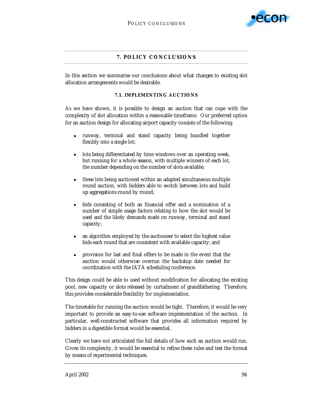

# **7. POLICY CONCLUSIONS**

In this section we summarise our conclusions about what changes to existing slot allocation arrangements would be desirable.

#### **7.1. IMPLEMENTING AUCTIONS**

As we have shown, it is possible to design an auction that can cope with the complexity of slot allocation within a reasonable timeframe. Our preferred option for an auction design for allocating airport capacity consists of the following:

- ! runway, terminal and stand capacity being bundled together flexibly into a single lot;
- **IDER INTER INTER INTER IS NOTE ATTES IN A LOCE ASSESSMENT IS A LOCE ASSESSMENT OF STARK ISL** DISTRIBUTED **ISLAM ISLAM ISLAM ISLAM ISLAM ISLAM ISLAM ISLAM ISLAM ISLAM ISLAM ISLAM ISLAM ISLAM ISL** but running for a whole season, with multiple winners of each lot, the number depending on the number of slots available;
- ! these lots being auctioned within an adapted simultaneous multiple round auction, with bidders able to switch between lots and build up aggregations round by round;
- bids consisting of both an financial offer and a nomination of a number of simple usage factors relating to how the slot would be used and the likely demands made on runway, terminal and stand capacity;
- **Example 1** an algorithm employed by the auctioneer to select the highest value bids each round that are consistent with available capacity; and
- ! provision for last and final offers to be made in the event that the auction would otherwise overrun the backstop date needed for coordination with the IATA scheduling conference.

This design could be able to used without modification for allocating the existing pool, new capacity or slots released by curtailment of grandfathering. Therefore, this provides considerable flexibility for implementation.

The timetable for running the auction would be tight. Therefore, it would be very important to provide an easy-to-use software implementation of the auction. In particular, well-constructed software that provides all information required by bidders in a digestible format would be essential.

Clearly we have not articulated the full details of how such an auction would run. Given its complexity, it would be essential to refine these rules and test the format by means of experimental techniques.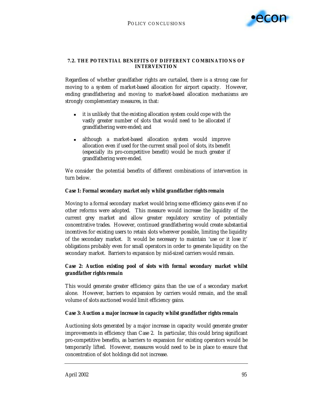

#### **7.2. THE POTENTIAL BENEFITS OF DIFFERENT COMBINATIONS OF INTERVENTION**

Regardless of whether grandfather rights are curtailed, there is a strong case for moving to a system of market-based allocation for airport capacity. However, ending grandfathering and moving to market-based allocation mechanisms are strongly complementary measures, in that:

- it is unlikely that the existing allocation system could cope with the vastly greater number of slots that would need to be allocated if grandfathering were ended; and
- **I.** although a market-based allocation system would improve allocation even if used for the current small pool of slots, its benefit (especially its pro-competitive benefit) would be much greater if grandfathering were ended.

We consider the potential benefits of different combinations of intervention in turn below.

## *Case 1: Formal secondary market only whilst grandfather rights remain*

Moving to a formal secondary market would bring some efficiency gains even if no other reforms were adopted. This measure would increase the liquidity of the current grey market and allow greater regulatory scrutiny of potentially concentrative trades. However, continued grandfathering would create substantial incentives for existing users to retain slots wherever possible, limiting the liquidity of the secondary market. It would be necessary to maintain 'use or it lose it' obligations probably even for small operators in order to generate liquidity on the secondary market. Barriers to expansion by mid-sized carriers would remain.

# *Case 2: Auction existing pool of slots with formal secondary market whilst grandfather rights remain*

This would generate greater efficiency gains than the use of a secondary market alone. However, barriers to expansion by carriers would remain, and the small volume of slots auctioned would limit efficiency gains.

## *Case 3: Auction a major increase in capacity whilst grandfather rights remain*

Auctioning slots generated by a major increase in capacity would generate greater improvements in efficiency than Case 2. In particular, this could bring significant pro-competitive benefits, as barriers to expansion for existing operators would be temporarily lifted. However, measures would need to be in place to ensure that concentration of slot holdings did not increase.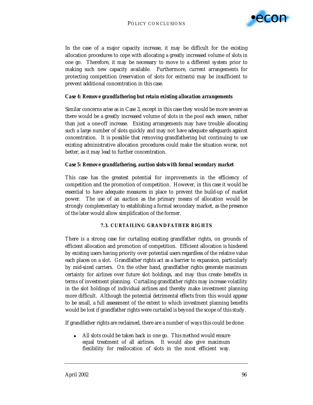

In the case of a major capacity increase, it may be difficult for the existing allocation procedures to cope with allocating a greatly increased volume of slots in one go. Therefore, it may be necessary to move to a different system prior to making such new capacity available. Furthermore, current arrangements for protecting competition (reservation of slots for entrants) may be insufficient to prevent additional concentration in this case.

#### *Case 4: Remove grandfathering but retain existing allocation arrangements*

Similar concerns arise as in Case 3, except in this case they would be more severe as there would be a greatly increased volume of slots in the pool each season, rather than just a one-off increase. Existing arrangements may have trouble allocating such a large number of slots quickly and may not have adequate safeguards against concentration. It is possible that removing grandfathering but continuing to use existing administrative allocation procedures could make the situation worse, not better, as it may lead to further concentration.

#### *Case 5: Remove grandfathering, auction slots with formal secondary market*

This case has the greatest potential for improvements in the efficiency of competition and the promotion of competition. However, in this case it would be essential to have adequate measures in place to prevent the build-up of market power. The use of an auction as the primary means of allocation would be strongly complementary to establishing a formal secondary market, as the presence of the later would allow simplification of the former.

### **7.3. CURTAILING GRANDFATHER RIGHTS**

There is a strong case for curtailing existing grandfather rights, on grounds of efficient allocation and promotion of competition. Efficient allocation is hindered by existing users having priority over potential users regardless of the relative value each places on a slot. Grandfather rights act as a barrier to expansion, particularly by mid-sized carriers. On the other hand, grandfather rights generate maximum certainty for airlines over future slot holdings, and may thus create benefits in terms of investment planning. Curtailing grandfather rights may increase volatility in the slot holdings of individual airlines and thereby make investment planning more difficult. Although the potential detrimental effects from this would appear to be small, a full assessment of the extent to which investment planning benefits would be lost if grandfather rights were curtailed is beyond the scope of this study.

If grandfather rights are reclaimed, there are a number of ways this could be done:

! All slots could be taken back in one go. This method would ensure equal treatment of all airlines. It would also give maximum flexibility for reallocation of slots in the most efficient way.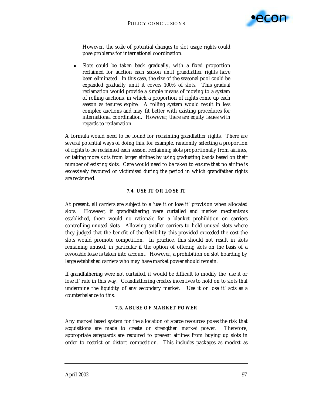

However, the scale of potential changes to slot usage rights could pose problems for international coordination.

! Slots could be taken back gradually, with a fixed proportion reclaimed for auction each season until grandfather rights have been eliminated. In this case, the size of the seasonal pool could be expanded gradually until it covers 100% of slots. This gradual reclamation would provide a simple means of moving to a system of rolling auctions, in which a proportion of rights come up each season as tenures expire. A rolling system would result in less complex auctions and may fit better with existing procedures for international coordination. However, there are equity issues with regards to reclamation.

A formula would need to be found for reclaiming grandfather rights. There are several potential ways of doing this, for example, randomly selecting a proportion of rights to be reclaimed each season, reclaiming slots proportionally from airlines, or taking more slots from larger airlines by using graduating bands based on their number of existing slots. Care would need to be taken to ensure that no airline is excessively favoured or victimised during the period in which grandfather rights are reclaimed.

### **7.4. USE IT OR LOSE IT**

At present, all carriers are subject to a 'use it or lose it' provision when allocated slots. However, if grandfathering were curtailed and market mechanisms established, there would no rationale for a blanket prohibition on carriers controlling unused slots. Allowing smaller carriers to hold unused slots where they judged that the benefit of the flexibility this provided exceeded the cost the slots would promote competition. In practice, this should not result in slots remaining unused, in particular if the option of offering slots on the basis of a revocable lease is taken into account. However, a prohibition on slot hoarding by large established carriers who may have market power should remain.

If grandfathering were not curtailed, it would be difficult to modify the 'use it or lose it' rule in this way. Grandfathering creates incentives to hold on to slots that undermine the liquidity of any secondary market. 'Use it or lose it' acts as a counterbalance to this.

#### **7.5. ABUSE OF MARKET POWER**

Any market based system for the allocation of scarce resources poses the risk that acquisitions are made to create or strengthen market power. Therefore, appropriate safeguards are required to prevent airlines from buying up slots in order to restrict or distort competition. This includes packages as modest as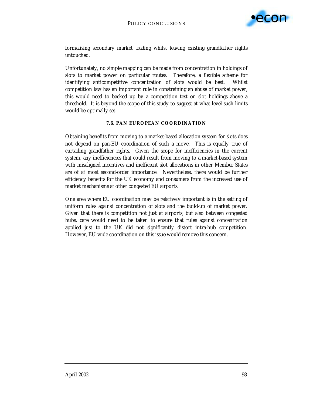

formalising secondary market trading whilst leaving existing grandfather rights untouched.

Unfortunately, no simple mapping can be made from concentration in holdings of slots to market power on particular routes. Therefore, a flexible scheme for identifying anticompetitive concentration of slots would be best. Whilst competition law has an important rule in constraining an abuse of market power, this would need to backed up by a competition test on slot holdings above a threshold. It is beyond the scope of this study to suggest at what level such limits would be optimally set.

#### **7.6. PAN EUROPEAN COORDINATION**

Obtaining benefits from moving to a market-based allocation system for slots does not depend on pan-EU coordination of such a move. This is equally true of curtailing grandfather rights. Given the scope for inefficiencies in the current system, any inefficiencies that could result from moving to a market-based system with misaligned incentives and inefficient slot allocations in other Member States are of at most second-order importance. Nevertheless, there would be further efficiency benefits for the UK economy and consumers from the increased use of market mechanisms at other congested EU airports.

One area where EU coordination may be relatively important is in the setting of uniform rules against concentration of slots and the build-up of market power. Given that there is competition not just at airports, but also between congested hubs, care would need to be taken to ensure that rules against concentration applied just to the UK did not significantly distort intra-hub competition. However, EU-wide coordination on this issue would remove this concern.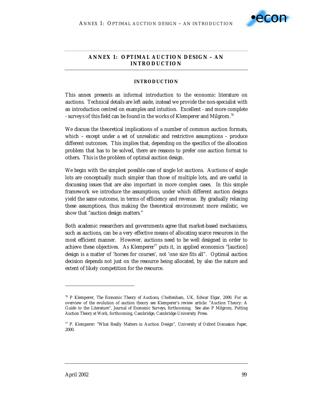

# **ANNEX 1: OPTIMAL AUCTION DESIGN – AN INTRODUCTION**

### **INTRODUCTION**

This annex presents an informal introduction to the economic literature on auctions. Technical details are left aside, instead we provide the non-specialist with an introduction centred on examples and intuition. Excellent - and more complete - surveys of this field can be found in the works of Klemperer and Milgrom.<sup>76</sup>

We discuss the theoretical implications of a number of common auction formats, which – except under a set of unrealistic and restrictive assumptions – produce different outcomes. This implies that, depending on the specifics of the allocation problem that has to be solved, there are reasons to prefer one auction format to others. This is the problem of optimal auction design.

We begin with the simplest possible case of single lot auctions. Auctions of single lots are conceptually much simpler than those of multiple lots, and are useful in discussing issues that are also important in more complex cases. In this simple framework we introduce the assumptions, under which different auction designs yield the same outcome, in terms of efficiency and revenue. By gradually relaxing these assumptions, thus making the theoretical environment more realistic, we show that "auction design matters."

Both academic researchers and governments agree that market-based mechanisms, such as auctions, can be a very effective means of allocating scarce resources in the most efficient manner. However, auctions need to be well designed in order to achieve these objectives. As Klemperer<sup>77</sup> puts it, in applied economics "[auction] design is a matter of 'horses for courses', *not* 'one size fits all". Optimal auction decision depends not just on the resource being allocated, by also the nature and extent of likely competition for the resource.

-

<sup>76</sup> P Klemperer, *The Economic Theory of Auctions*, Cheltenham, UK, Edwar Elgar, 2000. For an overview of the evolution of auction theory see Klemperer's review article: "Auction Theory: A Guide to the Literature", *Journal of Economic Surveys*, forthcoming. See also P Milgrom, *Putting Auction Theory at Work*, forthcoming, Cambridge, Cambridge University Press.

<sup>77</sup> P. Klemperer: "What Really Matters in Auction Design", *University of Oxford Discussion Paper*, 2000.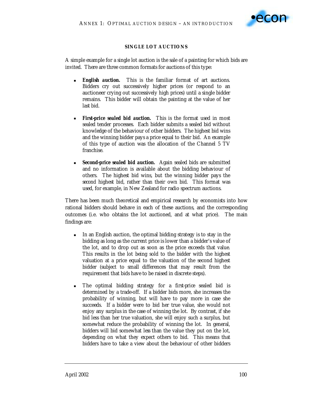

## **SINGLE LOT AUCTIONS**

A simple example for a single lot auction is the sale of a painting for which bids are invited. There are three common formats for auctions of this type:

- **English auction.** This is the familiar format of art auctions. Bidders cry out successively higher prices (or respond to an auctioneer crying out successively high prices) until a single bidder remains. This bidder will obtain the painting at the value of her last bid.
- **First-price sealed bid auction.** This is the format used in most sealed tender processes. Each bidder submits a sealed bid without knowledge of the behaviour of other bidders. The highest bid wins and the winning bidder pays a price equal to their bid. An example of this type of auction was the allocation of the Channel 5 TV franchise.
- **Example 1** *Second-price sealed bid auction.* Again sealed bids are submitted and no information is available about the bidding behaviour of others. The highest bid wins, but the winning bidder pays the *second* highest bid, rather than their own bid. This format was used, for example, in New Zealand for radio spectrum auctions.

There has been much theoretical and empirical research by economists into how rational bidders should behave in each of these auctions, and the corresponding outcomes (i.e. who obtains the lot auctioned, and at what price). The main findings are:

- In an English auction, the optimal bidding strategy is to stay in the bidding as long as the current price is lower than a bidder's value of the lot, and to drop out as soon as the price exceeds that value. This results in the lot being sold to the bidder with the highest valuation at a price equal to the valuation of the second highest bidder (subject to small differences that may result from the requirement that bids have to be raised in discrete steps).
- ! The optimal bidding strategy for a *first-price* sealed bid is determined by a trade-off. If a bidder bids more, she increases the probability of winning, but will have to pay more in case she succeeds. If a bidder were to bid her true value, she would not enjoy any surplus in the case of winning the lot. By contrast, if she bid less than her true valuation, she will enjoy such a surplus, but somewhat reduce the probability of winning the lot. In general, bidders will bid somewhat *less* than the value they put on the lot, depending on what they expect others to bid. This means that bidders have to take a view about the behaviour of other bidders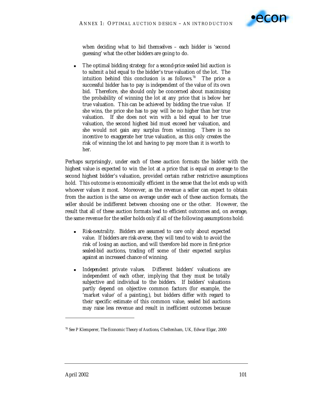

when deciding what to bid themselves – each bidder is 'second guessing' what the other bidders are going to do.

! The optimal bidding strategy for a *second-price* sealed bid auction is to submit a bid equal to the bidder's true valuation of the lot. The intuition behind this conclusion is as follows.78 The price a successful bidder has to pay is independent of the value of its own bid. Therefore, she should only be concerned about maximising the probability of winning the lot at any price that is below her true valuation. This can be achieved by bidding the true value. If she wins, the price she has to pay will be no higher than her true valuation. If she does not win with a bid equal to her true valuation, the second highest bid must exceed her valuation, and she would not gain any surplus from winning. There is no incentive to exaggerate her true valuation, as this only creates the risk of winning the lot and having to pay more than it is worth to her.

Perhaps surprisingly, under each of these auction formats the bidder with the highest value is expected to win the lot at a price that is equal *on average* to the second highest bidder's valuation, provided certain rather restrictive assumptions hold. This outcome is economically efficient in the sense that the lot ends up with whoever values it most. Moreover, as the revenue a seller can expect to obtain from the auction is the same on average under each of these auction formats, the seller should be indifferent between choosing one or the other. However, the result that all of these auction formats lead to efficient outcomes and, on average, the same revenue for the seller holds *only* if *all* of the following assumptions hold:

- *Risk-neutrality.* Bidders are assumed to care only about expected value. If bidders are risk-averse, they will tend to wish to avoid the risk of losing an auction, and will therefore bid more in first-price sealed-bid auctions, trading off some of their expected surplus against an increased chance of winning.
- ! *Independent private values.* Different bidders' valuations are independent of each other, implying that they must be totally subjective and individual to the bidders. If bidders' valuations partly depend on objective common factors (for example, the 'market value' of a painting,), but bidders differ with regard to their specific estimate of this common value, sealed bid auctions may raise less revenue and result in inefficient outcomes because

<sup>78</sup> See P Klemperer, *The Economic Theory of Auctions*, Cheltenham, UK, Edwar Elgar, 2000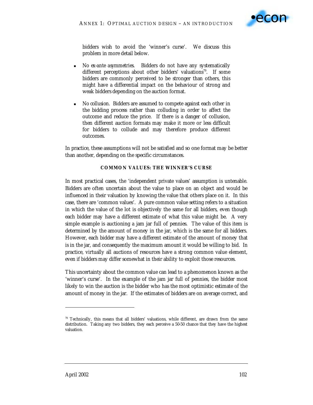

bidders wish to avoid the 'winner's curse'. We discuss this problem in more detail below.

- ! *No ex-ante asymmetries.* Bidders do not have any systematically different perceptions about other bidders' valuations<sup>79</sup>. If some bidders are commonly perceived to be stronger than others, this might have a differential impact on the behaviour of strong and weak bidders depending on the auction format.
- ! *No collusion.* Bidders are assumed to compete against each other in the bidding process rather than colluding in order to affect the outcome and reduce the price. If there is a danger of collusion, then different auction formats may make it more or less difficult for bidders to collude and may therefore produce different outcomes.

In practice, these assumptions will not be satisfied and so one format may be better than another, depending on the specific circumstances.

### **COMMON VALUES: THE WINNER'S CURSE**

In most practical cases, the 'independent private values' assumption is untenable. Bidders are often uncertain about the value to place on an object and would be influenced in their valuation by knowing the value that others place on it. In this case, there are 'common values'. A pure common value setting refers to a situation in which the value of the lot is objectively the same for all bidders, even though each bidder may have a different *estimate* of what this value might be. A very simple example is auctioning a jam jar full of pennies. The value of this item is determined by the amount of money in the jar, which is the same for all bidders. However, each bidder may have a different estimate of the amount of money that is in the jar, and consequently the maximum amount it would be willing to bid. In practice, virtually all auctions of resources have a strong common value element, even if bidders may differ somewhat in their ability to exploit those resources.

This uncertainty about the common value can lead to a phenomenon known as the 'winner's curse'. In the example of the jam jar full of pennies, the bidder most likely to win the auction is the bidder who has the most optimistic estimate of the amount of money in the jar. If the estimates of bidders are on average correct, and

 $79$  Technically, this means that all bidders' valuations, while different, are drawn from the same distribution. Taking any two bidders, they each perceive a 50-50 chance that they have the highest valuation.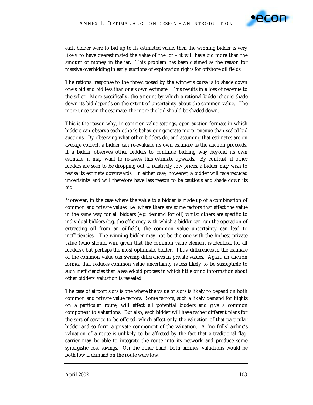

each bidder were to bid up to its estimated value, then the winning bidder is very likely to have overestimated the value of the lot – it will have bid more than the amount of money in the jar. This problem has been claimed as the reason for massive overbidding in early auctions of exploration rights for offshore oil fields.

The rational response to the threat posed by the winner's curse is to shade down one's bid and bid less than one's own estimate. This results in a loss of revenue to the seller. More specifically, the amount by which a rational bidder should shade down its bid depends on the extent of uncertainty about the common value. The more uncertain the estimate, the more the bid should be shaded down.

This is the reason why, in common value settings, open auction formats in which bidders can observe each other's behaviour generate more revenue than sealed bid auctions. By observing what other bidders do, and assuming that estimates are on average correct, a bidder can re-evaluate its own estimate as the auction proceeds. If a bidder observes other bidders to continue bidding way beyond its own estimate, it may want to re-assess this estimate upwards. By contrast, if other bidders are seen to be dropping out at relatively low prices, a bidder may wish to revise its estimate downwards. In either case, however, a bidder will face reduced uncertainty and will therefore have less reason to be cautious and shade down its bid.

Moreover, in the case where the value to a bidder is made up of a combination of common and private values, i.e. where there are some factors that affect the value in the same way for all bidders (e.g. demand for oil) whilst others are specific to individual bidders (e.g. the efficiency with which a bidder can run the operation of extracting oil from an oilfield), the common value uncertainty can lead to inefficiencies. The winning bidder may not be the one with the highest private value (who should win, given that the common value element is identical for all bidders), but perhaps the most optimistic bidder. Thus, differences in the estimate of the common value can swamp differences in private values. Again, an auction format that reduces common value uncertainty is less likely to be susceptible to such inefficiencies than a sealed-bid process in which little or no information about other bidders' valuation is revealed.

The case of airport slots is one where the value of slots is likely to depend on both common and private value factors. Some factors, such a likely demand for flights on a particular route, will affect all potential bidders and give a common component to valuations. But also, each bidder will have rather different plans for the sort of service to be offered, which affect only the valuation of that particular bidder and so form a private component of the valuation. A 'no frills' airline's valuation of a route is unlikely to be affected by the fact that a traditional flagcarrier may be able to integrate the route into its network and produce some synergistic cost savings. On the other hand, both airlines' valuations would be both low if demand on the route were low.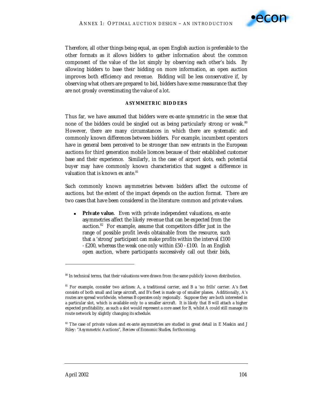

Therefore, all other things being equal, an open English auction is preferable to the other formats as it allows bidders to gather information about the common component of the value of the lot simply by observing each other's bids. By allowing bidders to base their bidding on more information, an open auction improves both efficiency and revenue. Bidding will be less conservative if, by observing what others are prepared to bid, bidders have some reassurance that they are not grossly overestimating the value of a lot.

### **ASYMMETRIC BIDDERS**

Thus far, we have assumed that bidders were ex-ante *symmetric* in the sense that none of the bidders could be singled out as being particularly strong or weak.*<sup>80</sup>* However, there are many circumstances in which there are systematic and commonly known differences between bidders. For example, incumbent operators have in general been perceived to be stronger than new entrants in the European auctions for third generation mobile licences because of their established customer base and their experience. Similarly, in the case of airport slots, each potential buyer may have commonly known characteristics that suggest a difference in valuation that is known  $ex$  ante.<sup>81</sup>

Such commonly known asymmetries between bidders affect the outcome of auctions, but the extent of the impact depends on the auction format. There are two cases that have been considered in the literature: common and private values.

Private value. Even with private independent valuations, ex-ante asymmetries affect the likely revenue that can be expected from the auction.82 For example, assume that competitors differ just in the range of possible profit levels obtainable from the resource, such that a 'strong' participant can make profits within the interval £100 - £200, whereas the weak one only within £50 - £100. In an English open auction, where participants successively call out their bids,

<sup>&</sup>lt;sup>80</sup> In technical terms, that their valuations were drawn from the same publicly known distribution.

<sup>81</sup> For example, consider two airlines: *A*, a traditional carrier, and *B* a 'no frills' carrier. *A*'s fleet consists of both small and large aircraft, and *B*'s fleet is made up of smaller planes. Additionally, *A*'s routes are spread worldwide, whereas *B* operates only regionally. Suppose they are both interested in a particular slot, which is available only to a smaller aircraft. It is likely that *B* will attach a higher expected profitability, as such a slot would represent a core asset for *B*, whilst *A* could still manage its route network by slightly changing its schedule.

<sup>&</sup>lt;sup>82</sup> The case of private values and ex-ante asymmetries are studied in great detail in E Maskin and J Riley: "Asymmetric Auctions", *Review of Economic Studies*, forthcoming.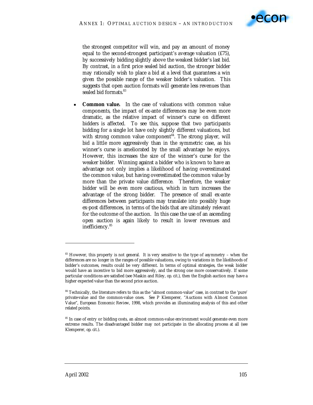

the strongest competitor will win, and pay an amount of money equal to the second-strongest participant's *average* valuation (£75), by successively bidding slightly above the weakest bidder's last bid. By contrast, in a first price sealed bid auction, the stronger bidder may rationally wish to place a bid at a level that guarantees a win given the possible range of the weaker bidder's valuation. This suggests that open auction formats will generate less revenues than sealed bid formats.<sup>83</sup>

**Common value.** In the case of valuations with common value components, the impact of ex-ante differences may be even more dramatic, as the relative impact of winner's curse on different bidders is affected. To see this, suppose that two participants bidding for a single lot have only slightly different valuations, but with strong common value component<sup>84</sup>. The strong player, will bid a little more aggressively than in the symmetric case, as his winner's curse is ameliorated by the small advantage he enjoys. However, this increases the size of the winner's curse for the weaker bidder. Winning against a bidder who is known to have an advantage not only implies a likelihood of having overestimated the common value, but having overestimated the common value by more than the private value difference. Therefore, the weaker bidder will be even more cautious, which in turn increases the advantage of the strong bidder. The presence of small ex-ante differences between participants may translate into possibly huge ex-post differences, in terms of the bids that are ultimately relevant for the outcome of the auction. In this case the use of an ascending open auction is again likely to result in lower revenues and inefficiency.85

<sup>&</sup>lt;sup>83</sup> However, this property is not general. It is very sensitive to the type of asymmetry – when the differences are no longer in the ranges of possible valuations, owing to variations in the likelihoods of bidder's outcomes, results could be very different. In terms of optimal strategies, the weak bidder would have an incentive to bid more aggressively, and the strong one more conservatively. If some particular conditions are satisfied (see Maskin and Riley, *op. cit.*), then the English auction may have a higher expected value than the second price auction.

<sup>&</sup>lt;sup>84</sup> Technically, the literature refers to this as the "almost common-value" case, in contrast to the 'pure' private-value and the common-value ones. See P Klemperer, "Auctions with Almost Common Value", *European Economic Review*, 1998, which provides an illuminating analysis of this and other related points.

<sup>&</sup>lt;sup>85</sup> In case of entry or bidding costs, an almost common-value environment would generate even more extreme results. The disadvantaged bidder may not participate in the allocating process at all (see Klemperer, *op. cit.*).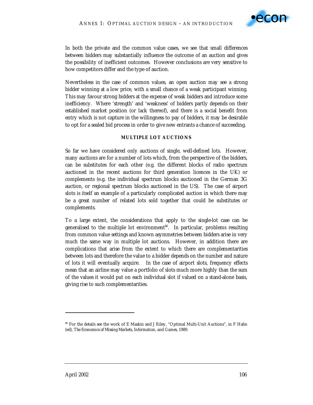

In both the private and the common value cases, we see that small differences between bidders may substantially influence the outcome of an auction and gives the possibility of inefficient outcomes. However conclusions are very sensitive to how competitors differ and the type of auction.

Nevertheless in the case of common values, an open auction may see a strong bidder winning at a low price, with a small chance of a weak participant winning. This may favour strong bidders at the expense of weak bidders and introduce some inefficiency. Where 'strength' and 'weakness' of bidders partly depends on their established market position (or lack thereof), and there is a social benefit from entry which is not capture in the willingness to pay of bidders, it may be desirable to opt for a sealed bid process in order to give new entrants a chance of succeeding.

#### **MULTIPLE LOT AUCTIONS**

So far we have considered only auctions of single, well-defined lots. However, many auctions are for a number of lots which, from the perspective of the bidders, can be substitutes for each other (e.g. the different blocks of radio spectrum auctioned in the recent auctions for third generation licences in the UK) or complements (e.g. the individual spectrum blocks auctioned in the German 3G auction, or regional spectrum blocks auctioned in the US). The case of airport slots is itself an example of a particularly complicated auction in which there may be a great number of related lots sold together that could be substitutes or complements.

To a large extent, the considerations that apply to the single-lot case can be generalised to the multiple lot environment<sup>86</sup>. In particular, problems resulting from common value settings and known asymmetries between bidders arise in very much the same way in multiple lot auctions. However, in addition there are complications that arise from the extent to which there are complementarities between lots and therefore the value to a bidder depends on the number and nature of lots it will eventually acquire. In the case of airport slots, frequency effects mean that an airline may value a portfolio of slots much more highly than the sum of the values it would put on each individual slot if valued on a stand-alone basis, giving rise to such complementarities.

 $\ddot{ }$ 

<sup>86</sup> For the details see the work of E Maskin and J Riley, "Optimal Multi-Unit Auctions", in F Hahn (ed), *The Economics of Missing Markets, Information, and Games*, 1989.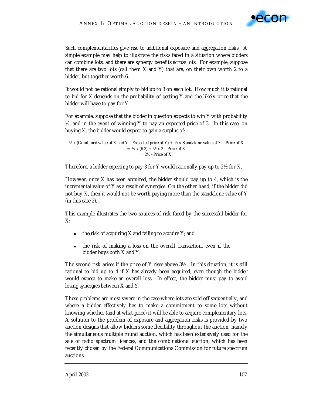

Such complementarities give rise to additional exposure and aggregation risks. A simple example may help to illustrate the risks faced in a situation where bidders can combine lots, and there are synergy benefits across lots. For example, suppose that there are two lots (call them *X* and *Y*) that are, on their own worth 2 to a bidder, but together worth 6.

It would not be rational simply to bid up to 3 on each lot. How much it is rational to bid for *X* depends on the probability of getting *Y* and the likely price that the bidder will have to pay for *Y*.

For example, suppose that the bidder in question expects to win *Y* with probability ½, and in the event of winning *Y* to pay an expected price of 3. In this case, on buying *X*, the bidder would expect to gain a surplus of:

```
\frac{1}{2} x (Combined value of X and Y – Expected price of Y) + ½ x Standalone value of X – Price of X
                            = \frac{1}{2} x (6-3) + \frac{1}{2} x 2 – Price of X
                                     = 2\frac{1}{2} - Price of X.
```
Therefore, a bidder *expecting* to pay 3 for *Y* would rationally pay up to 2½ for *X*.

However, once *X* has been acquired, the bidder should pay up to 4, which is the incremental value of *Y* as a result of synergies. On the other hand, if the bidder did not buy *X*, then it would not be worth paying more than the standalone value of *Y* (in this case 2).

This example illustrates the two sources of risk faced by the successful bidder for *X*:

- ! the risk of acquiring *X* and failing to acquire *Y*; and
- ! the risk of making a loss on the overall transaction, even if the bidder buys both *X* and *Y*.

The second risk arises if the price of *Y* rises above 3½. In this situation, it is still rational to bid up to 4 if *X* has already been acquired, even though the bidder would expect to make an overall loss. In effect, the bidder must pay to avoid losing synergies between *X* and *Y*.

These problems are most severe in the case where lots are sold off sequentially, and where a bidder effectively has to make a commitment to some lots without knowing whether (and at what price) it will be able to acquire complementary lots. A solution to the problem of exposure and aggregation risks is provided by two auction designs that allow bidders some flexibility throughout the auction, namely the simultaneous multiple round auction, which has been extensively used for the sale of radio spectrum licences, and the combinational auction, which has been recently chosen by the Federal Communications Commission for future spectrum auctions.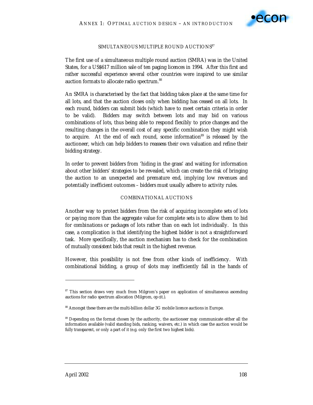

#### SIMULTANEOUS MULTIPLE ROUND AUCTIONS<sup>87</sup>

The first use of a simultaneous multiple round auction (SMRA) was in the United States, for a US\$617 million sale of ten paging licences in 1994. After this first and rather successful experience several other countries were inspired to use similar auction formats to allocate radio spectrum.<sup>88</sup>

An SMRA is characterised by the fact that bidding takes place at the same time for all lots, and that the auction closes only when bidding has ceased on all lots. In each round, bidders can submit bids (which have to meet certain criteria in order to be valid). Bidders may switch between lots and may bid on various combinations of lots, thus being able to respond flexibly to price changes and the resulting changes in the overall cost of any specific combination they might wish to acquire. At the end of each round, some information<sup>89</sup> is released by the auctioneer, which can help bidders to reassess their own valuation and refine their bidding strategy.

In order to prevent bidders from 'hiding in the grass' and waiting for information about other bidders' strategies to be revealed, which can create the risk of bringing the auction to an unexpected and premature end, implying low revenues and potentially inefficient outcomes – bidders must usually adhere to activity rules.

#### COMBINATIONAL AUCTIONS

Another way to protect bidders from the risk of acquiring incomplete sets of lots or paying more than the aggregate value for complete sets is to allow them to bid for *combinations* or *packages* of lots rather than on each lot individually. In this case, a complication is that identifying the highest bidder is not a straightforward task. More specifically, the auction mechanism has to check for the combination of *mutually consistent* bids that result in the highest revenue.

However, this possibility is not free from other kinds of inefficiency. With combinational bidding, a group of slots may inefficiently fall in the hands of

-

<sup>&</sup>lt;sup>87</sup> This section draws very much from Milgrom's paper on application of simultaneous ascending auctions for radio spectrum allocation (Milgrom, *op cit.)*.

<sup>88</sup> Amongst these there are the multi-billion dollar 3G mobile licence auctions in Europe.

<sup>&</sup>lt;sup>89</sup> Depending on the format chosen by the authority, the auctioneer may communicate either all the information available (valid standing bids, ranking, waivers, etc.) in which case the auction would be *fully transparent*, or only a part of it (e.g. only the first two highest bids).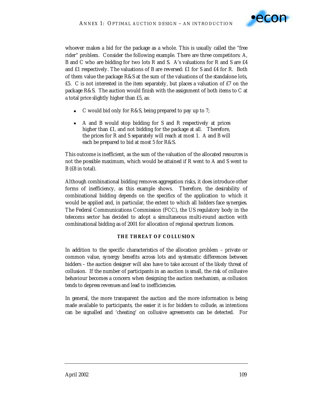

whoever makes a bid for the package as a whole. This is usually called the "free rider" problem. Consider the following example. There are three competitors: *A*, *B* and *C* who are bidding for two lots *R* and *S*. *A*'s valuations for *R* and *S* are £4 and £1 respectively. The valuations of *B* are reversed: £1 for *S* and £4 for *R*. Both of them value the package *R*&*S* at the sum of the valuations of the standalone lots, £5. *C* is not interested in the item separately, but places a valuation of £7 on the package *R*&*S*. The auction would finish with the assignment of both items to *C* at a total price slightly higher than £5, as:

- C would bid only for *R&S*, being prepared to pay up to 7;
- ! *A* and *B* would stop bidding for *S* and *R* respectively at prices higher than £1, and not bidding for the package at all. Therefore, the prices for *R* and *S* separately will reach at most 1. *A* and *B* will each be prepared to bid at most 5 for *R*&*S*.

This outcome is inefficient, as the sum of the valuation of the allocated resources is not the possible maximum, which would be attained if *R* went to *A* and *S* went to  $B$  (£8 in total).

Although combinational bidding removes aggregation risks, it does introduce other forms of inefficiency, as this example shows. Therefore, the desirability of combinational bidding depends on the specifics of the application to which it would be applied and, in particular, the extent to which all bidders face synergies. The Federal Communications Commission (FCC), the US regulatory body in the telecoms sector has decided to adopt a simultaneous multi-round auction with combinational bidding as of 2001 for allocation of regional spectrum licences.

## **THE THREAT OF COLLUSION**

In addition to the specific characteristics of the allocation problem – private or common value, synergy benefits across lots and systematic differences between bidders – the auction designer will also have to take account of the likely threat of collusion. If the number of participants in an auction is small, the risk of collusive behaviour becomes a concern when designing the auction mechanism, as collusion tends to depress revenues and lead to inefficiencies.

In general, the more transparent the auction and the more information is being made available to participants, the easier it is for bidders to collude, as intentions can be signalled and 'cheating' on collusive agreements can be detected. For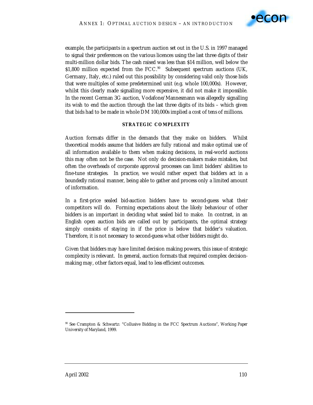

example, the participants in a spectrum auction set out in the U.S. in 1997 managed to signal their preferences on the various licences using the last three digits of their multi-million dollar bids. The cash raised was less than \$14 million, well below the \$1,800 million expected from the FCC.<sup>90</sup> Subsequent spectrum auctions (UK, Germany, Italy, etc.) ruled out this possibility by considering valid only those bids that were multiples of some predetermined unit (e.g. whole 100,000s). However, whilst this clearly made signalling more expensive, it did not make it impossible. In the recent German 3G auction, Vodafone/Mannesmann was allegedly signalling its wish to end the auction through the last three digits of its bids – which given that bids had to be made in whole DM 100,000s implied a cost of tens of millions.

### **STRATEGIC COMPLEXITY**

Auction formats differ in the demands that they make on bidders. Whilst theoretical models assume that bidders are fully rational and make optimal use of all information available to them when making decisions, in real-world auctions this may often not be the case. Not only do decision-makers make mistakes, but often the overheads of corporate approval processes can limit bidders' abilities to fine-tune strategies. In practice, we would rather expect that bidders act in a *boundedly rational* manner, being able to gather and process only a limited amount of information.

In a first-price sealed bid-auction bidders have to second-guess what their competitors will do. Forming expectations about the likely behaviour of other bidders is an important in deciding what sealed bid to make. In contrast, in an English open auction bids are called out by participants, the optimal strategy simply consists of staying in if the price is below that bidder's valuation. Therefore, it is not necessary to second-guess what other bidders might do.

Given that bidders may have limited decision making powers, this issue of strategic complexity is relevant. In general, auction formats that required complex decisionmaking may, other factors equal, lead to less efficient outcomes.

 $\ddot{ }$ 

<sup>90</sup> See Crampton & Schwartz: "Collusive Bidding in the FCC Spectrum Auctions", *Working Paper University of Maryland*, 1999.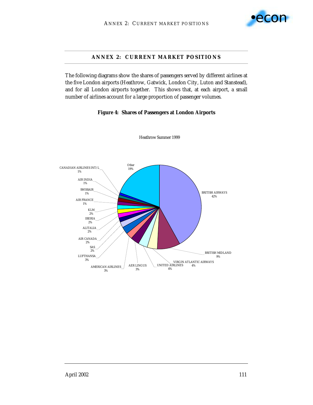

## **ANNEX 2: CURRENT MARKET POSITIONS**

The following diagrams show the shares of passengers served by different airlines at the five London airports (Heathrow, Gatwick, London City, Luton and Stanstead), and for all London airports together. This shows that, at each airport, a small number of airlines account for a large proportion of passenger volumes.

### **Figure 4: Shares of Passengers at London Airports**



Heathrow Summer 1999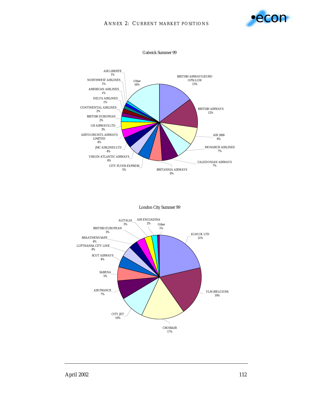



London City Summer 99

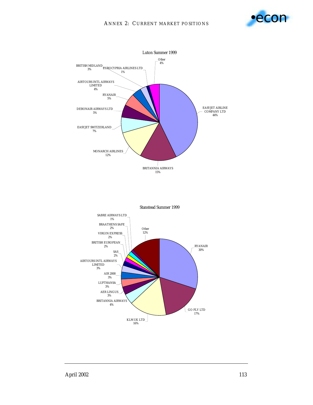